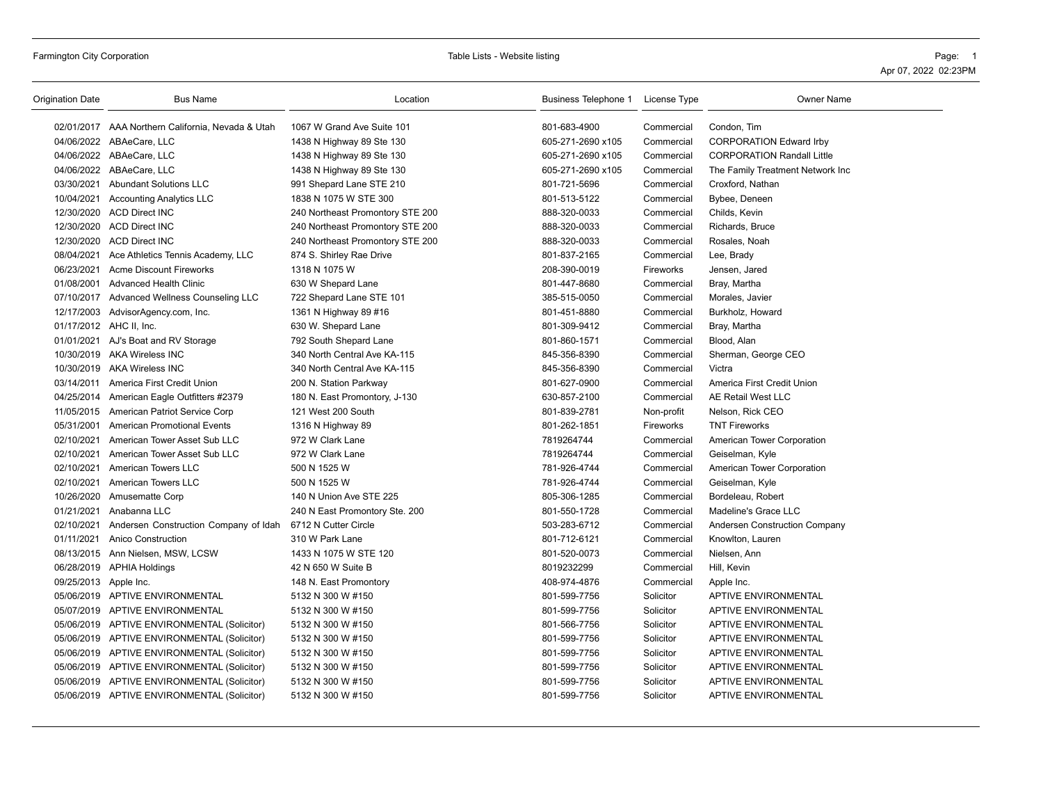# Farmington City Corporation **Table City Corporation** Page: 1

| Origination Date      | <b>Bus Name</b>                                   | Location                         | Business Telephone 1 | License Type     | <b>Owner Name</b>                 |
|-----------------------|---------------------------------------------------|----------------------------------|----------------------|------------------|-----------------------------------|
|                       | 02/01/2017 AAA Northern California, Nevada & Utah | 1067 W Grand Ave Suite 101       | 801-683-4900         | Commercial       | Condon, Tim                       |
|                       | 04/06/2022 ABAeCare, LLC                          | 1438 N Highway 89 Ste 130        | 605-271-2690 x105    | Commercial       | <b>CORPORATION Edward Irby</b>    |
|                       | 04/06/2022 ABAeCare, LLC                          | 1438 N Highway 89 Ste 130        | 605-271-2690 x105    | Commercial       | <b>CORPORATION Randall Little</b> |
|                       | 04/06/2022 ABAeCare, LLC                          | 1438 N Highway 89 Ste 130        | 605-271-2690 x105    | Commercial       | The Family Treatment Network Inc  |
|                       | 03/30/2021 Abundant Solutions LLC                 | 991 Shepard Lane STE 210         | 801-721-5696         | Commercial       | Croxford, Nathan                  |
|                       | 10/04/2021 Accounting Analytics LLC               | 1838 N 1075 W STE 300            | 801-513-5122         | Commercial       | Bybee, Deneen                     |
|                       | 12/30/2020 ACD Direct INC                         | 240 Northeast Promontory STE 200 | 888-320-0033         | Commercial       | Childs, Kevin                     |
|                       | 12/30/2020 ACD Direct INC                         | 240 Northeast Promontory STE 200 | 888-320-0033         | Commercial       | Richards, Bruce                   |
|                       | 12/30/2020 ACD Direct INC                         | 240 Northeast Promontory STE 200 | 888-320-0033         | Commercial       | Rosales, Noah                     |
|                       | 08/04/2021 Ace Athletics Tennis Academy, LLC      | 874 S. Shirley Rae Drive         | 801-837-2165         | Commercial       | Lee, Brady                        |
|                       | 06/23/2021 Acme Discount Fireworks                | 1318 N 1075 W                    | 208-390-0019         | <b>Fireworks</b> | Jensen, Jared                     |
|                       | 01/08/2001 Advanced Health Clinic                 | 630 W Shepard Lane               | 801-447-8680         | Commercial       | Bray, Martha                      |
|                       | 07/10/2017 Advanced Wellness Counseling LLC       | 722 Shepard Lane STE 101         | 385-515-0050         | Commercial       | Morales, Javier                   |
|                       | 12/17/2003 AdvisorAgency.com, Inc.                | 1361 N Highway 89 #16            | 801-451-8880         | Commercial       | Burkholz, Howard                  |
|                       | 01/17/2012 AHC II, Inc.                           | 630 W. Shepard Lane              | 801-309-9412         | Commercial       | Bray, Martha                      |
|                       | 01/01/2021 AJ's Boat and RV Storage               | 792 South Shepard Lane           | 801-860-1571         | Commercial       | Blood, Alan                       |
|                       | 10/30/2019 AKA Wireless INC                       | 340 North Central Ave KA-115     | 845-356-8390         | Commercial       | Sherman, George CEO               |
|                       | 10/30/2019 AKA Wireless INC                       | 340 North Central Ave KA-115     | 845-356-8390         | Commercial       | Victra                            |
|                       | 03/14/2011 America First Credit Union             | 200 N. Station Parkway           | 801-627-0900         | Commercial       | America First Credit Union        |
|                       | 04/25/2014 American Eagle Outfitters #2379        | 180 N. East Promontory, J-130    | 630-857-2100         | Commercial       | AE Retail West LLC                |
|                       | 11/05/2015 American Patriot Service Corp          | 121 West 200 South               | 801-839-2781         | Non-profit       | Nelson, Rick CEO                  |
|                       | 05/31/2001 American Promotional Events            | 1316 N Highway 89                | 801-262-1851         | Fireworks        | <b>TNT Fireworks</b>              |
|                       | 02/10/2021 American Tower Asset Sub LLC           | 972 W Clark Lane                 | 7819264744           | Commercial       | American Tower Corporation        |
| 02/10/2021            | American Tower Asset Sub LLC                      | 972 W Clark Lane                 | 7819264744           | Commercial       | Geiselman, Kyle                   |
|                       | 02/10/2021 American Towers LLC                    | 500 N 1525 W                     | 781-926-4744         | Commercial       | American Tower Corporation        |
| 02/10/2021            | <b>American Towers LLC</b>                        | 500 N 1525 W                     | 781-926-4744         | Commercial       | Geiselman, Kyle                   |
|                       | 10/26/2020 Amusematte Corp                        | 140 N Union Ave STE 225          | 805-306-1285         | Commercial       | Bordeleau, Robert                 |
| 01/21/2021            | Anabanna LLC                                      | 240 N East Promontory Ste. 200   | 801-550-1728         | Commercial       | Madeline's Grace LLC              |
| 02/10/2021            | Andersen Construction Company of Idah             | 6712 N Cutter Circle             | 503-283-6712         | Commercial       | Andersen Construction Company     |
|                       | 01/11/2021 Anico Construction                     | 310 W Park Lane                  | 801-712-6121         | Commercial       | Knowlton, Lauren                  |
|                       | 08/13/2015 Ann Nielsen, MSW, LCSW                 | 1433 N 1075 W STE 120            | 801-520-0073         | Commercial       | Nielsen, Ann                      |
|                       | 06/28/2019 APHIA Holdings                         | 42 N 650 W Suite B               | 8019232299           | Commercial       | Hill, Kevin                       |
| 09/25/2013 Apple Inc. |                                                   | 148 N. East Promontory           | 408-974-4876         | Commercial       | Apple Inc.                        |
|                       | 05/06/2019 APTIVE ENVIRONMENTAL                   | 5132 N 300 W #150                | 801-599-7756         | Solicitor        | <b>APTIVE ENVIRONMENTAL</b>       |
|                       | 05/07/2019 APTIVE ENVIRONMENTAL                   | 5132 N 300 W #150                | 801-599-7756         | Solicitor        | <b>APTIVE ENVIRONMENTAL</b>       |
|                       | 05/06/2019 APTIVE ENVIRONMENTAL (Solicitor)       | 5132 N 300 W #150                | 801-566-7756         | Solicitor        | <b>APTIVE ENVIRONMENTAL</b>       |
|                       | 05/06/2019 APTIVE ENVIRONMENTAL (Solicitor)       | 5132 N 300 W #150                | 801-599-7756         | Solicitor        | <b>APTIVE ENVIRONMENTAL</b>       |
|                       | 05/06/2019 APTIVE ENVIRONMENTAL (Solicitor)       | 5132 N 300 W #150                | 801-599-7756         | Solicitor        | <b>APTIVE ENVIRONMENTAL</b>       |
|                       | 05/06/2019 APTIVE ENVIRONMENTAL (Solicitor)       | 5132 N 300 W #150                | 801-599-7756         | Solicitor        | <b>APTIVE ENVIRONMENTAL</b>       |
|                       | 05/06/2019 APTIVE ENVIRONMENTAL (Solicitor)       | 5132 N 300 W #150                | 801-599-7756         | Solicitor        | <b>APTIVE ENVIRONMENTAL</b>       |
|                       | 05/06/2019 APTIVE ENVIRONMENTAL (Solicitor)       | 5132 N 300 W #150                | 801-599-7756         | Solicitor        | <b>APTIVE ENVIRONMENTAL</b>       |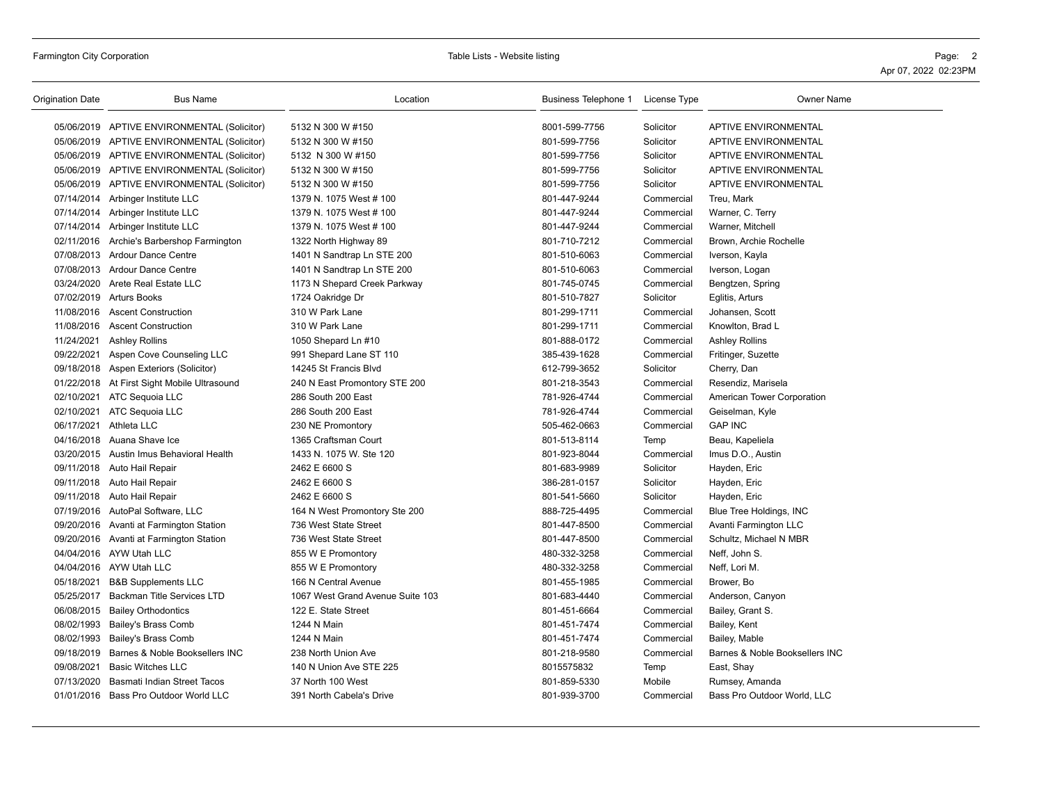| Origination Date | <b>Bus Name</b>                             | Location                         | Business Telephone 1 | License Type | <b>Owner Name</b>              |
|------------------|---------------------------------------------|----------------------------------|----------------------|--------------|--------------------------------|
|                  | 05/06/2019 APTIVE ENVIRONMENTAL (Solicitor) | 5132 N 300 W #150                | 8001-599-7756        | Solicitor    | <b>APTIVE ENVIRONMENTAL</b>    |
|                  | 05/06/2019 APTIVE ENVIRONMENTAL (Solicitor) | 5132 N 300 W #150                | 801-599-7756         | Solicitor    | APTIVE ENVIRONMENTAL           |
|                  | 05/06/2019 APTIVE ENVIRONMENTAL (Solicitor) | 5132 N 300 W #150                | 801-599-7756         | Solicitor    | APTIVE ENVIRONMENTAL           |
|                  | 05/06/2019 APTIVE ENVIRONMENTAL (Solicitor) | 5132 N 300 W #150                | 801-599-7756         | Solicitor    | <b>APTIVE ENVIRONMENTAL</b>    |
|                  | 05/06/2019 APTIVE ENVIRONMENTAL (Solicitor) | 5132 N 300 W #150                | 801-599-7756         | Solicitor    | APTIVE ENVIRONMENTAL           |
|                  | 07/14/2014 Arbinger Institute LLC           | 1379 N. 1075 West # 100          | 801-447-9244         | Commercial   | Treu, Mark                     |
|                  | 07/14/2014 Arbinger Institute LLC           | 1379 N. 1075 West # 100          | 801-447-9244         | Commercial   | Warner, C. Terry               |
|                  | 07/14/2014 Arbinger Institute LLC           | 1379 N. 1075 West # 100          | 801-447-9244         | Commercial   | Warner, Mitchell               |
| 02/11/2016       | Archie's Barbershop Farmington              | 1322 North Highway 89            | 801-710-7212         | Commercial   | Brown, Archie Rochelle         |
|                  | 07/08/2013 Ardour Dance Centre              | 1401 N Sandtrap Ln STE 200       | 801-510-6063         | Commercial   | Iverson, Kayla                 |
|                  | 07/08/2013 Ardour Dance Centre              | 1401 N Sandtrap Ln STE 200       | 801-510-6063         | Commercial   | Iverson, Logan                 |
|                  | 03/24/2020 Arete Real Estate LLC            | 1173 N Shepard Creek Parkway     | 801-745-0745         | Commercial   | Bengtzen, Spring               |
|                  | 07/02/2019 Arturs Books                     | 1724 Oakridge Dr                 | 801-510-7827         | Solicitor    | Eglitis, Arturs                |
|                  | 11/08/2016 Ascent Construction              | 310 W Park Lane                  | 801-299-1711         | Commercial   | Johansen, Scott                |
| 11/08/2016       | <b>Ascent Construction</b>                  | 310 W Park Lane                  | 801-299-1711         | Commercial   | Knowlton, Brad L               |
| 11/24/2021       | <b>Ashley Rollins</b>                       | 1050 Shepard Ln #10              | 801-888-0172         | Commercial   | <b>Ashley Rollins</b>          |
| 09/22/2021       | Aspen Cove Counseling LLC                   | 991 Shepard Lane ST 110          | 385-439-1628         | Commercial   | Fritinger, Suzette             |
|                  | 09/18/2018 Aspen Exteriors (Solicitor)      | 14245 St Francis Blvd            | 612-799-3652         | Solicitor    | Cherry, Dan                    |
|                  | 01/22/2018 At First Sight Mobile Ultrasound | 240 N East Promontory STE 200    | 801-218-3543         | Commercial   | Resendiz, Marisela             |
|                  | 02/10/2021 ATC Sequoia LLC                  | 286 South 200 East               | 781-926-4744         | Commercial   | American Tower Corporation     |
| 02/10/2021       | ATC Sequoia LLC                             | 286 South 200 East               | 781-926-4744         | Commercial   | Geiselman, Kyle                |
|                  | 06/17/2021 Athleta LLC                      | 230 NE Promontory                | 505-462-0663         | Commercial   | <b>GAP INC</b>                 |
|                  | 04/16/2018 Auana Shave Ice                  | 1365 Craftsman Court             | 801-513-8114         | Temp         | Beau, Kapeliela                |
|                  | 03/20/2015 Austin Imus Behavioral Health    | 1433 N. 1075 W. Ste 120          | 801-923-8044         | Commercial   | Imus D.O., Austin              |
|                  | 09/11/2018 Auto Hail Repair                 | 2462 E 6600 S                    | 801-683-9989         | Solicitor    | Hayden, Eric                   |
|                  | 09/11/2018 Auto Hail Repair                 | 2462 E 6600 S                    | 386-281-0157         | Solicitor    | Hayden, Eric                   |
|                  | 09/11/2018 Auto Hail Repair                 | 2462 E 6600 S                    | 801-541-5660         | Solicitor    | Hayden, Eric                   |
|                  | 07/19/2016 AutoPal Software, LLC            | 164 N West Promontory Ste 200    | 888-725-4495         | Commercial   | Blue Tree Holdings, INC        |
|                  | 09/20/2016 Avanti at Farmington Station     | 736 West State Street            | 801-447-8500         | Commercial   | Avanti Farmington LLC          |
|                  | 09/20/2016 Avanti at Farmington Station     | 736 West State Street            | 801-447-8500         | Commercial   | Schultz, Michael N MBR         |
|                  | 04/04/2016 AYW Utah LLC                     | 855 W E Promontory               | 480-332-3258         | Commercial   | Neff, John S.                  |
|                  | 04/04/2016 AYW Utah LLC                     | 855 W E Promontory               | 480-332-3258         | Commercial   | Neff, Lori M.                  |
| 05/18/2021       | <b>B&amp;B Supplements LLC</b>              | 166 N Central Avenue             | 801-455-1985         | Commercial   | Brower, Bo                     |
| 05/25/2017       | <b>Backman Title Services LTD</b>           | 1067 West Grand Avenue Suite 103 | 801-683-4440         | Commercial   | Anderson, Canyon               |
| 06/08/2015       | <b>Bailey Orthodontics</b>                  | 122 E. State Street              | 801-451-6664         | Commercial   | Bailey, Grant S.               |
| 08/02/1993       | <b>Bailey's Brass Comb</b>                  | 1244 N Main                      | 801-451-7474         | Commercial   | Bailey, Kent                   |
| 08/02/1993       | Bailey's Brass Comb                         | 1244 N Main                      | 801-451-7474         | Commercial   | Bailey, Mable                  |
| 09/18/2019       | Barnes & Noble Booksellers INC              | 238 North Union Ave              | 801-218-9580         | Commercial   | Barnes & Noble Booksellers INC |
| 09/08/2021       | <b>Basic Witches LLC</b>                    | 140 N Union Ave STE 225          | 8015575832           | Temp         | East, Shay                     |
| 07/13/2020       | Basmati Indian Street Tacos                 | 37 North 100 West                | 801-859-5330         | Mobile       | Rumsey, Amanda                 |
|                  | 01/01/2016 Bass Pro Outdoor World LLC       | 391 North Cabela's Drive         | 801-939-3700         | Commercial   | Bass Pro Outdoor World, LLC    |
|                  |                                             |                                  |                      |              |                                |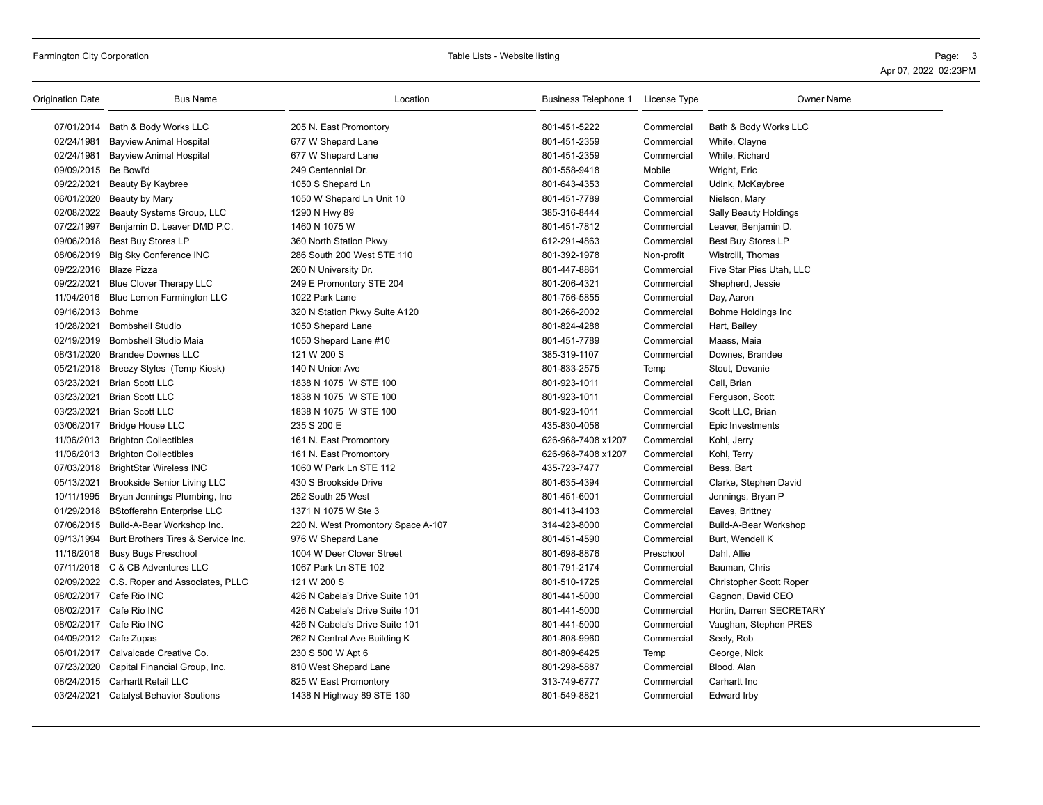| Origination Date     | <b>Bus Name</b>                               | Location                           | Business Telephone 1 | License Type | <b>Owner Name</b>            |
|----------------------|-----------------------------------------------|------------------------------------|----------------------|--------------|------------------------------|
|                      | 07/01/2014 Bath & Body Works LLC              | 205 N. East Promontory             | 801-451-5222         | Commercial   | Bath & Body Works LLC        |
| 02/24/1981           | <b>Bayview Animal Hospital</b>                | 677 W Shepard Lane                 | 801-451-2359         | Commercial   | White, Clayne                |
|                      | 02/24/1981 Bayview Animal Hospital            | 677 W Shepard Lane                 | 801-451-2359         | Commercial   | White, Richard               |
| 09/09/2015 Be Bowl'd |                                               | 249 Centennial Dr.                 | 801-558-9418         | Mobile       | Wright, Eric                 |
| 09/22/2021           | Beauty By Kaybree                             | 1050 S Shepard Ln                  | 801-643-4353         | Commercial   | Udink, McKaybree             |
| 06/01/2020           | Beauty by Mary                                | 1050 W Shepard Ln Unit 10          | 801-451-7789         | Commercial   | Nielson, Mary                |
|                      | 02/08/2022 Beauty Systems Group, LLC          | 1290 N Hwy 89                      | 385-316-8444         | Commercial   | <b>Sally Beauty Holdings</b> |
| 07/22/1997           | Benjamin D. Leaver DMD P.C.                   | 1460 N 1075 W                      | 801-451-7812         | Commercial   | Leaver, Benjamin D.          |
|                      | 09/06/2018 Best Buy Stores LP                 | 360 North Station Pkwy             | 612-291-4863         | Commercial   | Best Buy Stores LP           |
|                      | 08/06/2019 Big Sky Conference INC             | 286 South 200 West STE 110         | 801-392-1978         | Non-profit   | Wistrcill, Thomas            |
|                      | 09/22/2016 Blaze Pizza                        | 260 N University Dr.               | 801-447-8861         | Commercial   | Five Star Pies Utah, LLC     |
| 09/22/2021           | Blue Clover Therapy LLC                       | 249 E Promontory STE 204           | 801-206-4321         | Commercial   | Shepherd, Jessie             |
|                      | 11/04/2016 Blue Lemon Farmington LLC          | 1022 Park Lane                     | 801-756-5855         | Commercial   | Day, Aaron                   |
| 09/16/2013 Bohme     |                                               | 320 N Station Pkwy Suite A120      | 801-266-2002         | Commercial   | Bohme Holdings Inc           |
| 10/28/2021           | <b>Bombshell Studio</b>                       | 1050 Shepard Lane                  | 801-824-4288         | Commercial   | Hart, Bailey                 |
| 02/19/2019           | <b>Bombshell Studio Maia</b>                  | 1050 Shepard Lane #10              | 801-451-7789         | Commercial   | Maass, Maia                  |
|                      | 08/31/2020 Brandee Downes LLC                 | 121 W 200 S                        | 385-319-1107         | Commercial   | Downes, Brandee              |
|                      | 05/21/2018 Breezy Styles (Temp Kiosk)         | 140 N Union Ave                    | 801-833-2575         | Temp         | Stout, Devanie               |
| 03/23/2021           | <b>Brian Scott LLC</b>                        | 1838 N 1075 W STE 100              | 801-923-1011         | Commercial   | Call, Brian                  |
|                      | 03/23/2021 Brian Scott LLC                    | 1838 N 1075 W STE 100              | 801-923-1011         | Commercial   | Ferguson, Scott              |
| 03/23/2021           | <b>Brian Scott LLC</b>                        | 1838 N 1075 W STE 100              | 801-923-1011         | Commercial   | Scott LLC, Brian             |
|                      | 03/06/2017 Bridge House LLC                   | 235 S 200 E                        | 435-830-4058         | Commercial   | Epic Investments             |
| 11/06/2013           | <b>Brighton Collectibles</b>                  | 161 N. East Promontory             | 626-968-7408 x1207   | Commercial   | Kohl, Jerry                  |
|                      | 11/06/2013 Brighton Collectibles              | 161 N. East Promontory             | 626-968-7408 x1207   | Commercial   | Kohl, Terry                  |
|                      | 07/03/2018 BrightStar Wireless INC            | 1060 W Park Ln STE 112             | 435-723-7477         | Commercial   | Bess, Bart                   |
| 05/13/2021           | <b>Brookside Senior Living LLC</b>            | 430 S Brookside Drive              | 801-635-4394         | Commercial   | Clarke, Stephen David        |
| 10/11/1995           | Bryan Jennings Plumbing, Inc                  | 252 South 25 West                  | 801-451-6001         | Commercial   | Jennings, Bryan P            |
|                      | 01/29/2018 BStofferahn Enterprise LLC         | 1371 N 1075 W Ste 3                | 801-413-4103         | Commercial   | Eaves, Brittney              |
|                      | 07/06/2015 Build-A-Bear Workshop Inc.         | 220 N. West Promontory Space A-107 | 314-423-8000         | Commercial   | Build-A-Bear Workshop        |
|                      | 09/13/1994 Burt Brothers Tires & Service Inc. | 976 W Shepard Lane                 | 801-451-4590         | Commercial   | Burt, Wendell K              |
|                      | 11/16/2018 Busy Bugs Preschool                | 1004 W Deer Clover Street          | 801-698-8876         | Preschool    | Dahl, Allie                  |
|                      | 07/11/2018 C & CB Adventures LLC              | 1067 Park Ln STE 102               | 801-791-2174         | Commercial   | Bauman, Chris                |
|                      | 02/09/2022 C.S. Roper and Associates, PLLC    | 121 W 200 S                        | 801-510-1725         | Commercial   | Christopher Scott Roper      |
|                      | 08/02/2017 Cafe Rio INC                       | 426 N Cabela's Drive Suite 101     | 801-441-5000         | Commercial   | Gagnon, David CEO            |
|                      | 08/02/2017 Cafe Rio INC                       | 426 N Cabela's Drive Suite 101     | 801-441-5000         | Commercial   | Hortin, Darren SECRETARY     |
|                      | 08/02/2017 Cafe Rio INC                       | 426 N Cabela's Drive Suite 101     | 801-441-5000         | Commercial   | Vaughan, Stephen PRES        |
|                      | 04/09/2012 Cafe Zupas                         | 262 N Central Ave Building K       | 801-808-9960         | Commercial   | Seely, Rob                   |
|                      | 06/01/2017 Calvalcade Creative Co.            | 230 S 500 W Apt 6                  | 801-809-6425         | Temp         | George, Nick                 |
|                      | 07/23/2020 Capital Financial Group, Inc.      | 810 West Shepard Lane              | 801-298-5887         | Commercial   | Blood, Alan                  |
|                      | 08/24/2015 Carhartt Retail LLC                | 825 W East Promontory              | 313-749-6777         | Commercial   | Carhartt Inc                 |
|                      | 03/24/2021 Catalyst Behavior Soutions         | 1438 N Highway 89 STE 130          | 801-549-8821         | Commercial   | Edward Irby                  |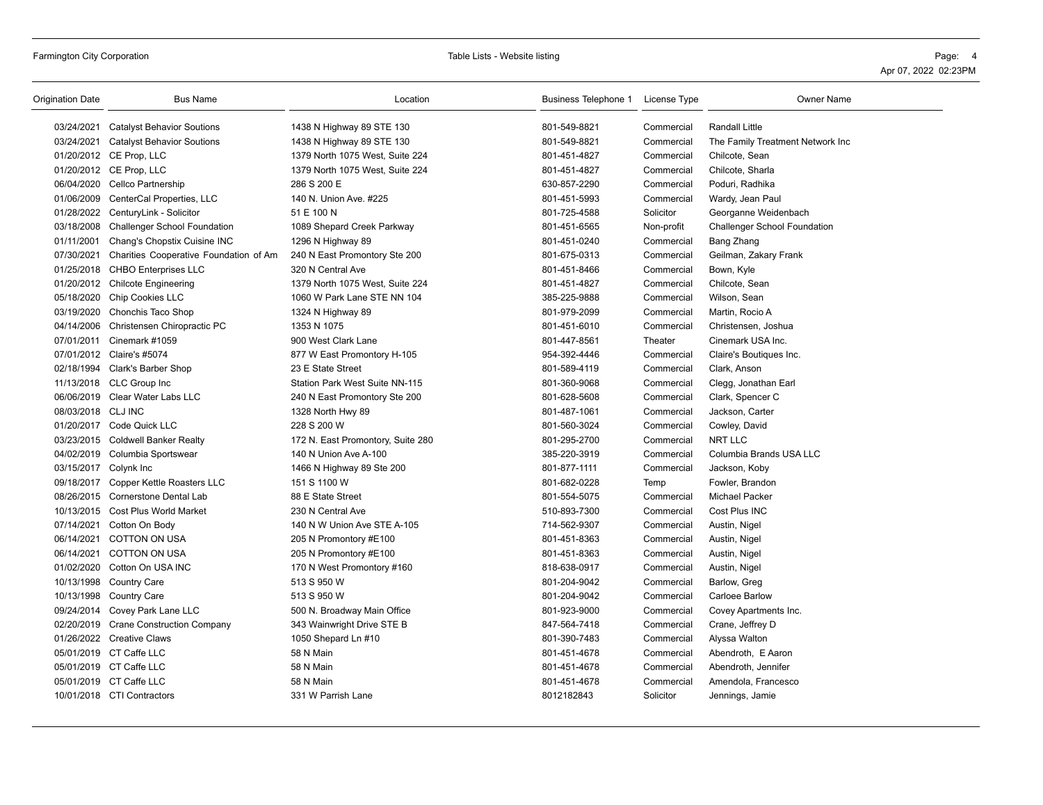| 03/24/2021<br>801-549-8821<br><b>Randall Little</b><br>Catalyst Behavior Soutions<br>1438 N Highway 89 STE 130<br>Commercial<br>03/24/2021 Catalyst Behavior Soutions<br>801-549-8821<br>1438 N Highway 89 STE 130<br>Commercial<br>The Family Treatment Network Inc<br>01/20/2012 CE Prop, LLC<br>1379 North 1075 West, Suite 224<br>801-451-4827<br>Commercial<br>Chilcote, Sean<br>01/20/2012 CE Prop, LLC<br>1379 North 1075 West, Suite 224<br>801-451-4827<br>Commercial<br>Chilcote, Sharla<br>06/04/2020 Cellco Partnership<br>286 S 200 E<br>630-857-2290<br>Poduri, Radhika<br>Commercial<br>01/06/2009 CenterCal Properties, LLC<br>140 N. Union Ave. #225<br>801-451-5993<br>Commercial<br>Wardy, Jean Paul<br>01/28/2022 CenturyLink - Solicitor<br>51 E 100 N<br>801-725-4588<br>Solicitor<br>Georganne Weidenbach<br>03/18/2008 Challenger School Foundation<br>1089 Shepard Creek Parkway<br>801-451-6565<br>Non-profit<br><b>Challenger School Foundation</b><br>01/11/2001<br>801-451-0240<br>Chang's Chopstix Cuisine INC<br>1296 N Highway 89<br>Commercial<br>Bang Zhang<br>07/30/2021<br>Charities Cooperative Foundation of Am<br>240 N East Promontory Ste 200<br>801-675-0313<br>Commercial<br>Geilman, Zakary Frank<br>01/25/2018 CHBO Enterprises LLC<br>320 N Central Ave<br>801-451-8466<br>Commercial<br>Bown, Kyle<br>01/20/2012 Chilcote Engineering<br>1379 North 1075 West, Suite 224<br>801-451-4827<br>Chilcote, Sean<br>Commercial<br>05/18/2020 Chip Cookies LLC<br>1060 W Park Lane STE NN 104<br>385-225-9888<br>Commercial<br>Wilson, Sean<br>03/19/2020 Chonchis Taco Shop<br>801-979-2099<br>Martin, Rocio A<br>1324 N Highway 89<br>Commercial<br>04/14/2006 Christensen Chiropractic PC<br>1353 N 1075<br>801-451-6010<br>Commercial<br>Christensen, Joshua<br>900 West Clark Lane<br>Theater<br>07/01/2011 Cinemark #1059<br>801-447-8561<br>Cinemark USA Inc.<br>07/01/2012 Claire's #5074<br>877 W East Promontory H-105<br>954-392-4446<br>Claire's Boutiques Inc.<br>Commercial<br>02/18/1994 Clark's Barber Shop<br>801-589-4119<br>23 E State Street<br>Commercial<br>Clark, Anson<br>801-360-9068<br>11/13/2018 CLC Group Inc<br>Station Park West Suite NN-115<br>Commercial<br>Clegg, Jonathan Earl<br>06/06/2019 Clear Water Labs LLC<br>801-628-5608<br>240 N East Promontory Ste 200<br>Commercial<br>Clark, Spencer C<br>08/03/2018 CLJ INC<br>1328 North Hwy 89<br>801-487-1061<br>Commercial<br>Jackson, Carter<br>01/20/2017 Code Quick LLC<br>228 S 200 W<br>801-560-3024<br>Commercial<br>Cowley, David<br>801-295-2700<br>NRT LLC<br>03/23/2015 Coldwell Banker Realty<br>172 N. East Promontory, Suite 280<br>Commercial<br>04/02/2019 Columbia Sportswear<br>385-220-3919<br>Columbia Brands USA LLC<br>140 N Union Ave A-100<br>Commercial<br>03/15/2017 Colynk Inc<br>801-877-1111<br>1466 N Highway 89 Ste 200<br>Commercial<br>Jackson, Koby<br>09/18/2017 Copper Kettle Roasters LLC<br>151 S 1100 W<br>801-682-0228<br>Fowler, Brandon<br>Temp<br>08/26/2015 Cornerstone Dental Lab<br>88 E State Street<br>801-554-5075<br><b>Michael Packer</b><br>Commercial<br>Cost Plus INC<br>10/13/2015 Cost Plus World Market<br>230 N Central Ave<br>510-893-7300<br>Commercial<br>07/14/2021 Cotton On Body<br>140 N W Union Ave STE A-105<br>714-562-9307<br>Commercial<br>Austin, Nigel<br>06/14/2021<br><b>COTTON ON USA</b><br>801-451-8363<br>205 N Promontory #E100<br>Commercial<br>Austin, Nigel<br>06/14/2021 COTTON ON USA<br>205 N Promontory #E100<br>801-451-8363<br>Commercial<br>Austin, Nigel<br>01/02/2020 Cotton On USA INC<br>818-638-0917<br>170 N West Promontory #160<br>Commercial<br>Austin, Nigel<br>10/13/1998 Country Care<br>513 S 950 W<br>801-204-9042<br>Commercial<br>Barlow, Greg<br>10/13/1998 Country Care<br>513 S 950 W<br>801-204-9042<br>Commercial<br><b>Carloee Barlow</b><br>09/24/2014 Covey Park Lane LLC<br>801-923-9000<br>500 N. Broadway Main Office<br>Commercial<br>Covey Apartments Inc.<br>02/20/2019 Crane Construction Company<br>343 Wainwright Drive STE B<br>847-564-7418<br>Commercial<br>Crane, Jeffrey D<br>01/26/2022 Creative Claws<br>801-390-7483<br>1050 Shepard Ln #10<br>Commercial<br>Alyssa Walton<br>05/01/2019 CT Caffe LLC<br>58 N Main<br>801-451-4678<br>Commercial<br>Abendroth, E Aaron<br>05/01/2019 CT Caffe LLC<br>58 N Main<br>801-451-4678<br>Commercial<br>Abendroth, Jennifer<br>05/01/2019 CT Caffe LLC<br>58 N Main<br>801-451-4678<br>Commercial<br>Amendola, Francesco<br>10/01/2018 CTI Contractors<br>331 W Parrish Lane<br>8012182843<br>Solicitor<br>Jennings, Jamie | Origination Date | <b>Bus Name</b> | Location | Business Telephone 1 License Type | <b>Owner Name</b> |
|------------------------------------------------------------------------------------------------------------------------------------------------------------------------------------------------------------------------------------------------------------------------------------------------------------------------------------------------------------------------------------------------------------------------------------------------------------------------------------------------------------------------------------------------------------------------------------------------------------------------------------------------------------------------------------------------------------------------------------------------------------------------------------------------------------------------------------------------------------------------------------------------------------------------------------------------------------------------------------------------------------------------------------------------------------------------------------------------------------------------------------------------------------------------------------------------------------------------------------------------------------------------------------------------------------------------------------------------------------------------------------------------------------------------------------------------------------------------------------------------------------------------------------------------------------------------------------------------------------------------------------------------------------------------------------------------------------------------------------------------------------------------------------------------------------------------------------------------------------------------------------------------------------------------------------------------------------------------------------------------------------------------------------------------------------------------------------------------------------------------------------------------------------------------------------------------------------------------------------------------------------------------------------------------------------------------------------------------------------------------------------------------------------------------------------------------------------------------------------------------------------------------------------------------------------------------------------------------------------------------------------------------------------------------------------------------------------------------------------------------------------------------------------------------------------------------------------------------------------------------------------------------------------------------------------------------------------------------------------------------------------------------------------------------------------------------------------------------------------------------------------------------------------------------------------------------------------------------------------------------------------------------------------------------------------------------------------------------------------------------------------------------------------------------------------------------------------------------------------------------------------------------------------------------------------------------------------------------------------------------------------------------------------------------------------------------------------------------------------------------------------------------------------------------------------------------------------------------------------------------------------------------------------------------------------------------------------------------------------------------------------------------------------------------------------------------------------------------------------------------------------------------------------------------------------------------------------------------------------------------------------------------------------------------------------------------------------------------------------------------------------------------------------------------------------------------------------------------------------------------------------------------------------------------------------------------------------------------------------------------------------|------------------|-----------------|----------|-----------------------------------|-------------------|
|                                                                                                                                                                                                                                                                                                                                                                                                                                                                                                                                                                                                                                                                                                                                                                                                                                                                                                                                                                                                                                                                                                                                                                                                                                                                                                                                                                                                                                                                                                                                                                                                                                                                                                                                                                                                                                                                                                                                                                                                                                                                                                                                                                                                                                                                                                                                                                                                                                                                                                                                                                                                                                                                                                                                                                                                                                                                                                                                                                                                                                                                                                                                                                                                                                                                                                                                                                                                                                                                                                                                                                                                                                                                                                                                                                                                                                                                                                                                                                                                                                                                                                                                                                                                                                                                                                                                                                                                                                                                                                                                                                                                                                    |                  |                 |          |                                   |                   |
|                                                                                                                                                                                                                                                                                                                                                                                                                                                                                                                                                                                                                                                                                                                                                                                                                                                                                                                                                                                                                                                                                                                                                                                                                                                                                                                                                                                                                                                                                                                                                                                                                                                                                                                                                                                                                                                                                                                                                                                                                                                                                                                                                                                                                                                                                                                                                                                                                                                                                                                                                                                                                                                                                                                                                                                                                                                                                                                                                                                                                                                                                                                                                                                                                                                                                                                                                                                                                                                                                                                                                                                                                                                                                                                                                                                                                                                                                                                                                                                                                                                                                                                                                                                                                                                                                                                                                                                                                                                                                                                                                                                                                                    |                  |                 |          |                                   |                   |
|                                                                                                                                                                                                                                                                                                                                                                                                                                                                                                                                                                                                                                                                                                                                                                                                                                                                                                                                                                                                                                                                                                                                                                                                                                                                                                                                                                                                                                                                                                                                                                                                                                                                                                                                                                                                                                                                                                                                                                                                                                                                                                                                                                                                                                                                                                                                                                                                                                                                                                                                                                                                                                                                                                                                                                                                                                                                                                                                                                                                                                                                                                                                                                                                                                                                                                                                                                                                                                                                                                                                                                                                                                                                                                                                                                                                                                                                                                                                                                                                                                                                                                                                                                                                                                                                                                                                                                                                                                                                                                                                                                                                                                    |                  |                 |          |                                   |                   |
|                                                                                                                                                                                                                                                                                                                                                                                                                                                                                                                                                                                                                                                                                                                                                                                                                                                                                                                                                                                                                                                                                                                                                                                                                                                                                                                                                                                                                                                                                                                                                                                                                                                                                                                                                                                                                                                                                                                                                                                                                                                                                                                                                                                                                                                                                                                                                                                                                                                                                                                                                                                                                                                                                                                                                                                                                                                                                                                                                                                                                                                                                                                                                                                                                                                                                                                                                                                                                                                                                                                                                                                                                                                                                                                                                                                                                                                                                                                                                                                                                                                                                                                                                                                                                                                                                                                                                                                                                                                                                                                                                                                                                                    |                  |                 |          |                                   |                   |
|                                                                                                                                                                                                                                                                                                                                                                                                                                                                                                                                                                                                                                                                                                                                                                                                                                                                                                                                                                                                                                                                                                                                                                                                                                                                                                                                                                                                                                                                                                                                                                                                                                                                                                                                                                                                                                                                                                                                                                                                                                                                                                                                                                                                                                                                                                                                                                                                                                                                                                                                                                                                                                                                                                                                                                                                                                                                                                                                                                                                                                                                                                                                                                                                                                                                                                                                                                                                                                                                                                                                                                                                                                                                                                                                                                                                                                                                                                                                                                                                                                                                                                                                                                                                                                                                                                                                                                                                                                                                                                                                                                                                                                    |                  |                 |          |                                   |                   |
|                                                                                                                                                                                                                                                                                                                                                                                                                                                                                                                                                                                                                                                                                                                                                                                                                                                                                                                                                                                                                                                                                                                                                                                                                                                                                                                                                                                                                                                                                                                                                                                                                                                                                                                                                                                                                                                                                                                                                                                                                                                                                                                                                                                                                                                                                                                                                                                                                                                                                                                                                                                                                                                                                                                                                                                                                                                                                                                                                                                                                                                                                                                                                                                                                                                                                                                                                                                                                                                                                                                                                                                                                                                                                                                                                                                                                                                                                                                                                                                                                                                                                                                                                                                                                                                                                                                                                                                                                                                                                                                                                                                                                                    |                  |                 |          |                                   |                   |
|                                                                                                                                                                                                                                                                                                                                                                                                                                                                                                                                                                                                                                                                                                                                                                                                                                                                                                                                                                                                                                                                                                                                                                                                                                                                                                                                                                                                                                                                                                                                                                                                                                                                                                                                                                                                                                                                                                                                                                                                                                                                                                                                                                                                                                                                                                                                                                                                                                                                                                                                                                                                                                                                                                                                                                                                                                                                                                                                                                                                                                                                                                                                                                                                                                                                                                                                                                                                                                                                                                                                                                                                                                                                                                                                                                                                                                                                                                                                                                                                                                                                                                                                                                                                                                                                                                                                                                                                                                                                                                                                                                                                                                    |                  |                 |          |                                   |                   |
|                                                                                                                                                                                                                                                                                                                                                                                                                                                                                                                                                                                                                                                                                                                                                                                                                                                                                                                                                                                                                                                                                                                                                                                                                                                                                                                                                                                                                                                                                                                                                                                                                                                                                                                                                                                                                                                                                                                                                                                                                                                                                                                                                                                                                                                                                                                                                                                                                                                                                                                                                                                                                                                                                                                                                                                                                                                                                                                                                                                                                                                                                                                                                                                                                                                                                                                                                                                                                                                                                                                                                                                                                                                                                                                                                                                                                                                                                                                                                                                                                                                                                                                                                                                                                                                                                                                                                                                                                                                                                                                                                                                                                                    |                  |                 |          |                                   |                   |
|                                                                                                                                                                                                                                                                                                                                                                                                                                                                                                                                                                                                                                                                                                                                                                                                                                                                                                                                                                                                                                                                                                                                                                                                                                                                                                                                                                                                                                                                                                                                                                                                                                                                                                                                                                                                                                                                                                                                                                                                                                                                                                                                                                                                                                                                                                                                                                                                                                                                                                                                                                                                                                                                                                                                                                                                                                                                                                                                                                                                                                                                                                                                                                                                                                                                                                                                                                                                                                                                                                                                                                                                                                                                                                                                                                                                                                                                                                                                                                                                                                                                                                                                                                                                                                                                                                                                                                                                                                                                                                                                                                                                                                    |                  |                 |          |                                   |                   |
|                                                                                                                                                                                                                                                                                                                                                                                                                                                                                                                                                                                                                                                                                                                                                                                                                                                                                                                                                                                                                                                                                                                                                                                                                                                                                                                                                                                                                                                                                                                                                                                                                                                                                                                                                                                                                                                                                                                                                                                                                                                                                                                                                                                                                                                                                                                                                                                                                                                                                                                                                                                                                                                                                                                                                                                                                                                                                                                                                                                                                                                                                                                                                                                                                                                                                                                                                                                                                                                                                                                                                                                                                                                                                                                                                                                                                                                                                                                                                                                                                                                                                                                                                                                                                                                                                                                                                                                                                                                                                                                                                                                                                                    |                  |                 |          |                                   |                   |
|                                                                                                                                                                                                                                                                                                                                                                                                                                                                                                                                                                                                                                                                                                                                                                                                                                                                                                                                                                                                                                                                                                                                                                                                                                                                                                                                                                                                                                                                                                                                                                                                                                                                                                                                                                                                                                                                                                                                                                                                                                                                                                                                                                                                                                                                                                                                                                                                                                                                                                                                                                                                                                                                                                                                                                                                                                                                                                                                                                                                                                                                                                                                                                                                                                                                                                                                                                                                                                                                                                                                                                                                                                                                                                                                                                                                                                                                                                                                                                                                                                                                                                                                                                                                                                                                                                                                                                                                                                                                                                                                                                                                                                    |                  |                 |          |                                   |                   |
|                                                                                                                                                                                                                                                                                                                                                                                                                                                                                                                                                                                                                                                                                                                                                                                                                                                                                                                                                                                                                                                                                                                                                                                                                                                                                                                                                                                                                                                                                                                                                                                                                                                                                                                                                                                                                                                                                                                                                                                                                                                                                                                                                                                                                                                                                                                                                                                                                                                                                                                                                                                                                                                                                                                                                                                                                                                                                                                                                                                                                                                                                                                                                                                                                                                                                                                                                                                                                                                                                                                                                                                                                                                                                                                                                                                                                                                                                                                                                                                                                                                                                                                                                                                                                                                                                                                                                                                                                                                                                                                                                                                                                                    |                  |                 |          |                                   |                   |
|                                                                                                                                                                                                                                                                                                                                                                                                                                                                                                                                                                                                                                                                                                                                                                                                                                                                                                                                                                                                                                                                                                                                                                                                                                                                                                                                                                                                                                                                                                                                                                                                                                                                                                                                                                                                                                                                                                                                                                                                                                                                                                                                                                                                                                                                                                                                                                                                                                                                                                                                                                                                                                                                                                                                                                                                                                                                                                                                                                                                                                                                                                                                                                                                                                                                                                                                                                                                                                                                                                                                                                                                                                                                                                                                                                                                                                                                                                                                                                                                                                                                                                                                                                                                                                                                                                                                                                                                                                                                                                                                                                                                                                    |                  |                 |          |                                   |                   |
|                                                                                                                                                                                                                                                                                                                                                                                                                                                                                                                                                                                                                                                                                                                                                                                                                                                                                                                                                                                                                                                                                                                                                                                                                                                                                                                                                                                                                                                                                                                                                                                                                                                                                                                                                                                                                                                                                                                                                                                                                                                                                                                                                                                                                                                                                                                                                                                                                                                                                                                                                                                                                                                                                                                                                                                                                                                                                                                                                                                                                                                                                                                                                                                                                                                                                                                                                                                                                                                                                                                                                                                                                                                                                                                                                                                                                                                                                                                                                                                                                                                                                                                                                                                                                                                                                                                                                                                                                                                                                                                                                                                                                                    |                  |                 |          |                                   |                   |
|                                                                                                                                                                                                                                                                                                                                                                                                                                                                                                                                                                                                                                                                                                                                                                                                                                                                                                                                                                                                                                                                                                                                                                                                                                                                                                                                                                                                                                                                                                                                                                                                                                                                                                                                                                                                                                                                                                                                                                                                                                                                                                                                                                                                                                                                                                                                                                                                                                                                                                                                                                                                                                                                                                                                                                                                                                                                                                                                                                                                                                                                                                                                                                                                                                                                                                                                                                                                                                                                                                                                                                                                                                                                                                                                                                                                                                                                                                                                                                                                                                                                                                                                                                                                                                                                                                                                                                                                                                                                                                                                                                                                                                    |                  |                 |          |                                   |                   |
|                                                                                                                                                                                                                                                                                                                                                                                                                                                                                                                                                                                                                                                                                                                                                                                                                                                                                                                                                                                                                                                                                                                                                                                                                                                                                                                                                                                                                                                                                                                                                                                                                                                                                                                                                                                                                                                                                                                                                                                                                                                                                                                                                                                                                                                                                                                                                                                                                                                                                                                                                                                                                                                                                                                                                                                                                                                                                                                                                                                                                                                                                                                                                                                                                                                                                                                                                                                                                                                                                                                                                                                                                                                                                                                                                                                                                                                                                                                                                                                                                                                                                                                                                                                                                                                                                                                                                                                                                                                                                                                                                                                                                                    |                  |                 |          |                                   |                   |
|                                                                                                                                                                                                                                                                                                                                                                                                                                                                                                                                                                                                                                                                                                                                                                                                                                                                                                                                                                                                                                                                                                                                                                                                                                                                                                                                                                                                                                                                                                                                                                                                                                                                                                                                                                                                                                                                                                                                                                                                                                                                                                                                                                                                                                                                                                                                                                                                                                                                                                                                                                                                                                                                                                                                                                                                                                                                                                                                                                                                                                                                                                                                                                                                                                                                                                                                                                                                                                                                                                                                                                                                                                                                                                                                                                                                                                                                                                                                                                                                                                                                                                                                                                                                                                                                                                                                                                                                                                                                                                                                                                                                                                    |                  |                 |          |                                   |                   |
|                                                                                                                                                                                                                                                                                                                                                                                                                                                                                                                                                                                                                                                                                                                                                                                                                                                                                                                                                                                                                                                                                                                                                                                                                                                                                                                                                                                                                                                                                                                                                                                                                                                                                                                                                                                                                                                                                                                                                                                                                                                                                                                                                                                                                                                                                                                                                                                                                                                                                                                                                                                                                                                                                                                                                                                                                                                                                                                                                                                                                                                                                                                                                                                                                                                                                                                                                                                                                                                                                                                                                                                                                                                                                                                                                                                                                                                                                                                                                                                                                                                                                                                                                                                                                                                                                                                                                                                                                                                                                                                                                                                                                                    |                  |                 |          |                                   |                   |
|                                                                                                                                                                                                                                                                                                                                                                                                                                                                                                                                                                                                                                                                                                                                                                                                                                                                                                                                                                                                                                                                                                                                                                                                                                                                                                                                                                                                                                                                                                                                                                                                                                                                                                                                                                                                                                                                                                                                                                                                                                                                                                                                                                                                                                                                                                                                                                                                                                                                                                                                                                                                                                                                                                                                                                                                                                                                                                                                                                                                                                                                                                                                                                                                                                                                                                                                                                                                                                                                                                                                                                                                                                                                                                                                                                                                                                                                                                                                                                                                                                                                                                                                                                                                                                                                                                                                                                                                                                                                                                                                                                                                                                    |                  |                 |          |                                   |                   |
|                                                                                                                                                                                                                                                                                                                                                                                                                                                                                                                                                                                                                                                                                                                                                                                                                                                                                                                                                                                                                                                                                                                                                                                                                                                                                                                                                                                                                                                                                                                                                                                                                                                                                                                                                                                                                                                                                                                                                                                                                                                                                                                                                                                                                                                                                                                                                                                                                                                                                                                                                                                                                                                                                                                                                                                                                                                                                                                                                                                                                                                                                                                                                                                                                                                                                                                                                                                                                                                                                                                                                                                                                                                                                                                                                                                                                                                                                                                                                                                                                                                                                                                                                                                                                                                                                                                                                                                                                                                                                                                                                                                                                                    |                  |                 |          |                                   |                   |
|                                                                                                                                                                                                                                                                                                                                                                                                                                                                                                                                                                                                                                                                                                                                                                                                                                                                                                                                                                                                                                                                                                                                                                                                                                                                                                                                                                                                                                                                                                                                                                                                                                                                                                                                                                                                                                                                                                                                                                                                                                                                                                                                                                                                                                                                                                                                                                                                                                                                                                                                                                                                                                                                                                                                                                                                                                                                                                                                                                                                                                                                                                                                                                                                                                                                                                                                                                                                                                                                                                                                                                                                                                                                                                                                                                                                                                                                                                                                                                                                                                                                                                                                                                                                                                                                                                                                                                                                                                                                                                                                                                                                                                    |                  |                 |          |                                   |                   |
|                                                                                                                                                                                                                                                                                                                                                                                                                                                                                                                                                                                                                                                                                                                                                                                                                                                                                                                                                                                                                                                                                                                                                                                                                                                                                                                                                                                                                                                                                                                                                                                                                                                                                                                                                                                                                                                                                                                                                                                                                                                                                                                                                                                                                                                                                                                                                                                                                                                                                                                                                                                                                                                                                                                                                                                                                                                                                                                                                                                                                                                                                                                                                                                                                                                                                                                                                                                                                                                                                                                                                                                                                                                                                                                                                                                                                                                                                                                                                                                                                                                                                                                                                                                                                                                                                                                                                                                                                                                                                                                                                                                                                                    |                  |                 |          |                                   |                   |
|                                                                                                                                                                                                                                                                                                                                                                                                                                                                                                                                                                                                                                                                                                                                                                                                                                                                                                                                                                                                                                                                                                                                                                                                                                                                                                                                                                                                                                                                                                                                                                                                                                                                                                                                                                                                                                                                                                                                                                                                                                                                                                                                                                                                                                                                                                                                                                                                                                                                                                                                                                                                                                                                                                                                                                                                                                                                                                                                                                                                                                                                                                                                                                                                                                                                                                                                                                                                                                                                                                                                                                                                                                                                                                                                                                                                                                                                                                                                                                                                                                                                                                                                                                                                                                                                                                                                                                                                                                                                                                                                                                                                                                    |                  |                 |          |                                   |                   |
|                                                                                                                                                                                                                                                                                                                                                                                                                                                                                                                                                                                                                                                                                                                                                                                                                                                                                                                                                                                                                                                                                                                                                                                                                                                                                                                                                                                                                                                                                                                                                                                                                                                                                                                                                                                                                                                                                                                                                                                                                                                                                                                                                                                                                                                                                                                                                                                                                                                                                                                                                                                                                                                                                                                                                                                                                                                                                                                                                                                                                                                                                                                                                                                                                                                                                                                                                                                                                                                                                                                                                                                                                                                                                                                                                                                                                                                                                                                                                                                                                                                                                                                                                                                                                                                                                                                                                                                                                                                                                                                                                                                                                                    |                  |                 |          |                                   |                   |
|                                                                                                                                                                                                                                                                                                                                                                                                                                                                                                                                                                                                                                                                                                                                                                                                                                                                                                                                                                                                                                                                                                                                                                                                                                                                                                                                                                                                                                                                                                                                                                                                                                                                                                                                                                                                                                                                                                                                                                                                                                                                                                                                                                                                                                                                                                                                                                                                                                                                                                                                                                                                                                                                                                                                                                                                                                                                                                                                                                                                                                                                                                                                                                                                                                                                                                                                                                                                                                                                                                                                                                                                                                                                                                                                                                                                                                                                                                                                                                                                                                                                                                                                                                                                                                                                                                                                                                                                                                                                                                                                                                                                                                    |                  |                 |          |                                   |                   |
|                                                                                                                                                                                                                                                                                                                                                                                                                                                                                                                                                                                                                                                                                                                                                                                                                                                                                                                                                                                                                                                                                                                                                                                                                                                                                                                                                                                                                                                                                                                                                                                                                                                                                                                                                                                                                                                                                                                                                                                                                                                                                                                                                                                                                                                                                                                                                                                                                                                                                                                                                                                                                                                                                                                                                                                                                                                                                                                                                                                                                                                                                                                                                                                                                                                                                                                                                                                                                                                                                                                                                                                                                                                                                                                                                                                                                                                                                                                                                                                                                                                                                                                                                                                                                                                                                                                                                                                                                                                                                                                                                                                                                                    |                  |                 |          |                                   |                   |
|                                                                                                                                                                                                                                                                                                                                                                                                                                                                                                                                                                                                                                                                                                                                                                                                                                                                                                                                                                                                                                                                                                                                                                                                                                                                                                                                                                                                                                                                                                                                                                                                                                                                                                                                                                                                                                                                                                                                                                                                                                                                                                                                                                                                                                                                                                                                                                                                                                                                                                                                                                                                                                                                                                                                                                                                                                                                                                                                                                                                                                                                                                                                                                                                                                                                                                                                                                                                                                                                                                                                                                                                                                                                                                                                                                                                                                                                                                                                                                                                                                                                                                                                                                                                                                                                                                                                                                                                                                                                                                                                                                                                                                    |                  |                 |          |                                   |                   |
|                                                                                                                                                                                                                                                                                                                                                                                                                                                                                                                                                                                                                                                                                                                                                                                                                                                                                                                                                                                                                                                                                                                                                                                                                                                                                                                                                                                                                                                                                                                                                                                                                                                                                                                                                                                                                                                                                                                                                                                                                                                                                                                                                                                                                                                                                                                                                                                                                                                                                                                                                                                                                                                                                                                                                                                                                                                                                                                                                                                                                                                                                                                                                                                                                                                                                                                                                                                                                                                                                                                                                                                                                                                                                                                                                                                                                                                                                                                                                                                                                                                                                                                                                                                                                                                                                                                                                                                                                                                                                                                                                                                                                                    |                  |                 |          |                                   |                   |
|                                                                                                                                                                                                                                                                                                                                                                                                                                                                                                                                                                                                                                                                                                                                                                                                                                                                                                                                                                                                                                                                                                                                                                                                                                                                                                                                                                                                                                                                                                                                                                                                                                                                                                                                                                                                                                                                                                                                                                                                                                                                                                                                                                                                                                                                                                                                                                                                                                                                                                                                                                                                                                                                                                                                                                                                                                                                                                                                                                                                                                                                                                                                                                                                                                                                                                                                                                                                                                                                                                                                                                                                                                                                                                                                                                                                                                                                                                                                                                                                                                                                                                                                                                                                                                                                                                                                                                                                                                                                                                                                                                                                                                    |                  |                 |          |                                   |                   |
|                                                                                                                                                                                                                                                                                                                                                                                                                                                                                                                                                                                                                                                                                                                                                                                                                                                                                                                                                                                                                                                                                                                                                                                                                                                                                                                                                                                                                                                                                                                                                                                                                                                                                                                                                                                                                                                                                                                                                                                                                                                                                                                                                                                                                                                                                                                                                                                                                                                                                                                                                                                                                                                                                                                                                                                                                                                                                                                                                                                                                                                                                                                                                                                                                                                                                                                                                                                                                                                                                                                                                                                                                                                                                                                                                                                                                                                                                                                                                                                                                                                                                                                                                                                                                                                                                                                                                                                                                                                                                                                                                                                                                                    |                  |                 |          |                                   |                   |
|                                                                                                                                                                                                                                                                                                                                                                                                                                                                                                                                                                                                                                                                                                                                                                                                                                                                                                                                                                                                                                                                                                                                                                                                                                                                                                                                                                                                                                                                                                                                                                                                                                                                                                                                                                                                                                                                                                                                                                                                                                                                                                                                                                                                                                                                                                                                                                                                                                                                                                                                                                                                                                                                                                                                                                                                                                                                                                                                                                                                                                                                                                                                                                                                                                                                                                                                                                                                                                                                                                                                                                                                                                                                                                                                                                                                                                                                                                                                                                                                                                                                                                                                                                                                                                                                                                                                                                                                                                                                                                                                                                                                                                    |                  |                 |          |                                   |                   |
|                                                                                                                                                                                                                                                                                                                                                                                                                                                                                                                                                                                                                                                                                                                                                                                                                                                                                                                                                                                                                                                                                                                                                                                                                                                                                                                                                                                                                                                                                                                                                                                                                                                                                                                                                                                                                                                                                                                                                                                                                                                                                                                                                                                                                                                                                                                                                                                                                                                                                                                                                                                                                                                                                                                                                                                                                                                                                                                                                                                                                                                                                                                                                                                                                                                                                                                                                                                                                                                                                                                                                                                                                                                                                                                                                                                                                                                                                                                                                                                                                                                                                                                                                                                                                                                                                                                                                                                                                                                                                                                                                                                                                                    |                  |                 |          |                                   |                   |
|                                                                                                                                                                                                                                                                                                                                                                                                                                                                                                                                                                                                                                                                                                                                                                                                                                                                                                                                                                                                                                                                                                                                                                                                                                                                                                                                                                                                                                                                                                                                                                                                                                                                                                                                                                                                                                                                                                                                                                                                                                                                                                                                                                                                                                                                                                                                                                                                                                                                                                                                                                                                                                                                                                                                                                                                                                                                                                                                                                                                                                                                                                                                                                                                                                                                                                                                                                                                                                                                                                                                                                                                                                                                                                                                                                                                                                                                                                                                                                                                                                                                                                                                                                                                                                                                                                                                                                                                                                                                                                                                                                                                                                    |                  |                 |          |                                   |                   |
|                                                                                                                                                                                                                                                                                                                                                                                                                                                                                                                                                                                                                                                                                                                                                                                                                                                                                                                                                                                                                                                                                                                                                                                                                                                                                                                                                                                                                                                                                                                                                                                                                                                                                                                                                                                                                                                                                                                                                                                                                                                                                                                                                                                                                                                                                                                                                                                                                                                                                                                                                                                                                                                                                                                                                                                                                                                                                                                                                                                                                                                                                                                                                                                                                                                                                                                                                                                                                                                                                                                                                                                                                                                                                                                                                                                                                                                                                                                                                                                                                                                                                                                                                                                                                                                                                                                                                                                                                                                                                                                                                                                                                                    |                  |                 |          |                                   |                   |
|                                                                                                                                                                                                                                                                                                                                                                                                                                                                                                                                                                                                                                                                                                                                                                                                                                                                                                                                                                                                                                                                                                                                                                                                                                                                                                                                                                                                                                                                                                                                                                                                                                                                                                                                                                                                                                                                                                                                                                                                                                                                                                                                                                                                                                                                                                                                                                                                                                                                                                                                                                                                                                                                                                                                                                                                                                                                                                                                                                                                                                                                                                                                                                                                                                                                                                                                                                                                                                                                                                                                                                                                                                                                                                                                                                                                                                                                                                                                                                                                                                                                                                                                                                                                                                                                                                                                                                                                                                                                                                                                                                                                                                    |                  |                 |          |                                   |                   |
|                                                                                                                                                                                                                                                                                                                                                                                                                                                                                                                                                                                                                                                                                                                                                                                                                                                                                                                                                                                                                                                                                                                                                                                                                                                                                                                                                                                                                                                                                                                                                                                                                                                                                                                                                                                                                                                                                                                                                                                                                                                                                                                                                                                                                                                                                                                                                                                                                                                                                                                                                                                                                                                                                                                                                                                                                                                                                                                                                                                                                                                                                                                                                                                                                                                                                                                                                                                                                                                                                                                                                                                                                                                                                                                                                                                                                                                                                                                                                                                                                                                                                                                                                                                                                                                                                                                                                                                                                                                                                                                                                                                                                                    |                  |                 |          |                                   |                   |
|                                                                                                                                                                                                                                                                                                                                                                                                                                                                                                                                                                                                                                                                                                                                                                                                                                                                                                                                                                                                                                                                                                                                                                                                                                                                                                                                                                                                                                                                                                                                                                                                                                                                                                                                                                                                                                                                                                                                                                                                                                                                                                                                                                                                                                                                                                                                                                                                                                                                                                                                                                                                                                                                                                                                                                                                                                                                                                                                                                                                                                                                                                                                                                                                                                                                                                                                                                                                                                                                                                                                                                                                                                                                                                                                                                                                                                                                                                                                                                                                                                                                                                                                                                                                                                                                                                                                                                                                                                                                                                                                                                                                                                    |                  |                 |          |                                   |                   |
|                                                                                                                                                                                                                                                                                                                                                                                                                                                                                                                                                                                                                                                                                                                                                                                                                                                                                                                                                                                                                                                                                                                                                                                                                                                                                                                                                                                                                                                                                                                                                                                                                                                                                                                                                                                                                                                                                                                                                                                                                                                                                                                                                                                                                                                                                                                                                                                                                                                                                                                                                                                                                                                                                                                                                                                                                                                                                                                                                                                                                                                                                                                                                                                                                                                                                                                                                                                                                                                                                                                                                                                                                                                                                                                                                                                                                                                                                                                                                                                                                                                                                                                                                                                                                                                                                                                                                                                                                                                                                                                                                                                                                                    |                  |                 |          |                                   |                   |
|                                                                                                                                                                                                                                                                                                                                                                                                                                                                                                                                                                                                                                                                                                                                                                                                                                                                                                                                                                                                                                                                                                                                                                                                                                                                                                                                                                                                                                                                                                                                                                                                                                                                                                                                                                                                                                                                                                                                                                                                                                                                                                                                                                                                                                                                                                                                                                                                                                                                                                                                                                                                                                                                                                                                                                                                                                                                                                                                                                                                                                                                                                                                                                                                                                                                                                                                                                                                                                                                                                                                                                                                                                                                                                                                                                                                                                                                                                                                                                                                                                                                                                                                                                                                                                                                                                                                                                                                                                                                                                                                                                                                                                    |                  |                 |          |                                   |                   |
|                                                                                                                                                                                                                                                                                                                                                                                                                                                                                                                                                                                                                                                                                                                                                                                                                                                                                                                                                                                                                                                                                                                                                                                                                                                                                                                                                                                                                                                                                                                                                                                                                                                                                                                                                                                                                                                                                                                                                                                                                                                                                                                                                                                                                                                                                                                                                                                                                                                                                                                                                                                                                                                                                                                                                                                                                                                                                                                                                                                                                                                                                                                                                                                                                                                                                                                                                                                                                                                                                                                                                                                                                                                                                                                                                                                                                                                                                                                                                                                                                                                                                                                                                                                                                                                                                                                                                                                                                                                                                                                                                                                                                                    |                  |                 |          |                                   |                   |
|                                                                                                                                                                                                                                                                                                                                                                                                                                                                                                                                                                                                                                                                                                                                                                                                                                                                                                                                                                                                                                                                                                                                                                                                                                                                                                                                                                                                                                                                                                                                                                                                                                                                                                                                                                                                                                                                                                                                                                                                                                                                                                                                                                                                                                                                                                                                                                                                                                                                                                                                                                                                                                                                                                                                                                                                                                                                                                                                                                                                                                                                                                                                                                                                                                                                                                                                                                                                                                                                                                                                                                                                                                                                                                                                                                                                                                                                                                                                                                                                                                                                                                                                                                                                                                                                                                                                                                                                                                                                                                                                                                                                                                    |                  |                 |          |                                   |                   |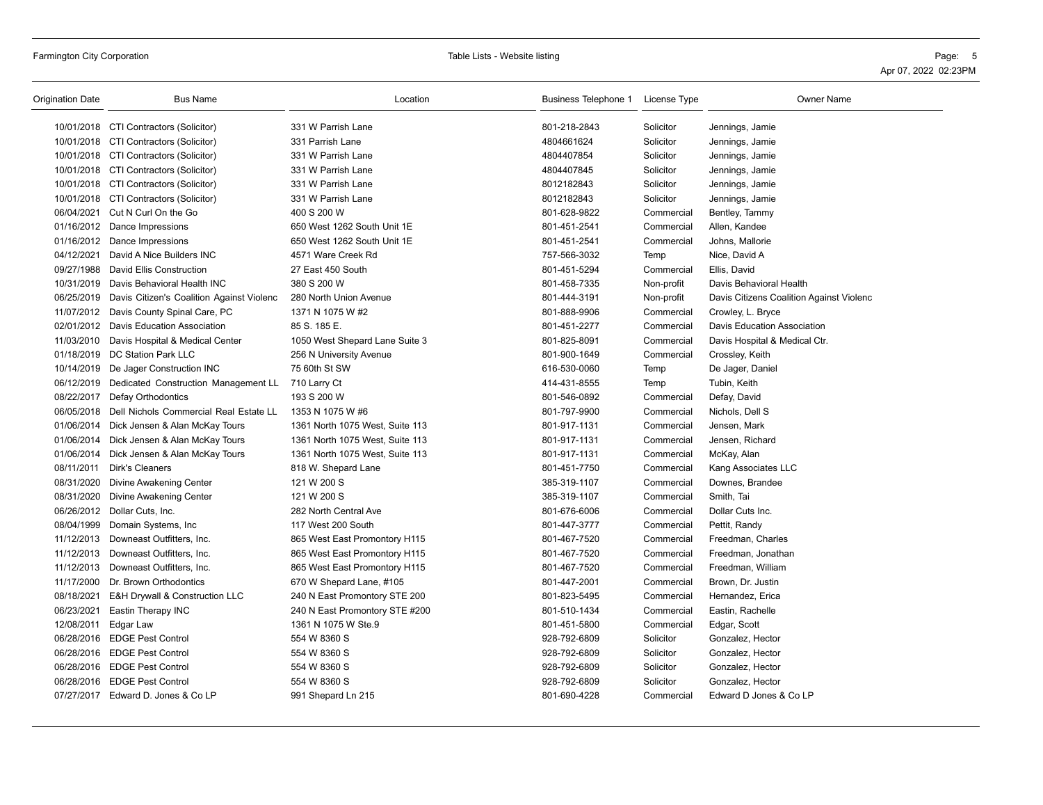| <b>Origination Date</b> | <b>Bus Name</b>                                      | Location                        | Business Telephone 1 | License Type | <b>Owner Name</b>                        |
|-------------------------|------------------------------------------------------|---------------------------------|----------------------|--------------|------------------------------------------|
|                         | 10/01/2018 CTI Contractors (Solicitor)               | 331 W Parrish Lane              | 801-218-2843         | Solicitor    | Jennings, Jamie                          |
|                         | 10/01/2018 CTI Contractors (Solicitor)               | 331 Parrish Lane                | 4804661624           | Solicitor    | Jennings, Jamie                          |
|                         | 10/01/2018 CTI Contractors (Solicitor)               | 331 W Parrish Lane              | 4804407854           | Solicitor    | Jennings, Jamie                          |
|                         | 10/01/2018 CTI Contractors (Solicitor)               | 331 W Parrish Lane              | 4804407845           | Solicitor    | Jennings, Jamie                          |
|                         | 10/01/2018 CTI Contractors (Solicitor)               | 331 W Parrish Lane              | 8012182843           | Solicitor    | Jennings, Jamie                          |
|                         | 10/01/2018 CTI Contractors (Solicitor)               | 331 W Parrish Lane              | 8012182843           | Solicitor    | Jennings, Jamie                          |
|                         | 06/04/2021 Cut N Curl On the Go                      | 400 S 200 W                     | 801-628-9822         | Commercial   | Bentley, Tammy                           |
|                         | 01/16/2012 Dance Impressions                         | 650 West 1262 South Unit 1E     | 801-451-2541         | Commercial   | Allen, Kandee                            |
|                         | 01/16/2012 Dance Impressions                         | 650 West 1262 South Unit 1E     | 801-451-2541         | Commercial   | Johns, Mallorie                          |
| 04/12/2021              | David A Nice Builders INC                            | 4571 Ware Creek Rd              | 757-566-3032         | Temp         | Nice, David A                            |
| 09/27/1988              | David Ellis Construction                             | 27 East 450 South               | 801-451-5294         | Commercial   | Ellis, David                             |
| 10/31/2019              | Davis Behavioral Health INC                          | 380 S 200 W                     | 801-458-7335         | Non-profit   | Davis Behavioral Health                  |
|                         | 06/25/2019 Davis Citizen's Coalition Against Violenc | 280 North Union Avenue          | 801-444-3191         | Non-profit   | Davis Citizens Coalition Against Violenc |
|                         | 11/07/2012 Davis County Spinal Care, PC              | 1371 N 1075 W #2                | 801-888-9906         | Commercial   | Crowley, L. Bryce                        |
|                         | 02/01/2012 Davis Education Association               | 85 S. 185 E.                    | 801-451-2277         | Commercial   | Davis Education Association              |
| 11/03/2010              | Davis Hospital & Medical Center                      | 1050 West Shepard Lane Suite 3  | 801-825-8091         | Commercial   | Davis Hospital & Medical Ctr.            |
|                         | 01/18/2019 DC Station Park LLC                       | 256 N University Avenue         | 801-900-1649         | Commercial   | Crossley, Keith                          |
|                         | 10/14/2019 De Jager Construction INC                 | 75 60th St SW                   | 616-530-0060         | Temp         | De Jager, Daniel                         |
| 06/12/2019              | Dedicated Construction Management LL                 | 710 Larry Ct                    | 414-431-8555         | Temp         | Tubin, Keith                             |
|                         | 08/22/2017 Defay Orthodontics                        | 193 S 200 W                     | 801-546-0892         | Commercial   | Defay, David                             |
|                         | 06/05/2018 Dell Nichols Commercial Real Estate LL    | 1353 N 1075 W #6                | 801-797-9900         | Commercial   | Nichols, Dell S                          |
|                         | 01/06/2014 Dick Jensen & Alan McKay Tours            | 1361 North 1075 West, Suite 113 | 801-917-1131         | Commercial   | Jensen, Mark                             |
|                         | 01/06/2014 Dick Jensen & Alan McKay Tours            | 1361 North 1075 West, Suite 113 | 801-917-1131         | Commercial   | Jensen, Richard                          |
|                         | 01/06/2014 Dick Jensen & Alan McKay Tours            | 1361 North 1075 West, Suite 113 | 801-917-1131         | Commercial   | McKay, Alan                              |
| 08/11/2011              | Dirk's Cleaners                                      | 818 W. Shepard Lane             | 801-451-7750         | Commercial   | Kang Associates LLC                      |
| 08/31/2020              | Divine Awakening Center                              | 121 W 200 S                     | 385-319-1107         | Commercial   | Downes, Brandee                          |
| 08/31/2020              | Divine Awakening Center                              | 121 W 200 S                     | 385-319-1107         | Commercial   | Smith, Tai                               |
|                         | 06/26/2012 Dollar Cuts, Inc.                         | 282 North Central Ave           | 801-676-6006         | Commercial   | Dollar Cuts Inc.                         |
| 08/04/1999              | Domain Systems, Inc                                  | 117 West 200 South              | 801-447-3777         | Commercial   | Pettit, Randy                            |
| 11/12/2013              | Downeast Outfitters, Inc.                            | 865 West East Promontory H115   | 801-467-7520         | Commercial   | Freedman, Charles                        |
| 11/12/2013              | Downeast Outfitters, Inc.                            | 865 West East Promontory H115   | 801-467-7520         | Commercial   | Freedman, Jonathan                       |
| 11/12/2013              | Downeast Outfitters, Inc.                            | 865 West East Promontory H115   | 801-467-7520         | Commercial   | Freedman, William                        |
| 11/17/2000              | Dr. Brown Orthodontics                               | 670 W Shepard Lane, #105        | 801-447-2001         | Commercial   | Brown, Dr. Justin                        |
| 08/18/2021              | E&H Drywall & Construction LLC                       | 240 N East Promontory STE 200   | 801-823-5495         | Commercial   | Hernandez, Erica                         |
| 06/23/2021              | Eastin Therapy INC                                   | 240 N East Promontory STE #200  | 801-510-1434         | Commercial   | Eastin, Rachelle                         |
| 12/08/2011              | Edgar Law                                            | 1361 N 1075 W Ste.9             | 801-451-5800         | Commercial   | Edgar, Scott                             |
|                         | 06/28/2016 EDGE Pest Control                         | 554 W 8360 S                    | 928-792-6809         | Solicitor    | Gonzalez, Hector                         |
|                         | 06/28/2016 EDGE Pest Control                         | 554 W 8360 S                    | 928-792-6809         | Solicitor    | Gonzalez, Hector                         |
|                         | 06/28/2016 EDGE Pest Control                         | 554 W 8360 S                    | 928-792-6809         | Solicitor    | Gonzalez, Hector                         |
|                         | 06/28/2016 EDGE Pest Control                         | 554 W 8360 S                    | 928-792-6809         | Solicitor    | Gonzalez, Hector                         |
|                         | 07/27/2017 Edward D. Jones & Co LP                   | 991 Shepard Ln 215              | 801-690-4228         | Commercial   | Edward D Jones & Co LP                   |
|                         |                                                      |                                 |                      |              |                                          |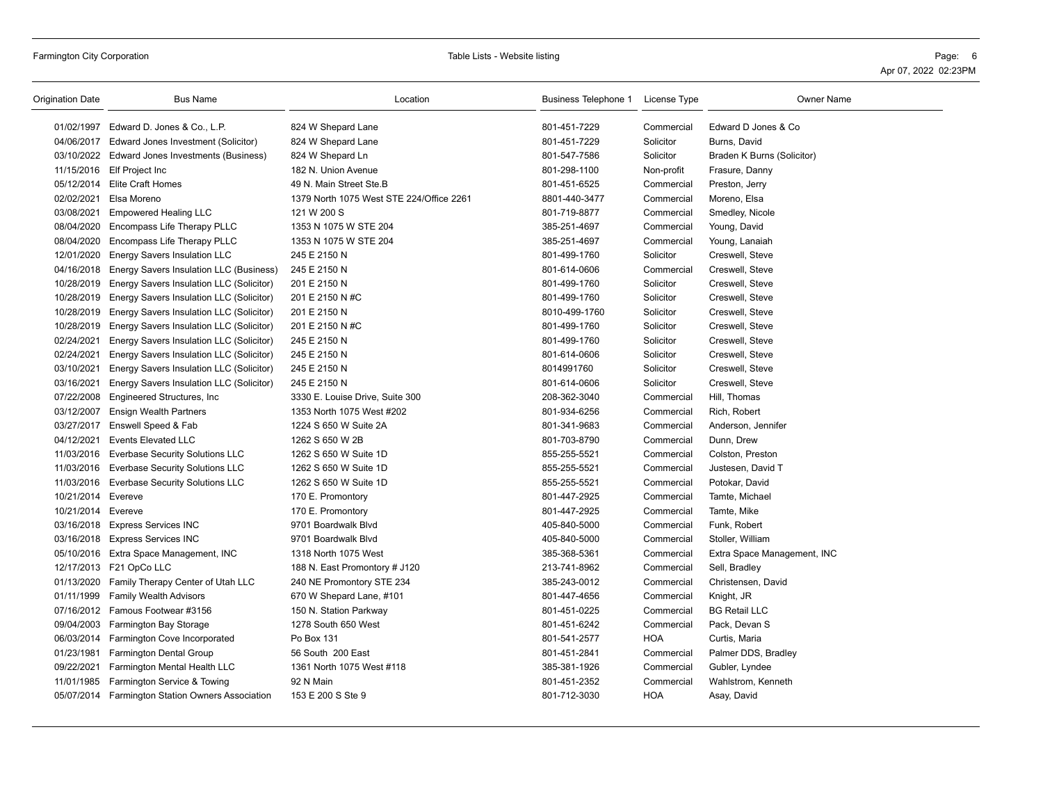| <b>Origination Date</b> | <b>Bus Name</b>                                  | Location                                 | Business Telephone 1 License Type |            | <b>Owner Name</b>           |
|-------------------------|--------------------------------------------------|------------------------------------------|-----------------------------------|------------|-----------------------------|
|                         | 01/02/1997 Edward D. Jones & Co., L.P.           | 824 W Shepard Lane                       | 801-451-7229                      | Commercial | Edward D Jones & Co         |
| 04/06/2017              | Edward Jones Investment (Solicitor)              | 824 W Shepard Lane                       | 801-451-7229                      | Solicitor  | Burns, David                |
|                         | 03/10/2022 Edward Jones Investments (Business)   | 824 W Shepard Ln                         | 801-547-7586                      | Solicitor  | Braden K Burns (Solicitor)  |
|                         | 11/15/2016 Elf Project Inc                       | 182 N. Union Avenue                      | 801-298-1100                      | Non-profit | Frasure, Danny              |
|                         | 05/12/2014 Elite Craft Homes                     | 49 N. Main Street Ste.B                  | 801-451-6525                      | Commercial | Preston, Jerry              |
| 02/02/2021              | Elsa Moreno                                      | 1379 North 1075 West STE 224/Office 2261 | 8801-440-3477                     | Commercial | Moreno, Elsa                |
| 03/08/2021              | <b>Empowered Healing LLC</b>                     | 121 W 200 S                              | 801-719-8877                      | Commercial | Smedley, Nicole             |
| 08/04/2020              | Encompass Life Therapy PLLC                      | 1353 N 1075 W STE 204                    | 385-251-4697                      | Commercial | Young, David                |
| 08/04/2020              | Encompass Life Therapy PLLC                      | 1353 N 1075 W STE 204                    | 385-251-4697                      | Commercial | Young, Lanaiah              |
| 12/01/2020              | <b>Energy Savers Insulation LLC</b>              | 245 E 2150 N                             | 801-499-1760                      | Solicitor  | Creswell, Steve             |
| 04/16/2018              | Energy Savers Insulation LLC (Business)          | 245 E 2150 N                             | 801-614-0606                      | Commercial | Creswell, Steve             |
| 10/28/2019              | Energy Savers Insulation LLC (Solicitor)         | 201 E 2150 N                             | 801-499-1760                      | Solicitor  | Creswell, Steve             |
| 10/28/2019              | Energy Savers Insulation LLC (Solicitor)         | 201 E 2150 N #C                          | 801-499-1760                      | Solicitor  | Creswell, Steve             |
| 10/28/2019              | Energy Savers Insulation LLC (Solicitor)         | 201 E 2150 N                             | 8010-499-1760                     | Solicitor  | Creswell, Steve             |
| 10/28/2019              | Energy Savers Insulation LLC (Solicitor)         | 201 E 2150 N #C                          | 801-499-1760                      | Solicitor  | Creswell, Steve             |
| 02/24/2021              | Energy Savers Insulation LLC (Solicitor)         | 245 E 2150 N                             | 801-499-1760                      | Solicitor  | Creswell, Steve             |
| 02/24/2021              | Energy Savers Insulation LLC (Solicitor)         | 245 E 2150 N                             | 801-614-0606                      | Solicitor  | Creswell, Steve             |
| 03/10/2021              | Energy Savers Insulation LLC (Solicitor)         | 245 E 2150 N                             | 8014991760                        | Solicitor  | Creswell, Steve             |
| 03/16/2021              | Energy Savers Insulation LLC (Solicitor)         | 245 E 2150 N                             | 801-614-0606                      | Solicitor  | Creswell, Steve             |
| 07/22/2008              | Engineered Structures, Inc.                      | 3330 E. Louise Drive, Suite 300          | 208-362-3040                      | Commercial | Hill, Thomas                |
| 03/12/2007              | <b>Ensign Wealth Partners</b>                    | 1353 North 1075 West #202                | 801-934-6256                      | Commercial | Rich, Robert                |
| 03/27/2017              | Enswell Speed & Fab                              | 1224 S 650 W Suite 2A                    | 801-341-9683                      | Commercial | Anderson, Jennifer          |
| 04/12/2021              | <b>Events Elevated LLC</b>                       | 1262 S 650 W 2B                          | 801-703-8790                      | Commercial | Dunn, Drew                  |
| 11/03/2016              | <b>Everbase Security Solutions LLC</b>           | 1262 S 650 W Suite 1D                    | 855-255-5521                      | Commercial | Colston, Preston            |
| 11/03/2016              | <b>Everbase Security Solutions LLC</b>           | 1262 S 650 W Suite 1D                    | 855-255-5521                      | Commercial | Justesen, David T           |
| 11/03/2016              | <b>Everbase Security Solutions LLC</b>           | 1262 S 650 W Suite 1D                    | 855-255-5521                      | Commercial | Potokar, David              |
| 10/21/2014 Evereve      |                                                  | 170 E. Promontory                        | 801-447-2925                      | Commercial | Tamte, Michael              |
| 10/21/2014 Evereve      |                                                  | 170 E. Promontory                        | 801-447-2925                      | Commercial | Tamte, Mike                 |
|                         | 03/16/2018 Express Services INC                  | 9701 Boardwalk Blvd                      | 405-840-5000                      | Commercial | Funk, Robert                |
| 03/16/2018              | <b>Express Services INC</b>                      | 9701 Boardwalk Blvd                      | 405-840-5000                      | Commercial | Stoller, William            |
|                         | 05/10/2016 Extra Space Management, INC           | 1318 North 1075 West                     | 385-368-5361                      | Commercial | Extra Space Management, INC |
|                         | 12/17/2013 F21 OpCo LLC                          | 188 N. East Promontory # J120            | 213-741-8962                      | Commercial | Sell, Bradley               |
| 01/13/2020              | Family Therapy Center of Utah LLC                | 240 NE Promontory STE 234                | 385-243-0012                      | Commercial | Christensen, David          |
|                         | 01/11/1999 Family Wealth Advisors                | 670 W Shepard Lane, #101                 | 801-447-4656                      | Commercial | Knight, JR                  |
|                         | 07/16/2012 Famous Footwear #3156                 | 150 N. Station Parkway                   | 801-451-0225                      | Commercial | <b>BG Retail LLC</b>        |
|                         | 09/04/2003 Farmington Bay Storage                | 1278 South 650 West                      | 801-451-6242                      | Commercial | Pack, Devan S               |
|                         | 06/03/2014 Farmington Cove Incorporated          | Po Box 131                               | 801-541-2577                      | <b>HOA</b> | Curtis, Maria               |
| 01/23/1981              | <b>Farmington Dental Group</b>                   | 56 South 200 East                        | 801-451-2841                      | Commercial | Palmer DDS, Bradley         |
| 09/22/2021              | Farmington Mental Health LLC                     | 1361 North 1075 West #118                | 385-381-1926                      | Commercial | Gubler, Lyndee              |
| 11/01/1985              | Farmington Service & Towing                      | 92 N Main                                | 801-451-2352                      | Commercial | Wahlstrom, Kenneth          |
|                         | 05/07/2014 Farmington Station Owners Association | 153 E 200 S Ste 9                        | 801-712-3030                      | <b>HOA</b> | Asay, David                 |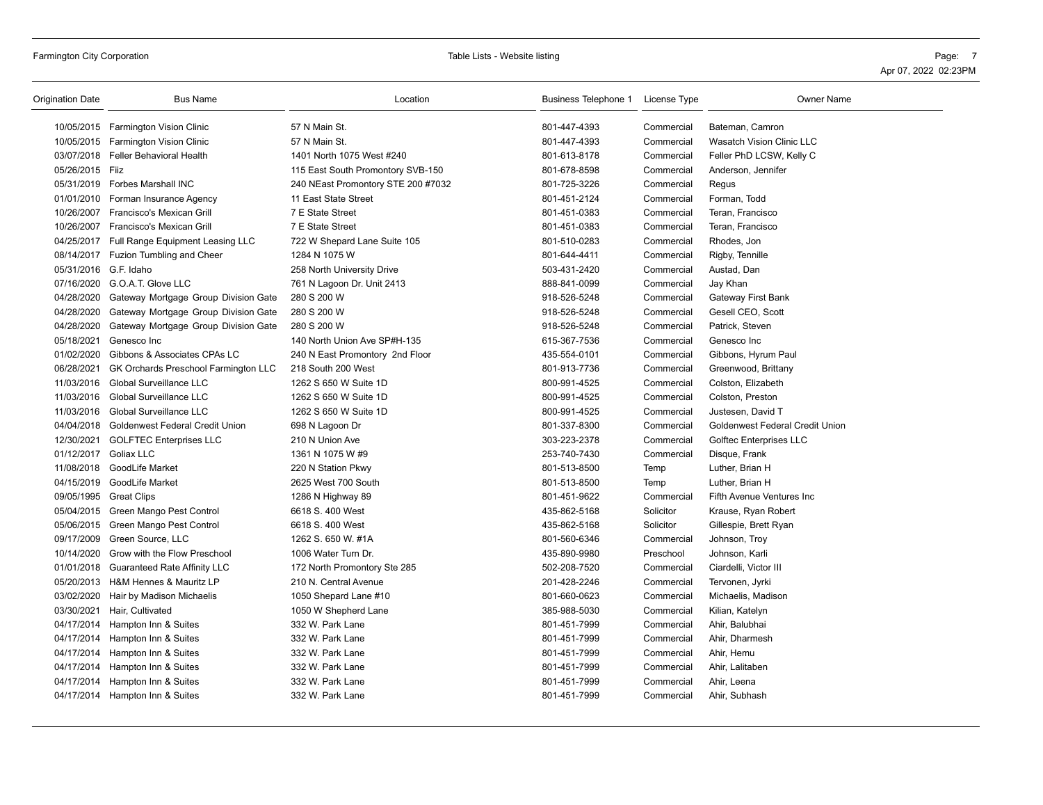# Farmington City Corporation **Table City Corporation** Page: 7

| <b>Origination Date</b> | <b>Bus Name</b>                                 | Location                           | Business Telephone 1 | License Type | <b>Owner Name</b>                |
|-------------------------|-------------------------------------------------|------------------------------------|----------------------|--------------|----------------------------------|
|                         | 10/05/2015 Farmington Vision Clinic             | 57 N Main St.                      | 801-447-4393         | Commercial   | Bateman, Camron                  |
|                         | 10/05/2015 Farmington Vision Clinic             | 57 N Main St.                      | 801-447-4393         | Commercial   | <b>Wasatch Vision Clinic LLC</b> |
|                         | 03/07/2018 Feller Behavioral Health             | 1401 North 1075 West #240          | 801-613-8178         | Commercial   | Feller PhD LCSW, Kelly C         |
| 05/26/2015 Fiiz         |                                                 | 115 East South Promontory SVB-150  | 801-678-8598         | Commercial   | Anderson, Jennifer               |
|                         | 05/31/2019 Forbes Marshall INC                  | 240 NEast Promontory STE 200 #7032 | 801-725-3226         | Commercial   | Regus                            |
|                         | 01/01/2010 Forman Insurance Agency              | 11 East State Street               | 801-451-2124         | Commercial   | Forman, Todd                     |
|                         | 10/26/2007 Francisco's Mexican Grill            | 7 E State Street                   | 801-451-0383         | Commercial   | Teran, Francisco                 |
|                         | 10/26/2007 Francisco's Mexican Grill            | 7 E State Street                   | 801-451-0383         | Commercial   | Teran, Francisco                 |
|                         | 04/25/2017 Full Range Equipment Leasing LLC     | 722 W Shepard Lane Suite 105       | 801-510-0283         | Commercial   | Rhodes, Jon                      |
|                         | 08/14/2017 Fuzion Tumbling and Cheer            | 1284 N 1075 W                      | 801-644-4411         | Commercial   | Rigby, Tennille                  |
| 05/31/2016 G.F. Idaho   |                                                 | 258 North University Drive         | 503-431-2420         | Commercial   | Austad, Dan                      |
|                         | 07/16/2020 G.O.A.T. Glove LLC                   | 761 N Lagoon Dr. Unit 2413         | 888-841-0099         | Commercial   | Jay Khan                         |
|                         | 04/28/2020 Gateway Mortgage Group Division Gate | 280 S 200 W                        | 918-526-5248         | Commercial   | Gateway First Bank               |
| 04/28/2020              | Gateway Mortgage Group Division Gate            | 280 S 200 W                        | 918-526-5248         | Commercial   | Gesell CEO, Scott                |
| 04/28/2020              | Gateway Mortgage Group Division Gate            | 280 S 200 W                        | 918-526-5248         | Commercial   | Patrick, Steven                  |
| 05/18/2021              | Genesco Inc                                     | 140 North Union Ave SP#H-135       | 615-367-7536         | Commercial   | Genesco Inc                      |
| 01/02/2020              | Gibbons & Associates CPAs LC                    | 240 N East Promontory 2nd Floor    | 435-554-0101         | Commercial   | Gibbons, Hyrum Paul              |
| 06/28/2021              | GK Orchards Preschool Farmington LLC            | 218 South 200 West                 | 801-913-7736         | Commercial   | Greenwood, Brittany              |
| 11/03/2016              | Global Surveillance LLC                         | 1262 S 650 W Suite 1D              | 800-991-4525         | Commercial   | Colston, Elizabeth               |
|                         | 11/03/2016 Global Surveillance LLC              | 1262 S 650 W Suite 1D              | 800-991-4525         | Commercial   | Colston, Preston                 |
|                         | 11/03/2016 Global Surveillance LLC              | 1262 S 650 W Suite 1D              | 800-991-4525         | Commercial   | Justesen, David T                |
|                         | 04/04/2018 Goldenwest Federal Credit Union      | 698 N Lagoon Dr                    | 801-337-8300         | Commercial   | Goldenwest Federal Credit Union  |
|                         | 12/30/2021 GOLFTEC Enterprises LLC              | 210 N Union Ave                    | 303-223-2378         | Commercial   | <b>Golftec Enterprises LLC</b>   |
| 01/12/2017 Goliax LLC   |                                                 | 1361 N 1075 W #9                   | 253-740-7430         | Commercial   | Disque, Frank                    |
|                         | 11/08/2018 GoodLife Market                      | 220 N Station Pkwy                 | 801-513-8500         | Temp         | Luther, Brian H                  |
|                         | 04/15/2019 GoodLife Market                      | 2625 West 700 South                | 801-513-8500         | Temp         | Luther, Brian H                  |
|                         | 09/05/1995 Great Clips                          | 1286 N Highway 89                  | 801-451-9622         | Commercial   | Fifth Avenue Ventures Inc        |
|                         | 05/04/2015 Green Mango Pest Control             | 6618 S. 400 West                   | 435-862-5168         | Solicitor    | Krause, Ryan Robert              |
|                         | 05/06/2015 Green Mango Pest Control             | 6618 S. 400 West                   | 435-862-5168         | Solicitor    | Gillespie, Brett Ryan            |
|                         | 09/17/2009 Green Source, LLC                    | 1262 S. 650 W. #1A                 | 801-560-6346         | Commercial   | Johnson, Troy                    |
| 10/14/2020              | Grow with the Flow Preschool                    | 1006 Water Turn Dr.                | 435-890-9980         | Preschool    | Johnson, Karli                   |
|                         | 01/01/2018 Guaranteed Rate Affinity LLC         | 172 North Promontory Ste 285       | 502-208-7520         | Commercial   | Ciardelli, Victor III            |
|                         | 05/20/2013 H&M Hennes & Mauritz LP              | 210 N. Central Avenue              | 201-428-2246         | Commercial   | Tervonen, Jyrki                  |
|                         | 03/02/2020 Hair by Madison Michaelis            | 1050 Shepard Lane #10              | 801-660-0623         | Commercial   | Michaelis, Madison               |
|                         | 03/30/2021 Hair, Cultivated                     | 1050 W Shepherd Lane               | 385-988-5030         | Commercial   | Kilian, Katelyn                  |
|                         | 04/17/2014 Hampton Inn & Suites                 | 332 W. Park Lane                   | 801-451-7999         | Commercial   | Ahir, Balubhai                   |
|                         | 04/17/2014 Hampton Inn & Suites                 | 332 W. Park Lane                   | 801-451-7999         | Commercial   | Ahir, Dharmesh                   |
|                         | 04/17/2014 Hampton Inn & Suites                 | 332 W. Park Lane                   | 801-451-7999         | Commercial   | Ahir, Hemu                       |
|                         | 04/17/2014 Hampton Inn & Suites                 | 332 W. Park Lane                   | 801-451-7999         | Commercial   | Ahir, Lalitaben                  |
|                         | 04/17/2014 Hampton Inn & Suites                 | 332 W. Park Lane                   | 801-451-7999         | Commercial   | Ahir, Leena                      |
|                         | 04/17/2014 Hampton Inn & Suites                 | 332 W. Park Lane                   | 801-451-7999         | Commercial   | Ahir, Subhash                    |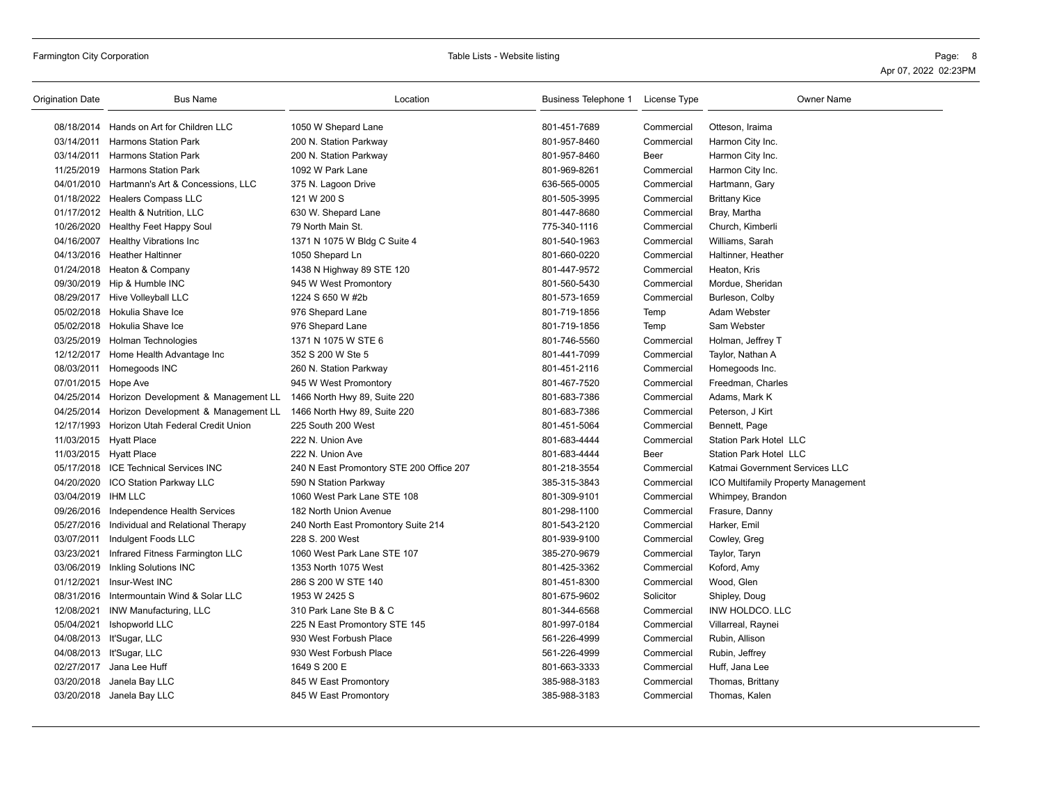| Origination Date       | <b>Bus Name</b>                                | Location                                 | Business Telephone 1 License Type |            | <b>Owner Name</b>                   |
|------------------------|------------------------------------------------|------------------------------------------|-----------------------------------|------------|-------------------------------------|
|                        | 08/18/2014 Hands on Art for Children LLC       | 1050 W Shepard Lane                      | 801-451-7689                      | Commercial | Otteson, Iraima                     |
| 03/14/2011             | <b>Harmons Station Park</b>                    | 200 N. Station Parkway                   | 801-957-8460                      | Commercial | Harmon City Inc.                    |
| 03/14/2011             | <b>Harmons Station Park</b>                    | 200 N. Station Parkway                   | 801-957-8460                      | Beer       | Harmon City Inc.                    |
|                        | 11/25/2019 Harmons Station Park                | 1092 W Park Lane                         | 801-969-8261                      | Commercial | Harmon City Inc.                    |
|                        | 04/01/2010 Hartmann's Art & Concessions, LLC   | 375 N. Lagoon Drive                      | 636-565-0005                      | Commercial | Hartmann, Gary                      |
|                        | 01/18/2022 Healers Compass LLC                 | 121 W 200 S                              | 801-505-3995                      | Commercial | <b>Brittany Kice</b>                |
|                        | 01/17/2012 Health & Nutrition, LLC             | 630 W. Shepard Lane                      | 801-447-8680                      | Commercial | Bray, Martha                        |
|                        | 10/26/2020 Healthy Feet Happy Soul             | 79 North Main St.                        | 775-340-1116                      | Commercial | Church, Kimberli                    |
| 04/16/2007             | <b>Healthy Vibrations Inc</b>                  | 1371 N 1075 W Bldg C Suite 4             | 801-540-1963                      | Commercial | Williams, Sarah                     |
|                        | 04/13/2016 Heather Haltinner                   | 1050 Shepard Ln                          | 801-660-0220                      | Commercial | Haltinner, Heather                  |
|                        | 01/24/2018 Heaton & Company                    | 1438 N Highway 89 STE 120                | 801-447-9572                      | Commercial | Heaton, Kris                        |
|                        | 09/30/2019 Hip & Humble INC                    | 945 W West Promontory                    | 801-560-5430                      | Commercial | Mordue, Sheridan                    |
|                        | 08/29/2017 Hive Volleyball LLC                 | 1224 S 650 W #2b                         | 801-573-1659                      | Commercial | Burleson, Colby                     |
|                        | 05/02/2018 Hokulia Shave Ice                   | 976 Shepard Lane                         | 801-719-1856                      | Temp       | Adam Webster                        |
|                        | 05/02/2018 Hokulia Shave Ice                   | 976 Shepard Lane                         | 801-719-1856                      | Temp       | Sam Webster                         |
|                        | 03/25/2019 Holman Technologies                 | 1371 N 1075 W STE 6                      | 801-746-5560                      | Commercial | Holman, Jeffrey T                   |
|                        | 12/12/2017 Home Health Advantage Inc           | 352 S 200 W Ste 5                        | 801-441-7099                      | Commercial | Taylor, Nathan A                    |
| 08/03/2011             | Homegoods INC                                  | 260 N. Station Parkway                   | 801-451-2116                      | Commercial | Homegoods Inc.                      |
| 07/01/2015 Hope Ave    |                                                | 945 W West Promontory                    | 801-467-7520                      | Commercial | Freedman, Charles                   |
|                        | 04/25/2014 Horizon Development & Management LL | 1466 North Hwy 89, Suite 220             | 801-683-7386                      | Commercial | Adams, Mark K                       |
|                        | 04/25/2014 Horizon Development & Management LL | 1466 North Hwy 89, Suite 220             | 801-683-7386                      | Commercial | Peterson, J Kirt                    |
|                        | 12/17/1993 Horizon Utah Federal Credit Union   | 225 South 200 West                       | 801-451-5064                      | Commercial | Bennett, Page                       |
| 11/03/2015 Hyatt Place |                                                | 222 N. Union Ave                         | 801-683-4444                      | Commercial | Station Park Hotel LLC              |
| 11/03/2015 Hyatt Place |                                                | 222 N. Union Ave                         | 801-683-4444                      | Beer       | <b>Station Park Hotel LLC</b>       |
|                        | 05/17/2018 ICE Technical Services INC          | 240 N East Promontory STE 200 Office 207 | 801-218-3554                      | Commercial | Katmai Government Services LLC      |
|                        | 04/20/2020 ICO Station Parkway LLC             | 590 N Station Parkway                    | 385-315-3843                      | Commercial | ICO Multifamily Property Management |
| 03/04/2019 IHM LLC     |                                                | 1060 West Park Lane STE 108              | 801-309-9101                      | Commercial | Whimpey, Brandon                    |
|                        | 09/26/2016 Independence Health Services        | 182 North Union Avenue                   | 801-298-1100                      | Commercial | Frasure, Danny                      |
|                        | 05/27/2016 Individual and Relational Therapy   | 240 North East Promontory Suite 214      | 801-543-2120                      | Commercial | Harker, Emil                        |
| 03/07/2011             | Indulgent Foods LLC                            | 228 S. 200 West                          | 801-939-9100                      | Commercial | Cowley, Greg                        |
| 03/23/2021             | Infrared Fitness Farmington LLC                | 1060 West Park Lane STE 107              | 385-270-9679                      | Commercial | Taylor, Taryn                       |
|                        | 03/06/2019 Inkling Solutions INC               | 1353 North 1075 West                     | 801-425-3362                      | Commercial | Koford, Amy                         |
| 01/12/2021             | Insur-West INC                                 | 286 S 200 W STE 140                      | 801-451-8300                      | Commercial | Wood, Glen                          |
|                        | 08/31/2016 Intermountain Wind & Solar LLC      | 1953 W 2425 S                            | 801-675-9602                      | Solicitor  | Shipley, Doug                       |
| 12/08/2021             | INW Manufacturing, LLC                         | 310 Park Lane Ste B & C                  | 801-344-6568                      | Commercial | INW HOLDCO. LLC                     |
|                        | 05/04/2021 Ishopworld LLC                      | 225 N East Promontory STE 145            | 801-997-0184                      | Commercial | Villarreal, Raynei                  |
|                        | 04/08/2013 It'Sugar, LLC                       | 930 West Forbush Place                   | 561-226-4999                      | Commercial | Rubin, Allison                      |
|                        | 04/08/2013 It'Sugar, LLC                       | 930 West Forbush Place                   | 561-226-4999                      | Commercial | Rubin, Jeffrey                      |
|                        | 02/27/2017 Jana Lee Huff                       | 1649 S 200 E                             | 801-663-3333                      | Commercial | Huff, Jana Lee                      |
| 03/20/2018             | Janela Bay LLC                                 | 845 W East Promontory                    | 385-988-3183                      | Commercial | Thomas, Brittany                    |
|                        | 03/20/2018 Janela Bay LLC                      | 845 W East Promontory                    | 385-988-3183                      | Commercial | Thomas, Kalen                       |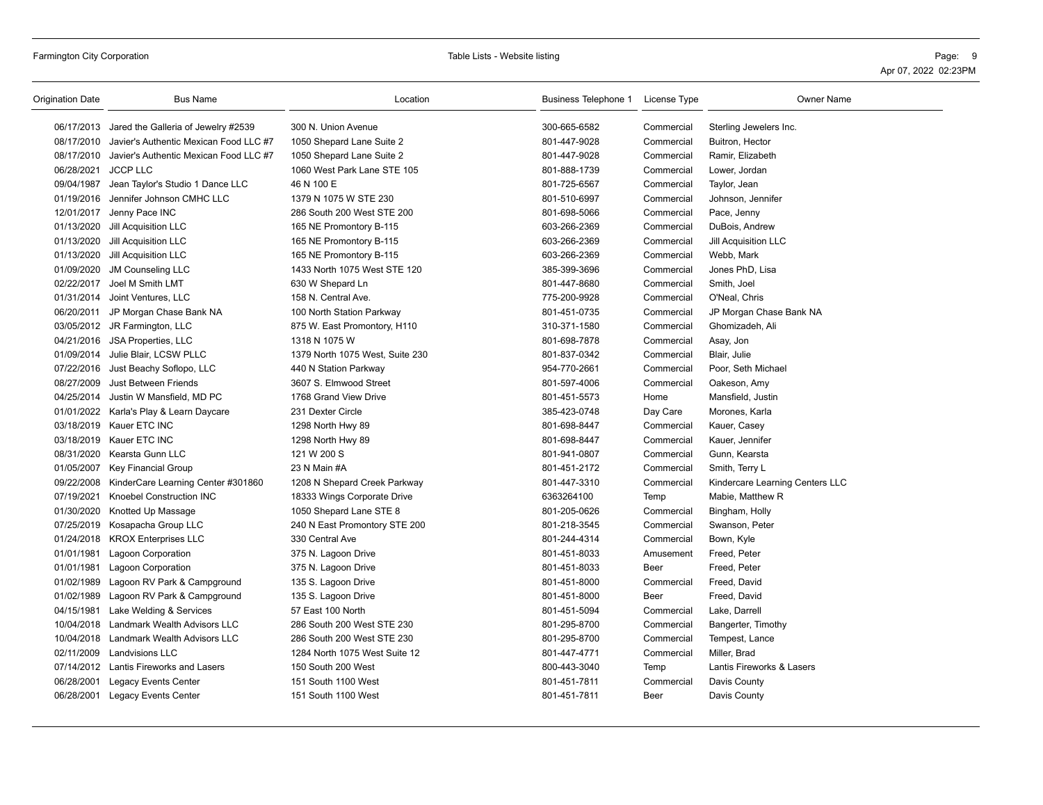| Origination Date    | <b>Bus Name</b>                                | Location                        | Business Telephone 1 | License Type | <b>Owner Name</b>               |
|---------------------|------------------------------------------------|---------------------------------|----------------------|--------------|---------------------------------|
|                     | 06/17/2013 Jared the Galleria of Jewelry #2539 | 300 N. Union Avenue             | 300-665-6582         | Commercial   | Sterling Jewelers Inc.          |
| 08/17/2010          | Javier's Authentic Mexican Food LLC #7         | 1050 Shepard Lane Suite 2       | 801-447-9028         | Commercial   | Buitron, Hector                 |
| 08/17/2010          | Javier's Authentic Mexican Food LLC #7         | 1050 Shepard Lane Suite 2       | 801-447-9028         | Commercial   | Ramir, Elizabeth                |
| 06/28/2021 JCCP LLC |                                                | 1060 West Park Lane STE 105     | 801-888-1739         | Commercial   | Lower, Jordan                   |
| 09/04/1987          | Jean Taylor's Studio 1 Dance LLC               | 46 N 100 E                      | 801-725-6567         | Commercial   | Taylor, Jean                    |
|                     | 01/19/2016 Jennifer Johnson CMHC LLC           | 1379 N 1075 W STE 230           | 801-510-6997         | Commercial   | Johnson, Jennifer               |
|                     | 12/01/2017 Jenny Pace INC                      | 286 South 200 West STE 200      | 801-698-5066         | Commercial   | Pace, Jenny                     |
|                     | 01/13/2020 Jill Acquisition LLC                | 165 NE Promontory B-115         | 603-266-2369         | Commercial   | DuBois, Andrew                  |
|                     | 01/13/2020 Jill Acquisition LLC                | 165 NE Promontory B-115         | 603-266-2369         | Commercial   | Jill Acquisition LLC            |
| 01/13/2020          | Jill Acquisition LLC                           | 165 NE Promontory B-115         | 603-266-2369         | Commercial   | Webb, Mark                      |
| 01/09/2020          | <b>JM Counseling LLC</b>                       | 1433 North 1075 West STE 120    | 385-399-3696         | Commercial   | Jones PhD, Lisa                 |
|                     | 02/22/2017 Joel M Smith LMT                    | 630 W Shepard Ln                | 801-447-8680         | Commercial   | Smith, Joel                     |
|                     | 01/31/2014 Joint Ventures, LLC                 | 158 N. Central Ave.             | 775-200-9928         | Commercial   | O'Neal, Chris                   |
|                     | 06/20/2011 JP Morgan Chase Bank NA             | 100 North Station Parkway       | 801-451-0735         | Commercial   | JP Morgan Chase Bank NA         |
|                     | 03/05/2012 JR Farmington, LLC                  | 875 W. East Promontory, H110    | 310-371-1580         | Commercial   | Ghomizadeh, Ali                 |
| 04/21/2016          | JSA Properties, LLC                            | 1318 N 1075 W                   | 801-698-7878         | Commercial   | Asay, Jon                       |
|                     | 01/09/2014 Julie Blair, LCSW PLLC              | 1379 North 1075 West, Suite 230 | 801-837-0342         | Commercial   | Blair, Julie                    |
| 07/22/2016          | Just Beachy Soflopo, LLC                       | 440 N Station Parkway           | 954-770-2661         | Commercial   | Poor, Seth Michael              |
| 08/27/2009          | Just Between Friends                           | 3607 S. Elmwood Street          | 801-597-4006         | Commercial   | Oakeson, Amy                    |
|                     | 04/25/2014 Justin W Mansfield, MD PC           | 1768 Grand View Drive           | 801-451-5573         | Home         | Mansfield, Justin               |
|                     | 01/01/2022 Karla's Play & Learn Daycare        | 231 Dexter Circle               | 385-423-0748         | Day Care     | Morones, Karla                  |
|                     | 03/18/2019 Kauer ETC INC                       | 1298 North Hwy 89               | 801-698-8447         | Commercial   | Kauer, Casey                    |
|                     | 03/18/2019 Kauer ETC INC                       | 1298 North Hwy 89               | 801-698-8447         | Commercial   | Kauer, Jennifer                 |
|                     | 08/31/2020 Kearsta Gunn LLC                    | 121 W 200 S                     | 801-941-0807         | Commercial   | Gunn, Kearsta                   |
|                     | 01/05/2007 Key Financial Group                 | 23 N Main #A                    | 801-451-2172         | Commercial   | Smith, Terry L                  |
| 09/22/2008          | KinderCare Learning Center #301860             | 1208 N Shepard Creek Parkway    | 801-447-3310         | Commercial   | Kindercare Learning Centers LLC |
| 07/19/2021          | <b>Knoebel Construction INC</b>                | 18333 Wings Corporate Drive     | 6363264100           | Temp         | Mabie, Matthew R                |
|                     | 01/30/2020 Knotted Up Massage                  | 1050 Shepard Lane STE 8         | 801-205-0626         | Commercial   | Bingham, Holly                  |
|                     | 07/25/2019 Kosapacha Group LLC                 | 240 N East Promontory STE 200   | 801-218-3545         | Commercial   | Swanson, Peter                  |
|                     | 01/24/2018 KROX Enterprises LLC                | 330 Central Ave                 | 801-244-4314         | Commercial   | Bown, Kyle                      |
| 01/01/1981          | <b>Lagoon Corporation</b>                      | 375 N. Lagoon Drive             | 801-451-8033         | Amusement    | Freed, Peter                    |
| 01/01/1981          | <b>Lagoon Corporation</b>                      | 375 N. Lagoon Drive             | 801-451-8033         | Beer         | Freed, Peter                    |
|                     | 01/02/1989 Lagoon RV Park & Campground         | 135 S. Lagoon Drive             | 801-451-8000         | Commercial   | Freed, David                    |
|                     | 01/02/1989 Lagoon RV Park & Campground         | 135 S. Lagoon Drive             | 801-451-8000         | Beer         | Freed, David                    |
|                     | 04/15/1981 Lake Welding & Services             | 57 East 100 North               | 801-451-5094         | Commercial   | Lake, Darrell                   |
|                     | 10/04/2018 Landmark Wealth Advisors LLC        | 286 South 200 West STE 230      | 801-295-8700         | Commercial   | Bangerter, Timothy              |
|                     | 10/04/2018 Landmark Wealth Advisors LLC        | 286 South 200 West STE 230      | 801-295-8700         | Commercial   | Tempest, Lance                  |
|                     | 02/11/2009 Landvisions LLC                     | 1284 North 1075 West Suite 12   | 801-447-4771         | Commercial   | Miller, Brad                    |
|                     | 07/14/2012 Lantis Fireworks and Lasers         | 150 South 200 West              | 800-443-3040         | Temp         | Lantis Fireworks & Lasers       |
| 06/28/2001          | <b>Legacy Events Center</b>                    | 151 South 1100 West             | 801-451-7811         | Commercial   | Davis County                    |
|                     | 06/28/2001 Legacy Events Center                | 151 South 1100 West             | 801-451-7811         | Beer         | Davis County                    |
|                     |                                                |                                 |                      |              |                                 |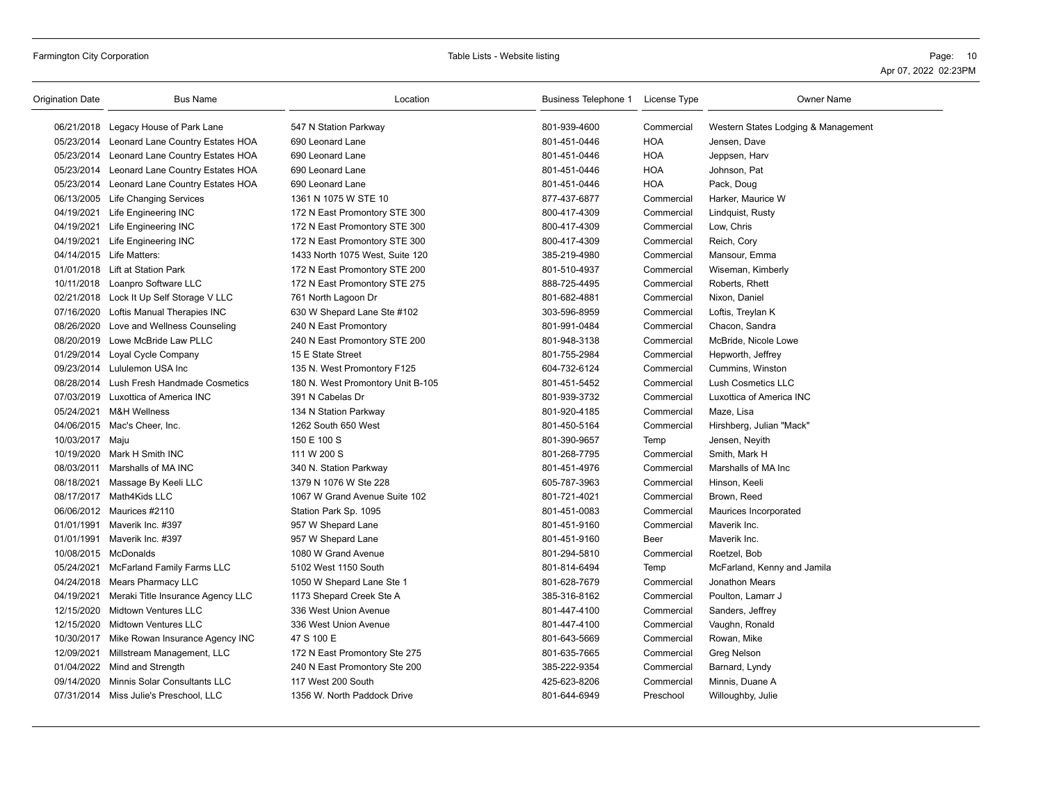| <b>Origination Date</b> | <b>Bus Name</b>                              | Location                          | Business Telephone 1 License Type |             | <b>Owner Name</b>                   |
|-------------------------|----------------------------------------------|-----------------------------------|-----------------------------------|-------------|-------------------------------------|
|                         | 06/21/2018 Legacy House of Park Lane         | 547 N Station Parkway             | 801-939-4600                      | Commercial  | Western States Lodging & Management |
|                         | 05/23/2014 Leonard Lane Country Estates HOA  | 690 Leonard Lane                  | 801-451-0446                      | <b>HOA</b>  | Jensen, Dave                        |
|                         | 05/23/2014 Leonard Lane Country Estates HOA  | 690 Leonard Lane                  | 801-451-0446                      | <b>HOA</b>  | Jeppsen, Harv                       |
|                         | 05/23/2014 Leonard Lane Country Estates HOA  | 690 Leonard Lane                  | 801-451-0446                      | <b>HOA</b>  | Johnson, Pat                        |
|                         | 05/23/2014 Leonard Lane Country Estates HOA  | 690 Leonard Lane                  | 801-451-0446                      | <b>HOA</b>  | Pack, Doug                          |
|                         | 06/13/2005 Life Changing Services            | 1361 N 1075 W STE 10              | 877-437-6877                      | Commercial  | Harker, Maurice W                   |
|                         | 04/19/2021 Life Engineering INC              | 172 N East Promontory STE 300     | 800-417-4309                      | Commercial  | Lindquist, Rusty                    |
| 04/19/2021              | Life Engineering INC                         | 172 N East Promontory STE 300     | 800-417-4309                      | Commercial  | Low, Chris                          |
|                         | 04/19/2021 Life Engineering INC              | 172 N East Promontory STE 300     | 800-417-4309                      | Commercial  | Reich, Cory                         |
|                         | 04/14/2015 Life Matters:                     | 1433 North 1075 West, Suite 120   | 385-219-4980                      | Commercial  | Mansour, Emma                       |
|                         | 01/01/2018 Lift at Station Park              | 172 N East Promontory STE 200     | 801-510-4937                      | Commercial  | Wiseman, Kimberly                   |
|                         | 10/11/2018 Loanpro Software LLC              | 172 N East Promontory STE 275     | 888-725-4495                      | Commercial  | Roberts, Rhett                      |
|                         | 02/21/2018 Lock It Up Self Storage V LLC     | 761 North Lagoon Dr               | 801-682-4881                      | Commercial  | Nixon, Daniel                       |
|                         | 07/16/2020 Loftis Manual Therapies INC       | 630 W Shepard Lane Ste #102       | 303-596-8959                      | Commercial  | Loftis, Treylan K                   |
| 08/26/2020              | Love and Wellness Counseling                 | 240 N East Promontory             | 801-991-0484                      | Commercial  | Chacon, Sandra                      |
|                         | 08/20/2019 Lowe McBride Law PLLC             | 240 N East Promontory STE 200     | 801-948-3138                      | Commercial  | McBride, Nicole Lowe                |
|                         | 01/29/2014 Loyal Cycle Company               | 15 E State Street                 | 801-755-2984                      | Commercial  | Hepworth, Jeffrey                   |
|                         | 09/23/2014 Lululemon USA Inc                 | 135 N. West Promontory F125       | 604-732-6124                      | Commercial  | Cummins, Winston                    |
|                         | 08/28/2014 Lush Fresh Handmade Cosmetics     | 180 N. West Promontory Unit B-105 | 801-451-5452                      | Commercial  | <b>Lush Cosmetics LLC</b>           |
|                         | 07/03/2019 Luxottica of America INC          | 391 N Cabelas Dr                  | 801-939-3732                      | Commercial  | Luxottica of America INC            |
|                         | 05/24/2021 M&H Wellness                      | 134 N Station Parkway             | 801-920-4185                      | Commercial  | Maze, Lisa                          |
|                         | 04/06/2015 Mac's Cheer, Inc.                 | 1262 South 650 West               | 801-450-5164                      | Commercial  | Hirshberg, Julian "Mack"            |
| 10/03/2017 Maju         |                                              | 150 E 100 S                       | 801-390-9657                      | Temp        | Jensen, Neyith                      |
|                         | 10/19/2020 Mark H Smith INC                  | 111 W 200 S                       | 801-268-7795                      | Commercial  | Smith, Mark H                       |
|                         | 08/03/2011 Marshalls of MA INC               | 340 N. Station Parkway            | 801-451-4976                      | Commercial  | Marshalls of MA Inc                 |
|                         | 08/18/2021 Massage By Keeli LLC              | 1379 N 1076 W Ste 228             | 605-787-3963                      | Commercial  | Hinson, Keeli                       |
|                         | 08/17/2017 Math4Kids LLC                     | 1067 W Grand Avenue Suite 102     | 801-721-4021                      | Commercial  | Brown, Reed                         |
|                         | 06/06/2012 Maurices #2110                    | Station Park Sp. 1095             | 801-451-0083                      | Commercial  | Maurices Incorporated               |
|                         | 01/01/1991 Maverik Inc. #397                 | 957 W Shepard Lane                | 801-451-9160                      | Commercial  | Maverik Inc.                        |
|                         | 01/01/1991 Maverik Inc. #397                 | 957 W Shepard Lane                | 801-451-9160                      | <b>Beer</b> | Maverik Inc.                        |
| 10/08/2015 McDonalds    |                                              | 1080 W Grand Avenue               | 801-294-5810                      | Commercial  | Roetzel, Bob                        |
| 05/24/2021              | McFarland Family Farms LLC                   | 5102 West 1150 South              | 801-814-6494                      | Temp        | McFarland, Kenny and Jamila         |
|                         | 04/24/2018 Mears Pharmacy LLC                | 1050 W Shepard Lane Ste 1         | 801-628-7679                      | Commercial  | Jonathon Mears                      |
|                         | 04/19/2021 Meraki Title Insurance Agency LLC | 1173 Shepard Creek Ste A          | 385-316-8162                      | Commercial  | Poulton, Lamarr J                   |
| 12/15/2020              | <b>Midtown Ventures LLC</b>                  | 336 West Union Avenue             | 801-447-4100                      | Commercial  | Sanders, Jeffrey                    |
| 12/15/2020              | <b>Midtown Ventures LLC</b>                  | 336 West Union Avenue             | 801-447-4100                      | Commercial  | Vaughn, Ronald                      |
|                         | 10/30/2017 Mike Rowan Insurance Agency INC   | 47 S 100 E                        | 801-643-5669                      | Commercial  | Rowan, Mike                         |
|                         | 12/09/2021 Millstream Management, LLC        | 172 N East Promontory Ste 275     | 801-635-7665                      | Commercial  | Greg Nelson                         |
|                         | 01/04/2022 Mind and Strength                 | 240 N East Promontory Ste 200     | 385-222-9354                      | Commercial  | Barnard, Lyndy                      |
|                         | 09/14/2020 Minnis Solar Consultants LLC      | 117 West 200 South                | 425-623-8206                      | Commercial  | Minnis, Duane A                     |
|                         | 07/31/2014 Miss Julie's Preschool, LLC       | 1356 W. North Paddock Drive       | 801-644-6949                      | Preschool   | Willoughby, Julie                   |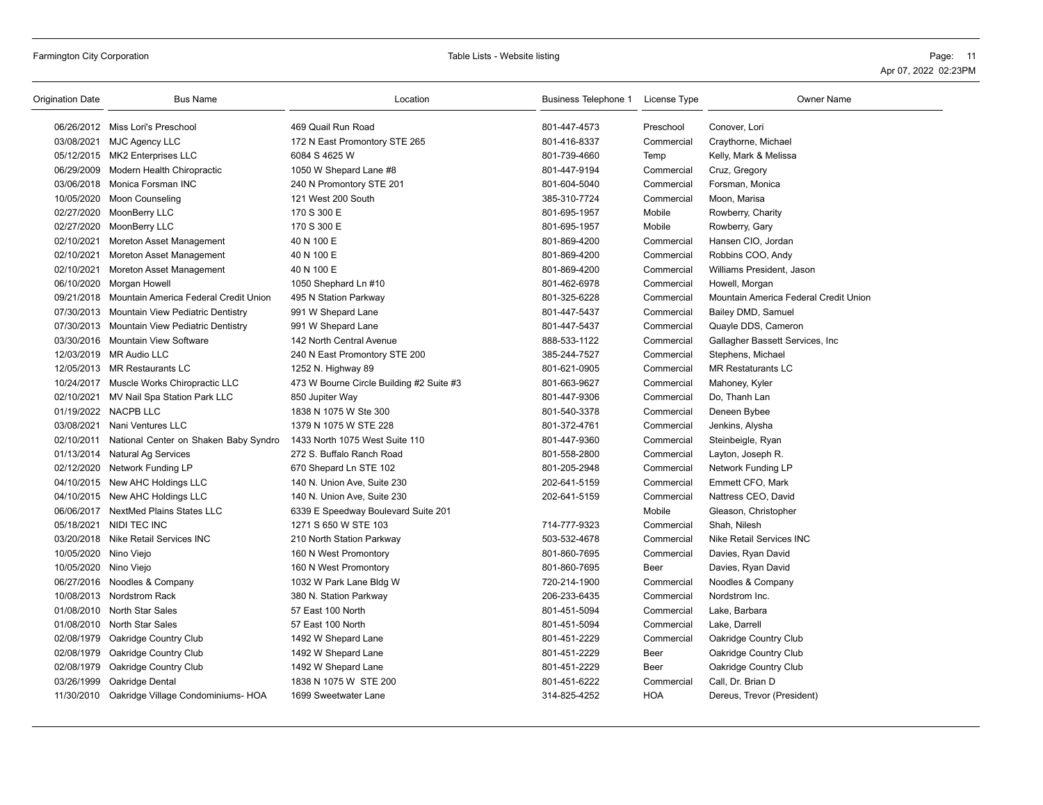| Origination Date      | <b>Bus Name</b>                                  | Location                                 | Business Telephone 1 | License Type | <b>Owner Name</b>                     |
|-----------------------|--------------------------------------------------|------------------------------------------|----------------------|--------------|---------------------------------------|
|                       | 06/26/2012 Miss Lori's Preschool                 | 469 Quail Run Road                       | 801-447-4573         | Preschool    | Conover, Lori                         |
|                       | 03/08/2021 MJC Agency LLC                        | 172 N East Promontory STE 265            | 801-416-8337         | Commercial   | Craythorne, Michael                   |
|                       | 05/12/2015 MK2 Enterprises LLC                   | 6084 S 4625 W                            | 801-739-4660         | Temp         | Kelly, Mark & Melissa                 |
|                       | 06/29/2009 Modern Health Chiropractic            | 1050 W Shepard Lane #8                   | 801-447-9194         | Commercial   | Cruz, Gregory                         |
|                       | 03/06/2018 Monica Forsman INC                    | 240 N Promontory STE 201                 | 801-604-5040         | Commercial   | Forsman, Monica                       |
|                       | 10/05/2020 Moon Counseling                       | 121 West 200 South                       | 385-310-7724         | Commercial   | Moon, Marisa                          |
|                       | 02/27/2020 MoonBerry LLC                         | 170 S 300 E                              | 801-695-1957         | Mobile       | Rowberry, Charity                     |
|                       | 02/27/2020 MoonBerry LLC                         | 170 S 300 E                              | 801-695-1957         | Mobile       | Rowberry, Gary                        |
| 02/10/2021            | Moreton Asset Management                         | 40 N 100 E                               | 801-869-4200         | Commercial   | Hansen CIO, Jordan                    |
| 02/10/2021            | Moreton Asset Management                         | 40 N 100 E                               | 801-869-4200         | Commercial   | Robbins COO, Andy                     |
| 02/10/2021            | Moreton Asset Management                         | 40 N 100 E                               | 801-869-4200         | Commercial   | Williams President, Jason             |
|                       | 06/10/2020 Morgan Howell                         | 1050 Shephard Ln #10                     | 801-462-6978         | Commercial   | Howell, Morgan                        |
|                       | 09/21/2018 Mountain America Federal Credit Union | 495 N Station Parkway                    | 801-325-6228         | Commercial   | Mountain America Federal Credit Union |
|                       | 07/30/2013 Mountain View Pediatric Dentistry     | 991 W Shepard Lane                       | 801-447-5437         | Commercial   | Bailey DMD, Samuel                    |
|                       | 07/30/2013 Mountain View Pediatric Dentistry     | 991 W Shepard Lane                       | 801-447-5437         | Commercial   | Quayle DDS, Cameron                   |
|                       | 03/30/2016 Mountain View Software                | 142 North Central Avenue                 | 888-533-1122         | Commercial   | Gallagher Bassett Services, Inc.      |
|                       | 12/03/2019 MR Audio LLC                          | 240 N East Promontory STE 200            | 385-244-7527         | Commercial   | Stephens, Michael                     |
|                       | 12/05/2013 MR Restaurants LC                     | 1252 N. Highway 89                       | 801-621-0905         | Commercial   | <b>MR Restaturants LC</b>             |
|                       | 10/24/2017 Muscle Works Chiropractic LLC         | 473 W Bourne Circle Building #2 Suite #3 | 801-663-9627         | Commercial   | Mahoney, Kyler                        |
|                       | 02/10/2021 MV Nail Spa Station Park LLC          | 850 Jupiter Way                          | 801-447-9306         | Commercial   | Do, Thanh Lan                         |
|                       | 01/19/2022 NACPB LLC                             | 1838 N 1075 W Ste 300                    | 801-540-3378         | Commercial   | Deneen Bybee                          |
|                       | 03/08/2021 Nani Ventures LLC                     | 1379 N 1075 W STE 228                    | 801-372-4761         | Commercial   | Jenkins, Alysha                       |
| 02/10/2011            | National Center on Shaken Baby Syndro            | 1433 North 1075 West Suite 110           | 801-447-9360         | Commercial   | Steinbeigle, Ryan                     |
|                       | 01/13/2014 Natural Ag Services                   | 272 S. Buffalo Ranch Road                | 801-558-2800         | Commercial   | Layton, Joseph R.                     |
|                       | 02/12/2020 Network Funding LP                    | 670 Shepard Ln STE 102                   | 801-205-2948         | Commercial   | Network Funding LP                    |
|                       | 04/10/2015 New AHC Holdings LLC                  | 140 N. Union Ave, Suite 230              | 202-641-5159         | Commercial   | Emmett CFO, Mark                      |
|                       | 04/10/2015 New AHC Holdings LLC                  | 140 N. Union Ave, Suite 230              | 202-641-5159         | Commercial   | Nattress CEO, David                   |
|                       | 06/06/2017 NextMed Plains States LLC             | 6339 E Speedway Boulevard Suite 201      |                      | Mobile       | Gleason, Christopher                  |
|                       | 05/18/2021 NIDI TEC INC                          | 1271 S 650 W STE 103                     | 714-777-9323         | Commercial   | Shah, Nilesh                          |
|                       | 03/20/2018 Nike Retail Services INC              | 210 North Station Parkway                | 503-532-4678         | Commercial   | Nike Retail Services INC              |
| 10/05/2020 Nino Viejo |                                                  | 160 N West Promontory                    | 801-860-7695         | Commercial   | Davies, Ryan David                    |
| 10/05/2020 Nino Viejo |                                                  | 160 N West Promontory                    | 801-860-7695         | Beer         | Davies, Ryan David                    |
|                       | 06/27/2016 Noodles & Company                     | 1032 W Park Lane Bldg W                  | 720-214-1900         | Commercial   | Noodles & Company                     |
|                       | 10/08/2013 Nordstrom Rack                        | 380 N. Station Parkway                   | 206-233-6435         | Commercial   | Nordstrom Inc.                        |
|                       | 01/08/2010 North Star Sales                      | 57 East 100 North                        | 801-451-5094         | Commercial   | Lake, Barbara                         |
|                       | 01/08/2010 North Star Sales                      | 57 East 100 North                        | 801-451-5094         | Commercial   | Lake, Darrell                         |
|                       | 02/08/1979 Oakridge Country Club                 | 1492 W Shepard Lane                      | 801-451-2229         | Commercial   | Oakridge Country Club                 |
|                       | 02/08/1979 Oakridge Country Club                 | 1492 W Shepard Lane                      | 801-451-2229         | Beer         | Oakridge Country Club                 |
|                       | 02/08/1979 Oakridge Country Club                 | 1492 W Shepard Lane                      | 801-451-2229         | Beer         | Oakridge Country Club                 |
| 03/26/1999            | Oakridge Dental                                  | 1838 N 1075 W STE 200                    | 801-451-6222         | Commercial   | Call, Dr. Brian D                     |
|                       | 11/30/2010 Oakridge Village Condominiums- HOA    | 1699 Sweetwater Lane                     | 314-825-4252         | <b>HOA</b>   | Dereus, Trevor (President)            |
|                       |                                                  |                                          |                      |              |                                       |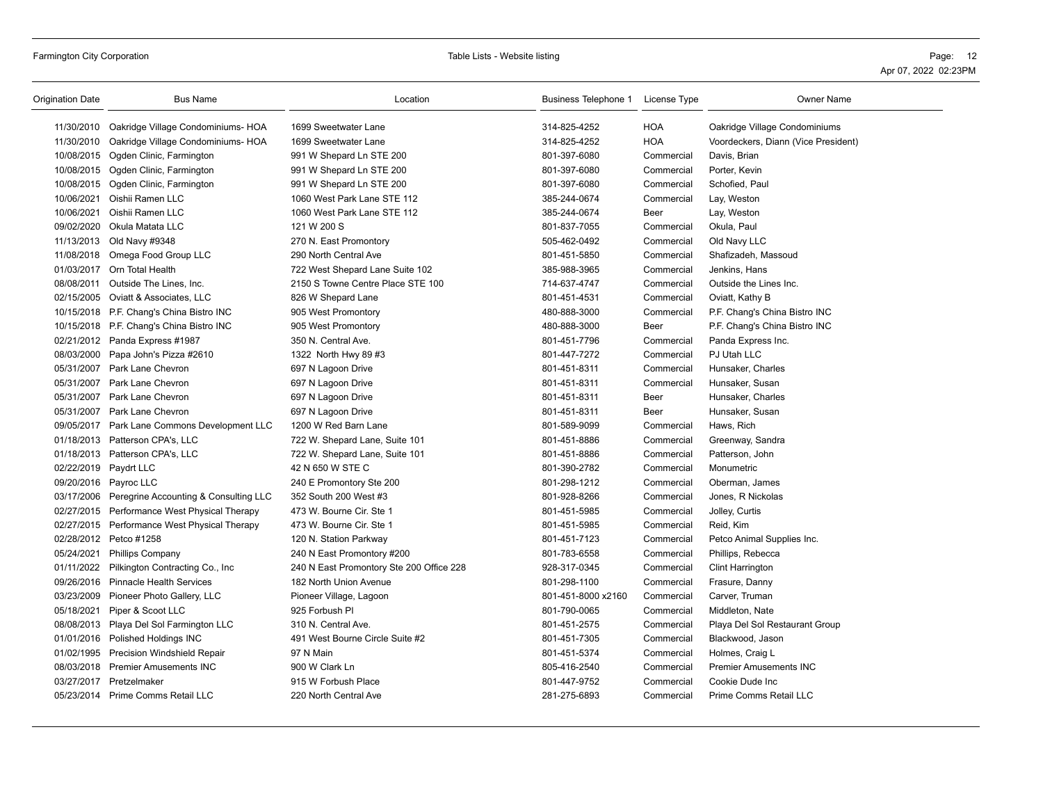| Origination Date      | <b>Bus Name</b>                                  | Location                                 | Business Telephone 1 | License Type | <b>Owner Name</b>                   |
|-----------------------|--------------------------------------------------|------------------------------------------|----------------------|--------------|-------------------------------------|
| 11/30/2010            | Oakridge Village Condominiums- HOA               | 1699 Sweetwater Lane                     | 314-825-4252         | <b>HOA</b>   | Oakridge Village Condominiums       |
| 11/30/2010            | Oakridge Village Condominiums- HOA               | 1699 Sweetwater Lane                     | 314-825-4252         | <b>HOA</b>   | Voordeckers, Diann (Vice President) |
|                       | 10/08/2015 Ogden Clinic, Farmington              | 991 W Shepard Ln STE 200                 | 801-397-6080         | Commercial   | Davis, Brian                        |
|                       | 10/08/2015 Ogden Clinic, Farmington              | 991 W Shepard Ln STE 200                 | 801-397-6080         | Commercial   | Porter, Kevin                       |
|                       | 10/08/2015 Ogden Clinic, Farmington              | 991 W Shepard Ln STE 200                 | 801-397-6080         | Commercial   | Schofied, Paul                      |
| 10/06/2021            | Oishii Ramen LLC                                 | 1060 West Park Lane STE 112              | 385-244-0674         | Commercial   | Lay, Weston                         |
| 10/06/2021            | Oishii Ramen LLC                                 | 1060 West Park Lane STE 112              | 385-244-0674         | Beer         | Lay, Weston                         |
|                       | 09/02/2020 Okula Matata LLC                      | 121 W 200 S                              | 801-837-7055         | Commercial   | Okula, Paul                         |
|                       | 11/13/2013 Old Navy #9348                        | 270 N. East Promontory                   | 505-462-0492         | Commercial   | Old Navy LLC                        |
|                       | 11/08/2018 Omega Food Group LLC                  | 290 North Central Ave                    | 801-451-5850         | Commercial   | Shafizadeh, Massoud                 |
|                       | 01/03/2017 Orn Total Health                      | 722 West Shepard Lane Suite 102          | 385-988-3965         | Commercial   | Jenkins, Hans                       |
| 08/08/2011            | Outside The Lines, Inc.                          | 2150 S Towne Centre Place STE 100        | 714-637-4747         | Commercial   | Outside the Lines Inc.              |
|                       | 02/15/2005 Oviatt & Associates, LLC              | 826 W Shepard Lane                       | 801-451-4531         | Commercial   | Oviatt, Kathy B                     |
|                       | 10/15/2018 P.F. Chang's China Bistro INC         | 905 West Promontory                      | 480-888-3000         | Commercial   | P.F. Chang's China Bistro INC       |
|                       | 10/15/2018 P.F. Chang's China Bistro INC         | 905 West Promontory                      | 480-888-3000         | Beer         | P.F. Chang's China Bistro INC       |
|                       | 02/21/2012 Panda Express #1987                   | 350 N. Central Ave.                      | 801-451-7796         | Commercial   | Panda Express Inc.                  |
|                       | 08/03/2000 Papa John's Pizza #2610               | 1322 North Hwy 89 #3                     | 801-447-7272         | Commercial   | PJ Utah LLC                         |
|                       | 05/31/2007 Park Lane Chevron                     | 697 N Lagoon Drive                       | 801-451-8311         | Commercial   | Hunsaker, Charles                   |
| 05/31/2007            | Park Lane Chevron                                | 697 N Lagoon Drive                       | 801-451-8311         | Commercial   | Hunsaker, Susan                     |
| 05/31/2007            | Park Lane Chevron                                | 697 N Lagoon Drive                       | 801-451-8311         | Beer         | Hunsaker, Charles                   |
|                       | 05/31/2007 Park Lane Chevron                     | 697 N Lagoon Drive                       | 801-451-8311         | Beer         | Hunsaker, Susan                     |
|                       | 09/05/2017 Park Lane Commons Development LLC     | 1200 W Red Barn Lane                     | 801-589-9099         | Commercial   | Haws, Rich                          |
|                       | 01/18/2013 Patterson CPA's, LLC                  | 722 W. Shepard Lane, Suite 101           | 801-451-8886         | Commercial   | Greenway, Sandra                    |
|                       | 01/18/2013 Patterson CPA's, LLC                  | 722 W. Shepard Lane, Suite 101           | 801-451-8886         | Commercial   | Patterson, John                     |
| 02/22/2019 Paydrt LLC |                                                  | 42 N 650 W STE C                         | 801-390-2782         | Commercial   | Monumetric                          |
|                       | 09/20/2016 Payroc LLC                            | 240 E Promontory Ste 200                 | 801-298-1212         | Commercial   | Oberman, James                      |
|                       | 03/17/2006 Peregrine Accounting & Consulting LLC | 352 South 200 West #3                    | 801-928-8266         | Commercial   | Jones, R Nickolas                   |
|                       | 02/27/2015 Performance West Physical Therapy     | 473 W. Bourne Cir. Ste 1                 | 801-451-5985         | Commercial   | Jolley, Curtis                      |
|                       | 02/27/2015 Performance West Physical Therapy     | 473 W. Bourne Cir. Ste 1                 | 801-451-5985         | Commercial   | Reid, Kim                           |
|                       | 02/28/2012 Petco #1258                           | 120 N. Station Parkway                   | 801-451-7123         | Commercial   | Petco Animal Supplies Inc.          |
| 05/24/2021            | <b>Phillips Company</b>                          | 240 N East Promontory #200               | 801-783-6558         | Commercial   | Phillips, Rebecca                   |
|                       | 01/11/2022 Pilkington Contracting Co., Inc.      | 240 N East Promontory Ste 200 Office 228 | 928-317-0345         | Commercial   | <b>Clint Harrington</b>             |
|                       | 09/26/2016 Pinnacle Health Services              | 182 North Union Avenue                   | 801-298-1100         | Commercial   | Frasure, Danny                      |
|                       | 03/23/2009 Pioneer Photo Gallery, LLC            | Pioneer Village, Lagoon                  | 801-451-8000 x2160   | Commercial   | Carver, Truman                      |
| 05/18/2021            | Piper & Scoot LLC                                | 925 Forbush PI                           | 801-790-0065         | Commercial   | Middleton, Nate                     |
|                       | 08/08/2013 Playa Del Sol Farmington LLC          | 310 N. Central Ave.                      | 801-451-2575         | Commercial   | Playa Del Sol Restaurant Group      |
|                       | 01/01/2016 Polished Holdings INC                 | 491 West Bourne Circle Suite #2          | 801-451-7305         | Commercial   | Blackwood, Jason                    |
|                       | 01/02/1995 Precision Windshield Repair           | 97 N Main                                | 801-451-5374         | Commercial   | Holmes, Craig L                     |
|                       | 08/03/2018 Premier Amusements INC                | 900 W Clark Ln                           | 805-416-2540         | Commercial   | <b>Premier Amusements INC</b>       |
|                       | 03/27/2017 Pretzelmaker                          | 915 W Forbush Place                      | 801-447-9752         | Commercial   | Cookie Dude Inc                     |
|                       | 05/23/2014 Prime Comms Retail LLC                | 220 North Central Ave                    | 281-275-6893         | Commercial   | Prime Comms Retail LLC              |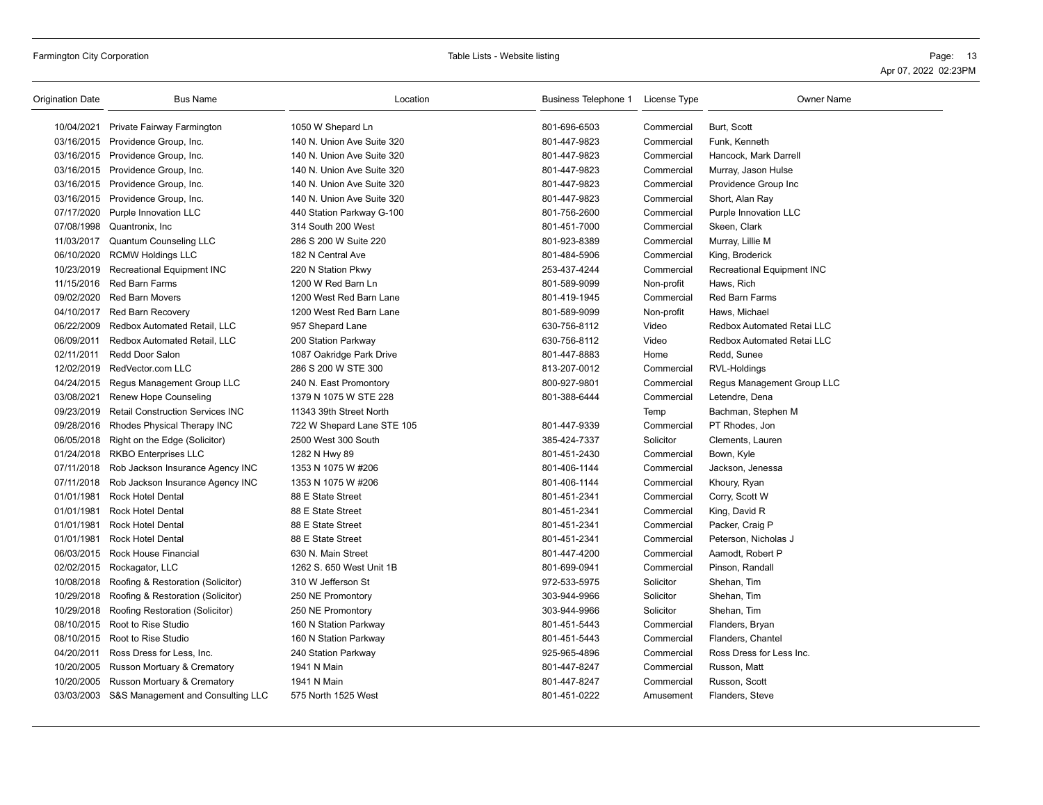| <b>Origination Date</b> | <b>Bus Name</b>                              | Location                   | Business Telephone 1 | License Type | <b>Owner Name</b>          |
|-------------------------|----------------------------------------------|----------------------------|----------------------|--------------|----------------------------|
| 10/04/2021              | Private Fairway Farmington                   | 1050 W Shepard Ln          | 801-696-6503         | Commercial   | Burt, Scott                |
|                         | 03/16/2015 Providence Group, Inc.            | 140 N. Union Ave Suite 320 | 801-447-9823         | Commercial   | Funk, Kenneth              |
|                         | 03/16/2015 Providence Group, Inc.            | 140 N. Union Ave Suite 320 | 801-447-9823         | Commercial   | Hancock, Mark Darrell      |
|                         | 03/16/2015 Providence Group, Inc.            | 140 N. Union Ave Suite 320 | 801-447-9823         | Commercial   | Murray, Jason Hulse        |
|                         | 03/16/2015 Providence Group, Inc.            | 140 N. Union Ave Suite 320 | 801-447-9823         | Commercial   | Providence Group Inc       |
|                         | 03/16/2015 Providence Group, Inc.            | 140 N. Union Ave Suite 320 | 801-447-9823         | Commercial   | Short, Alan Ray            |
|                         | 07/17/2020 Purple Innovation LLC             | 440 Station Parkway G-100  | 801-756-2600         | Commercial   | Purple Innovation LLC      |
|                         | 07/08/1998 Quantronix, Inc.                  | 314 South 200 West         | 801-451-7000         | Commercial   | Skeen, Clark               |
|                         | 11/03/2017 Quantum Counseling LLC            | 286 S 200 W Suite 220      | 801-923-8389         | Commercial   | Murray, Lillie M           |
| 06/10/2020              | <b>RCMW Holdings LLC</b>                     | 182 N Central Ave          | 801-484-5906         | Commercial   | King, Broderick            |
|                         | 10/23/2019 Recreational Equipment INC        | 220 N Station Pkwy         | 253-437-4244         | Commercial   | Recreational Equipment INC |
| 11/15/2016              | Red Barn Farms                               | 1200 W Red Barn Ln         | 801-589-9099         | Non-profit   | Haws, Rich                 |
| 09/02/2020              | <b>Red Barn Movers</b>                       | 1200 West Red Barn Lane    | 801-419-1945         | Commercial   | <b>Red Barn Farms</b>      |
|                         | 04/10/2017 Red Barn Recovery                 | 1200 West Red Barn Lane    | 801-589-9099         | Non-profit   | Haws, Michael              |
| 06/22/2009              | Redbox Automated Retail, LLC                 | 957 Shepard Lane           | 630-756-8112         | Video        | Redbox Automated Retai LLC |
| 06/09/2011              | Redbox Automated Retail, LLC                 | 200 Station Parkway        | 630-756-8112         | Video        | Redbox Automated Retai LLC |
| 02/11/2011              | Redd Door Salon                              | 1087 Oakridge Park Drive   | 801-447-8883         | Home         | Redd, Sunee                |
| 12/02/2019              | RedVector.com LLC                            | 286 S 200 W STE 300        | 813-207-0012         | Commercial   | RVL-Holdings               |
| 04/24/2015              | Regus Management Group LLC                   | 240 N. East Promontory     | 800-927-9801         | Commercial   | Regus Management Group LLC |
| 03/08/2021              | <b>Renew Hope Counseling</b>                 | 1379 N 1075 W STE 228      | 801-388-6444         | Commercial   | Letendre, Dena             |
|                         | 09/23/2019 Retail Construction Services INC  | 11343 39th Street North    |                      | Temp         | Bachman, Stephen M         |
| 09/28/2016              | Rhodes Physical Therapy INC                  | 722 W Shepard Lane STE 105 | 801-447-9339         | Commercial   | PT Rhodes, Jon             |
| 06/05/2018              | Right on the Edge (Solicitor)                | 2500 West 300 South        | 385-424-7337         | Solicitor    | Clements, Lauren           |
|                         | 01/24/2018 RKBO Enterprises LLC              | 1282 N Hwy 89              | 801-451-2430         | Commercial   | Bown, Kyle                 |
|                         | 07/11/2018 Rob Jackson Insurance Agency INC  | 1353 N 1075 W #206         | 801-406-1144         | Commercial   | Jackson, Jenessa           |
| 07/11/2018              | Rob Jackson Insurance Agency INC             | 1353 N 1075 W #206         | 801-406-1144         | Commercial   | Khoury, Ryan               |
| 01/01/1981              | <b>Rock Hotel Dental</b>                     | 88 E State Street          | 801-451-2341         | Commercial   | Corry, Scott W             |
| 01/01/1981              | <b>Rock Hotel Dental</b>                     | 88 E State Street          | 801-451-2341         | Commercial   | King, David R              |
| 01/01/1981              | <b>Rock Hotel Dental</b>                     | 88 E State Street          | 801-451-2341         | Commercial   | Packer, Craig P            |
| 01/01/1981              | <b>Rock Hotel Dental</b>                     | 88 E State Street          | 801-451-2341         | Commercial   | Peterson, Nicholas J       |
|                         | 06/03/2015 Rock House Financial              | 630 N. Main Street         | 801-447-4200         | Commercial   | Aamodt, Robert P           |
|                         | 02/02/2015 Rockagator, LLC                   | 1262 S. 650 West Unit 1B   | 801-699-0941         | Commercial   | Pinson, Randall            |
| 10/08/2018              | Roofing & Restoration (Solicitor)            | 310 W Jefferson St         | 972-533-5975         | Solicitor    | Shehan, Tim                |
|                         | 10/29/2018 Roofing & Restoration (Solicitor) | 250 NE Promontory          | 303-944-9966         | Solicitor    | Shehan, Tim                |
|                         | 10/29/2018 Roofing Restoration (Solicitor)   | 250 NE Promontory          | 303-944-9966         | Solicitor    | Shehan, Tim                |
|                         | 08/10/2015 Root to Rise Studio               | 160 N Station Parkway      | 801-451-5443         | Commercial   | Flanders, Bryan            |
|                         | 08/10/2015 Root to Rise Studio               | 160 N Station Parkway      | 801-451-5443         | Commercial   | Flanders, Chantel          |
| 04/20/2011              | Ross Dress for Less, Inc.                    | 240 Station Parkway        | 925-965-4896         | Commercial   | Ross Dress for Less Inc.   |
| 10/20/2005              | Russon Mortuary & Crematory                  | 1941 N Main                | 801-447-8247         | Commercial   | Russon, Matt               |
| 10/20/2005              | Russon Mortuary & Crematory                  | 1941 N Main                | 801-447-8247         | Commercial   | Russon, Scott              |
|                         | 03/03/2003 S&S Management and Consulting LLC | 575 North 1525 West        | 801-451-0222         | Amusement    | Flanders, Steve            |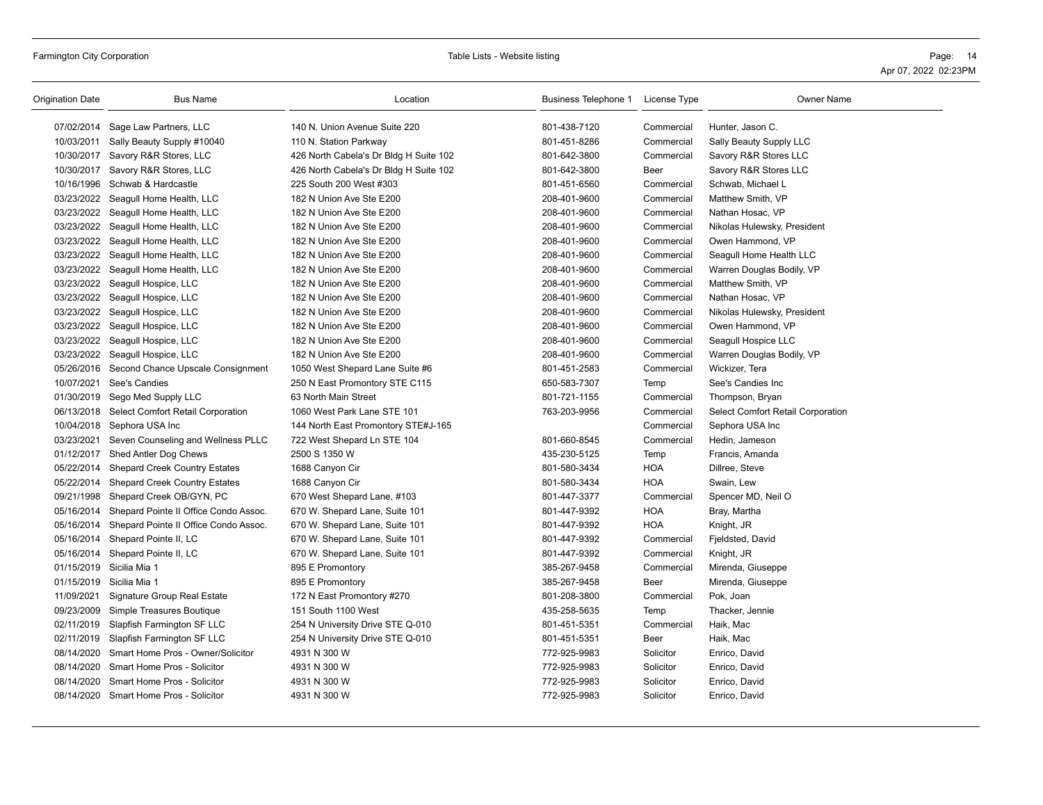## Farmington City Corporation **Page:** 14 Table Lists - Website listing **Page: 16** Table Lists - Website listing **Page: 16** Page: 14

| 07/02/2014 Sage Law Partners, LLC<br>140 N. Union Avenue Suite 220<br>801-438-7120<br>Commercial<br>Hunter, Jason C.<br>10/03/2011<br>801-451-8286<br>Sally Beauty Supply #10040<br>110 N. Station Parkway<br>Commercial<br>Sally Beauty Supply LLC<br>10/30/2017 Savory R&R Stores, LLC<br>426 North Cabela's Dr Bldg H Suite 102<br>801-642-3800<br>Savory R&R Stores LLC<br>Commercial<br>10/30/2017 Savory R&R Stores, LLC<br>Savory R&R Stores LLC<br>426 North Cabela's Dr Bldg H Suite 102<br>801-642-3800<br>Beer<br>10/16/1996<br>Schwab & Hardcastle<br>225 South 200 West #303<br>801-451-6560<br>Schwab, Michael L<br>Commercial<br>03/23/2022<br>Seagull Home Health, LLC<br>Matthew Smith, VP<br>182 N Union Ave Ste E200<br>208-401-9600<br>Commercial<br>03/23/2022<br>Seagull Home Health, LLC<br>182 N Union Ave Ste E200<br>208-401-9600<br>Commercial<br>Nathan Hosac, VP<br>03/23/2022 Seagull Home Health, LLC<br>182 N Union Ave Ste E200<br>208-401-9600<br>Commercial<br>Nikolas Hulewsky, President<br>03/23/2022 Seagull Home Health, LLC<br>182 N Union Ave Ste E200<br>208-401-9600<br>Commercial<br>Owen Hammond, VP<br>03/23/2022 Seagull Home Health, LLC<br>182 N Union Ave Ste E200<br>208-401-9600<br>Commercial<br>Seagull Home Health LLC<br>03/23/2022 Seagull Home Health, LLC<br>182 N Union Ave Ste E200<br>208-401-9600<br>Commercial<br>Warren Douglas Bodily, VP<br>03/23/2022<br>Seagull Hospice, LLC<br>182 N Union Ave Ste E200<br>208-401-9600<br>Commercial<br>Matthew Smith, VP<br>03/23/2022 Seagull Hospice, LLC<br>182 N Union Ave Ste E200<br>208-401-9600<br>Commercial<br>Nathan Hosac, VP<br>03/23/2022<br>Seagull Hospice, LLC<br>182 N Union Ave Ste E200<br>208-401-9600<br>Commercial<br>Nikolas Hulewsky, President<br>03/23/2022 Seagull Hospice, LLC<br>Owen Hammond, VP<br>182 N Union Ave Ste E200<br>208-401-9600<br>Commercial<br>03/23/2022 Seagull Hospice, LLC<br>182 N Union Ave Ste E200<br>208-401-9600<br>Commercial<br>Seagull Hospice LLC<br>03/23/2022<br>Seagull Hospice, LLC<br>182 N Union Ave Ste E200<br>208-401-9600<br>Commercial<br>Warren Douglas Bodily, VP<br>05/26/2016 Second Chance Upscale Consignment<br>1050 West Shepard Lane Suite #6<br>Commercial<br>Wickizer, Tera<br>801-451-2583<br>10/07/2021<br>See's Candies<br>250 N East Promontory STE C115<br>650-583-7307<br>Temp<br>See's Candies Inc<br>01/30/2019 Sego Med Supply LLC<br>63 North Main Street<br>801-721-1155<br>Commercial<br>Thompson, Bryan<br>06/13/2018 Select Comfort Retail Corporation<br>1060 West Park Lane STE 101<br>763-203-9956<br>Select Comfort Retail Corporation<br>Commercial<br>10/04/2018<br>Sephora USA Inc<br>Sephora USA Inc<br>144 North East Promontory STE#J-165<br>Commercial<br>03/23/2021<br>Seven Counseling and Wellness PLLC<br>722 West Shepard Ln STE 104<br>801-660-8545<br>Commercial<br>Hedin, Jameson<br>01/12/2017 Shed Antler Dog Chews<br>2500 S 1350 W<br>435-230-5125<br>Temp<br>Francis, Amanda<br>05/22/2014<br><b>Shepard Creek Country Estates</b><br>1688 Canyon Cir<br>801-580-3434<br><b>HOA</b><br>Dillree, Steve<br>05/22/2014 Shepard Creek Country Estates<br><b>HOA</b><br>1688 Canyon Cir<br>801-580-3434<br>Swain, Lew<br>09/21/1998 Shepard Creek OB/GYN, PC<br>670 West Shepard Lane, #103<br>801-447-3377<br>Spencer MD, Neil O<br>Commercial<br>05/16/2014<br><b>HOA</b><br>Shepard Pointe II Office Condo Assoc.<br>670 W. Shepard Lane, Suite 101<br>801-447-9392<br>Bray, Martha<br>05/16/2014 Shepard Pointe II Office Condo Assoc.<br>670 W. Shepard Lane, Suite 101<br>801-447-9392<br><b>HOA</b><br>Knight, JR<br>05/16/2014 Shepard Pointe II, LC<br>670 W. Shepard Lane, Suite 101<br>801-447-9392<br>Commercial<br>Fjeldsted, David<br>05/16/2014 Shepard Pointe II, LC<br>670 W. Shepard Lane, Suite 101<br>801-447-9392<br>Knight, JR<br>Commercial<br>01/15/2019 Sicilia Mia 1<br>895 E Promontory<br>Commercial<br>Mirenda, Giuseppe<br>385-267-9458<br>01/15/2019 Sicilia Mia 1<br>Mirenda, Giuseppe<br>895 E Promontory<br>385-267-9458<br>Beer<br>11/09/2021<br>Signature Group Real Estate<br>172 N East Promontory #270<br>801-208-3800<br>Commercial<br>Pok, Joan<br>09/23/2009<br>Simple Treasures Boutique<br>Thacker, Jennie<br>151 South 1100 West<br>435-258-5635<br>Temp<br>02/11/2019<br>Slapfish Farmington SF LLC<br>254 N University Drive STE Q-010<br>801-451-5351<br>Commercial<br>Haik, Mac<br>Haik, Mac<br>02/11/2019 Slapfish Farmington SF LLC<br>254 N University Drive STE Q-010<br>801-451-5351<br>Beer<br>08/14/2020<br>Smart Home Pros - Owner/Solicitor<br>4931 N 300 W<br>772-925-9983<br>Solicitor<br>Enrico, David<br>08/14/2020<br>Smart Home Pros - Solicitor<br>772-925-9983<br>4931 N 300 W<br>Solicitor<br>Enrico, David<br>08/14/2020<br>Smart Home Pros - Solicitor<br>772-925-9983<br>4931 N 300 W<br>Solicitor<br>Enrico, David<br>08/14/2020 Smart Home Pros - Solicitor<br>4931 N 300 W<br>772-925-9983<br>Solicitor<br>Enrico, David | Origination Date | <b>Bus Name</b> | Location | Business Telephone 1 | License Type | <b>Owner Name</b> |
|-------------------------------------------------------------------------------------------------------------------------------------------------------------------------------------------------------------------------------------------------------------------------------------------------------------------------------------------------------------------------------------------------------------------------------------------------------------------------------------------------------------------------------------------------------------------------------------------------------------------------------------------------------------------------------------------------------------------------------------------------------------------------------------------------------------------------------------------------------------------------------------------------------------------------------------------------------------------------------------------------------------------------------------------------------------------------------------------------------------------------------------------------------------------------------------------------------------------------------------------------------------------------------------------------------------------------------------------------------------------------------------------------------------------------------------------------------------------------------------------------------------------------------------------------------------------------------------------------------------------------------------------------------------------------------------------------------------------------------------------------------------------------------------------------------------------------------------------------------------------------------------------------------------------------------------------------------------------------------------------------------------------------------------------------------------------------------------------------------------------------------------------------------------------------------------------------------------------------------------------------------------------------------------------------------------------------------------------------------------------------------------------------------------------------------------------------------------------------------------------------------------------------------------------------------------------------------------------------------------------------------------------------------------------------------------------------------------------------------------------------------------------------------------------------------------------------------------------------------------------------------------------------------------------------------------------------------------------------------------------------------------------------------------------------------------------------------------------------------------------------------------------------------------------------------------------------------------------------------------------------------------------------------------------------------------------------------------------------------------------------------------------------------------------------------------------------------------------------------------------------------------------------------------------------------------------------------------------------------------------------------------------------------------------------------------------------------------------------------------------------------------------------------------------------------------------------------------------------------------------------------------------------------------------------------------------------------------------------------------------------------------------------------------------------------------------------------------------------------------------------------------------------------------------------------------------------------------------------------------------------------------------------------------------------------------------------------------------------------------------------------------------------------------------------------------------------------------------------------------------------------------------------------------------------------------------------------------------------------------------------------------------------------------------------------------------------------------------------------------------------------------------------------------------------------------------------------------------------------------------------------------------------------------------------------------------------------------------------------------------------------------------------------|------------------|-----------------|----------|----------------------|--------------|-------------------|
|                                                                                                                                                                                                                                                                                                                                                                                                                                                                                                                                                                                                                                                                                                                                                                                                                                                                                                                                                                                                                                                                                                                                                                                                                                                                                                                                                                                                                                                                                                                                                                                                                                                                                                                                                                                                                                                                                                                                                                                                                                                                                                                                                                                                                                                                                                                                                                                                                                                                                                                                                                                                                                                                                                                                                                                                                                                                                                                                                                                                                                                                                                                                                                                                                                                                                                                                                                                                                                                                                                                                                                                                                                                                                                                                                                                                                                                                                                                                                                                                                                                                                                                                                                                                                                                                                                                                                                                                                                                                                                                                                                                                                                                                                                                                                                                                                                                                                                                                                                                                                               |                  |                 |          |                      |              |                   |
|                                                                                                                                                                                                                                                                                                                                                                                                                                                                                                                                                                                                                                                                                                                                                                                                                                                                                                                                                                                                                                                                                                                                                                                                                                                                                                                                                                                                                                                                                                                                                                                                                                                                                                                                                                                                                                                                                                                                                                                                                                                                                                                                                                                                                                                                                                                                                                                                                                                                                                                                                                                                                                                                                                                                                                                                                                                                                                                                                                                                                                                                                                                                                                                                                                                                                                                                                                                                                                                                                                                                                                                                                                                                                                                                                                                                                                                                                                                                                                                                                                                                                                                                                                                                                                                                                                                                                                                                                                                                                                                                                                                                                                                                                                                                                                                                                                                                                                                                                                                                                               |                  |                 |          |                      |              |                   |
|                                                                                                                                                                                                                                                                                                                                                                                                                                                                                                                                                                                                                                                                                                                                                                                                                                                                                                                                                                                                                                                                                                                                                                                                                                                                                                                                                                                                                                                                                                                                                                                                                                                                                                                                                                                                                                                                                                                                                                                                                                                                                                                                                                                                                                                                                                                                                                                                                                                                                                                                                                                                                                                                                                                                                                                                                                                                                                                                                                                                                                                                                                                                                                                                                                                                                                                                                                                                                                                                                                                                                                                                                                                                                                                                                                                                                                                                                                                                                                                                                                                                                                                                                                                                                                                                                                                                                                                                                                                                                                                                                                                                                                                                                                                                                                                                                                                                                                                                                                                                                               |                  |                 |          |                      |              |                   |
|                                                                                                                                                                                                                                                                                                                                                                                                                                                                                                                                                                                                                                                                                                                                                                                                                                                                                                                                                                                                                                                                                                                                                                                                                                                                                                                                                                                                                                                                                                                                                                                                                                                                                                                                                                                                                                                                                                                                                                                                                                                                                                                                                                                                                                                                                                                                                                                                                                                                                                                                                                                                                                                                                                                                                                                                                                                                                                                                                                                                                                                                                                                                                                                                                                                                                                                                                                                                                                                                                                                                                                                                                                                                                                                                                                                                                                                                                                                                                                                                                                                                                                                                                                                                                                                                                                                                                                                                                                                                                                                                                                                                                                                                                                                                                                                                                                                                                                                                                                                                                               |                  |                 |          |                      |              |                   |
|                                                                                                                                                                                                                                                                                                                                                                                                                                                                                                                                                                                                                                                                                                                                                                                                                                                                                                                                                                                                                                                                                                                                                                                                                                                                                                                                                                                                                                                                                                                                                                                                                                                                                                                                                                                                                                                                                                                                                                                                                                                                                                                                                                                                                                                                                                                                                                                                                                                                                                                                                                                                                                                                                                                                                                                                                                                                                                                                                                                                                                                                                                                                                                                                                                                                                                                                                                                                                                                                                                                                                                                                                                                                                                                                                                                                                                                                                                                                                                                                                                                                                                                                                                                                                                                                                                                                                                                                                                                                                                                                                                                                                                                                                                                                                                                                                                                                                                                                                                                                                               |                  |                 |          |                      |              |                   |
|                                                                                                                                                                                                                                                                                                                                                                                                                                                                                                                                                                                                                                                                                                                                                                                                                                                                                                                                                                                                                                                                                                                                                                                                                                                                                                                                                                                                                                                                                                                                                                                                                                                                                                                                                                                                                                                                                                                                                                                                                                                                                                                                                                                                                                                                                                                                                                                                                                                                                                                                                                                                                                                                                                                                                                                                                                                                                                                                                                                                                                                                                                                                                                                                                                                                                                                                                                                                                                                                                                                                                                                                                                                                                                                                                                                                                                                                                                                                                                                                                                                                                                                                                                                                                                                                                                                                                                                                                                                                                                                                                                                                                                                                                                                                                                                                                                                                                                                                                                                                                               |                  |                 |          |                      |              |                   |
|                                                                                                                                                                                                                                                                                                                                                                                                                                                                                                                                                                                                                                                                                                                                                                                                                                                                                                                                                                                                                                                                                                                                                                                                                                                                                                                                                                                                                                                                                                                                                                                                                                                                                                                                                                                                                                                                                                                                                                                                                                                                                                                                                                                                                                                                                                                                                                                                                                                                                                                                                                                                                                                                                                                                                                                                                                                                                                                                                                                                                                                                                                                                                                                                                                                                                                                                                                                                                                                                                                                                                                                                                                                                                                                                                                                                                                                                                                                                                                                                                                                                                                                                                                                                                                                                                                                                                                                                                                                                                                                                                                                                                                                                                                                                                                                                                                                                                                                                                                                                                               |                  |                 |          |                      |              |                   |
|                                                                                                                                                                                                                                                                                                                                                                                                                                                                                                                                                                                                                                                                                                                                                                                                                                                                                                                                                                                                                                                                                                                                                                                                                                                                                                                                                                                                                                                                                                                                                                                                                                                                                                                                                                                                                                                                                                                                                                                                                                                                                                                                                                                                                                                                                                                                                                                                                                                                                                                                                                                                                                                                                                                                                                                                                                                                                                                                                                                                                                                                                                                                                                                                                                                                                                                                                                                                                                                                                                                                                                                                                                                                                                                                                                                                                                                                                                                                                                                                                                                                                                                                                                                                                                                                                                                                                                                                                                                                                                                                                                                                                                                                                                                                                                                                                                                                                                                                                                                                                               |                  |                 |          |                      |              |                   |
|                                                                                                                                                                                                                                                                                                                                                                                                                                                                                                                                                                                                                                                                                                                                                                                                                                                                                                                                                                                                                                                                                                                                                                                                                                                                                                                                                                                                                                                                                                                                                                                                                                                                                                                                                                                                                                                                                                                                                                                                                                                                                                                                                                                                                                                                                                                                                                                                                                                                                                                                                                                                                                                                                                                                                                                                                                                                                                                                                                                                                                                                                                                                                                                                                                                                                                                                                                                                                                                                                                                                                                                                                                                                                                                                                                                                                                                                                                                                                                                                                                                                                                                                                                                                                                                                                                                                                                                                                                                                                                                                                                                                                                                                                                                                                                                                                                                                                                                                                                                                                               |                  |                 |          |                      |              |                   |
|                                                                                                                                                                                                                                                                                                                                                                                                                                                                                                                                                                                                                                                                                                                                                                                                                                                                                                                                                                                                                                                                                                                                                                                                                                                                                                                                                                                                                                                                                                                                                                                                                                                                                                                                                                                                                                                                                                                                                                                                                                                                                                                                                                                                                                                                                                                                                                                                                                                                                                                                                                                                                                                                                                                                                                                                                                                                                                                                                                                                                                                                                                                                                                                                                                                                                                                                                                                                                                                                                                                                                                                                                                                                                                                                                                                                                                                                                                                                                                                                                                                                                                                                                                                                                                                                                                                                                                                                                                                                                                                                                                                                                                                                                                                                                                                                                                                                                                                                                                                                                               |                  |                 |          |                      |              |                   |
|                                                                                                                                                                                                                                                                                                                                                                                                                                                                                                                                                                                                                                                                                                                                                                                                                                                                                                                                                                                                                                                                                                                                                                                                                                                                                                                                                                                                                                                                                                                                                                                                                                                                                                                                                                                                                                                                                                                                                                                                                                                                                                                                                                                                                                                                                                                                                                                                                                                                                                                                                                                                                                                                                                                                                                                                                                                                                                                                                                                                                                                                                                                                                                                                                                                                                                                                                                                                                                                                                                                                                                                                                                                                                                                                                                                                                                                                                                                                                                                                                                                                                                                                                                                                                                                                                                                                                                                                                                                                                                                                                                                                                                                                                                                                                                                                                                                                                                                                                                                                                               |                  |                 |          |                      |              |                   |
|                                                                                                                                                                                                                                                                                                                                                                                                                                                                                                                                                                                                                                                                                                                                                                                                                                                                                                                                                                                                                                                                                                                                                                                                                                                                                                                                                                                                                                                                                                                                                                                                                                                                                                                                                                                                                                                                                                                                                                                                                                                                                                                                                                                                                                                                                                                                                                                                                                                                                                                                                                                                                                                                                                                                                                                                                                                                                                                                                                                                                                                                                                                                                                                                                                                                                                                                                                                                                                                                                                                                                                                                                                                                                                                                                                                                                                                                                                                                                                                                                                                                                                                                                                                                                                                                                                                                                                                                                                                                                                                                                                                                                                                                                                                                                                                                                                                                                                                                                                                                                               |                  |                 |          |                      |              |                   |
|                                                                                                                                                                                                                                                                                                                                                                                                                                                                                                                                                                                                                                                                                                                                                                                                                                                                                                                                                                                                                                                                                                                                                                                                                                                                                                                                                                                                                                                                                                                                                                                                                                                                                                                                                                                                                                                                                                                                                                                                                                                                                                                                                                                                                                                                                                                                                                                                                                                                                                                                                                                                                                                                                                                                                                                                                                                                                                                                                                                                                                                                                                                                                                                                                                                                                                                                                                                                                                                                                                                                                                                                                                                                                                                                                                                                                                                                                                                                                                                                                                                                                                                                                                                                                                                                                                                                                                                                                                                                                                                                                                                                                                                                                                                                                                                                                                                                                                                                                                                                                               |                  |                 |          |                      |              |                   |
|                                                                                                                                                                                                                                                                                                                                                                                                                                                                                                                                                                                                                                                                                                                                                                                                                                                                                                                                                                                                                                                                                                                                                                                                                                                                                                                                                                                                                                                                                                                                                                                                                                                                                                                                                                                                                                                                                                                                                                                                                                                                                                                                                                                                                                                                                                                                                                                                                                                                                                                                                                                                                                                                                                                                                                                                                                                                                                                                                                                                                                                                                                                                                                                                                                                                                                                                                                                                                                                                                                                                                                                                                                                                                                                                                                                                                                                                                                                                                                                                                                                                                                                                                                                                                                                                                                                                                                                                                                                                                                                                                                                                                                                                                                                                                                                                                                                                                                                                                                                                                               |                  |                 |          |                      |              |                   |
|                                                                                                                                                                                                                                                                                                                                                                                                                                                                                                                                                                                                                                                                                                                                                                                                                                                                                                                                                                                                                                                                                                                                                                                                                                                                                                                                                                                                                                                                                                                                                                                                                                                                                                                                                                                                                                                                                                                                                                                                                                                                                                                                                                                                                                                                                                                                                                                                                                                                                                                                                                                                                                                                                                                                                                                                                                                                                                                                                                                                                                                                                                                                                                                                                                                                                                                                                                                                                                                                                                                                                                                                                                                                                                                                                                                                                                                                                                                                                                                                                                                                                                                                                                                                                                                                                                                                                                                                                                                                                                                                                                                                                                                                                                                                                                                                                                                                                                                                                                                                                               |                  |                 |          |                      |              |                   |
|                                                                                                                                                                                                                                                                                                                                                                                                                                                                                                                                                                                                                                                                                                                                                                                                                                                                                                                                                                                                                                                                                                                                                                                                                                                                                                                                                                                                                                                                                                                                                                                                                                                                                                                                                                                                                                                                                                                                                                                                                                                                                                                                                                                                                                                                                                                                                                                                                                                                                                                                                                                                                                                                                                                                                                                                                                                                                                                                                                                                                                                                                                                                                                                                                                                                                                                                                                                                                                                                                                                                                                                                                                                                                                                                                                                                                                                                                                                                                                                                                                                                                                                                                                                                                                                                                                                                                                                                                                                                                                                                                                                                                                                                                                                                                                                                                                                                                                                                                                                                                               |                  |                 |          |                      |              |                   |
|                                                                                                                                                                                                                                                                                                                                                                                                                                                                                                                                                                                                                                                                                                                                                                                                                                                                                                                                                                                                                                                                                                                                                                                                                                                                                                                                                                                                                                                                                                                                                                                                                                                                                                                                                                                                                                                                                                                                                                                                                                                                                                                                                                                                                                                                                                                                                                                                                                                                                                                                                                                                                                                                                                                                                                                                                                                                                                                                                                                                                                                                                                                                                                                                                                                                                                                                                                                                                                                                                                                                                                                                                                                                                                                                                                                                                                                                                                                                                                                                                                                                                                                                                                                                                                                                                                                                                                                                                                                                                                                                                                                                                                                                                                                                                                                                                                                                                                                                                                                                                               |                  |                 |          |                      |              |                   |
|                                                                                                                                                                                                                                                                                                                                                                                                                                                                                                                                                                                                                                                                                                                                                                                                                                                                                                                                                                                                                                                                                                                                                                                                                                                                                                                                                                                                                                                                                                                                                                                                                                                                                                                                                                                                                                                                                                                                                                                                                                                                                                                                                                                                                                                                                                                                                                                                                                                                                                                                                                                                                                                                                                                                                                                                                                                                                                                                                                                                                                                                                                                                                                                                                                                                                                                                                                                                                                                                                                                                                                                                                                                                                                                                                                                                                                                                                                                                                                                                                                                                                                                                                                                                                                                                                                                                                                                                                                                                                                                                                                                                                                                                                                                                                                                                                                                                                                                                                                                                                               |                  |                 |          |                      |              |                   |
|                                                                                                                                                                                                                                                                                                                                                                                                                                                                                                                                                                                                                                                                                                                                                                                                                                                                                                                                                                                                                                                                                                                                                                                                                                                                                                                                                                                                                                                                                                                                                                                                                                                                                                                                                                                                                                                                                                                                                                                                                                                                                                                                                                                                                                                                                                                                                                                                                                                                                                                                                                                                                                                                                                                                                                                                                                                                                                                                                                                                                                                                                                                                                                                                                                                                                                                                                                                                                                                                                                                                                                                                                                                                                                                                                                                                                                                                                                                                                                                                                                                                                                                                                                                                                                                                                                                                                                                                                                                                                                                                                                                                                                                                                                                                                                                                                                                                                                                                                                                                                               |                  |                 |          |                      |              |                   |
|                                                                                                                                                                                                                                                                                                                                                                                                                                                                                                                                                                                                                                                                                                                                                                                                                                                                                                                                                                                                                                                                                                                                                                                                                                                                                                                                                                                                                                                                                                                                                                                                                                                                                                                                                                                                                                                                                                                                                                                                                                                                                                                                                                                                                                                                                                                                                                                                                                                                                                                                                                                                                                                                                                                                                                                                                                                                                                                                                                                                                                                                                                                                                                                                                                                                                                                                                                                                                                                                                                                                                                                                                                                                                                                                                                                                                                                                                                                                                                                                                                                                                                                                                                                                                                                                                                                                                                                                                                                                                                                                                                                                                                                                                                                                                                                                                                                                                                                                                                                                                               |                  |                 |          |                      |              |                   |
|                                                                                                                                                                                                                                                                                                                                                                                                                                                                                                                                                                                                                                                                                                                                                                                                                                                                                                                                                                                                                                                                                                                                                                                                                                                                                                                                                                                                                                                                                                                                                                                                                                                                                                                                                                                                                                                                                                                                                                                                                                                                                                                                                                                                                                                                                                                                                                                                                                                                                                                                                                                                                                                                                                                                                                                                                                                                                                                                                                                                                                                                                                                                                                                                                                                                                                                                                                                                                                                                                                                                                                                                                                                                                                                                                                                                                                                                                                                                                                                                                                                                                                                                                                                                                                                                                                                                                                                                                                                                                                                                                                                                                                                                                                                                                                                                                                                                                                                                                                                                                               |                  |                 |          |                      |              |                   |
|                                                                                                                                                                                                                                                                                                                                                                                                                                                                                                                                                                                                                                                                                                                                                                                                                                                                                                                                                                                                                                                                                                                                                                                                                                                                                                                                                                                                                                                                                                                                                                                                                                                                                                                                                                                                                                                                                                                                                                                                                                                                                                                                                                                                                                                                                                                                                                                                                                                                                                                                                                                                                                                                                                                                                                                                                                                                                                                                                                                                                                                                                                                                                                                                                                                                                                                                                                                                                                                                                                                                                                                                                                                                                                                                                                                                                                                                                                                                                                                                                                                                                                                                                                                                                                                                                                                                                                                                                                                                                                                                                                                                                                                                                                                                                                                                                                                                                                                                                                                                                               |                  |                 |          |                      |              |                   |
|                                                                                                                                                                                                                                                                                                                                                                                                                                                                                                                                                                                                                                                                                                                                                                                                                                                                                                                                                                                                                                                                                                                                                                                                                                                                                                                                                                                                                                                                                                                                                                                                                                                                                                                                                                                                                                                                                                                                                                                                                                                                                                                                                                                                                                                                                                                                                                                                                                                                                                                                                                                                                                                                                                                                                                                                                                                                                                                                                                                                                                                                                                                                                                                                                                                                                                                                                                                                                                                                                                                                                                                                                                                                                                                                                                                                                                                                                                                                                                                                                                                                                                                                                                                                                                                                                                                                                                                                                                                                                                                                                                                                                                                                                                                                                                                                                                                                                                                                                                                                                               |                  |                 |          |                      |              |                   |
|                                                                                                                                                                                                                                                                                                                                                                                                                                                                                                                                                                                                                                                                                                                                                                                                                                                                                                                                                                                                                                                                                                                                                                                                                                                                                                                                                                                                                                                                                                                                                                                                                                                                                                                                                                                                                                                                                                                                                                                                                                                                                                                                                                                                                                                                                                                                                                                                                                                                                                                                                                                                                                                                                                                                                                                                                                                                                                                                                                                                                                                                                                                                                                                                                                                                                                                                                                                                                                                                                                                                                                                                                                                                                                                                                                                                                                                                                                                                                                                                                                                                                                                                                                                                                                                                                                                                                                                                                                                                                                                                                                                                                                                                                                                                                                                                                                                                                                                                                                                                                               |                  |                 |          |                      |              |                   |
|                                                                                                                                                                                                                                                                                                                                                                                                                                                                                                                                                                                                                                                                                                                                                                                                                                                                                                                                                                                                                                                                                                                                                                                                                                                                                                                                                                                                                                                                                                                                                                                                                                                                                                                                                                                                                                                                                                                                                                                                                                                                                                                                                                                                                                                                                                                                                                                                                                                                                                                                                                                                                                                                                                                                                                                                                                                                                                                                                                                                                                                                                                                                                                                                                                                                                                                                                                                                                                                                                                                                                                                                                                                                                                                                                                                                                                                                                                                                                                                                                                                                                                                                                                                                                                                                                                                                                                                                                                                                                                                                                                                                                                                                                                                                                                                                                                                                                                                                                                                                                               |                  |                 |          |                      |              |                   |
|                                                                                                                                                                                                                                                                                                                                                                                                                                                                                                                                                                                                                                                                                                                                                                                                                                                                                                                                                                                                                                                                                                                                                                                                                                                                                                                                                                                                                                                                                                                                                                                                                                                                                                                                                                                                                                                                                                                                                                                                                                                                                                                                                                                                                                                                                                                                                                                                                                                                                                                                                                                                                                                                                                                                                                                                                                                                                                                                                                                                                                                                                                                                                                                                                                                                                                                                                                                                                                                                                                                                                                                                                                                                                                                                                                                                                                                                                                                                                                                                                                                                                                                                                                                                                                                                                                                                                                                                                                                                                                                                                                                                                                                                                                                                                                                                                                                                                                                                                                                                                               |                  |                 |          |                      |              |                   |
|                                                                                                                                                                                                                                                                                                                                                                                                                                                                                                                                                                                                                                                                                                                                                                                                                                                                                                                                                                                                                                                                                                                                                                                                                                                                                                                                                                                                                                                                                                                                                                                                                                                                                                                                                                                                                                                                                                                                                                                                                                                                                                                                                                                                                                                                                                                                                                                                                                                                                                                                                                                                                                                                                                                                                                                                                                                                                                                                                                                                                                                                                                                                                                                                                                                                                                                                                                                                                                                                                                                                                                                                                                                                                                                                                                                                                                                                                                                                                                                                                                                                                                                                                                                                                                                                                                                                                                                                                                                                                                                                                                                                                                                                                                                                                                                                                                                                                                                                                                                                                               |                  |                 |          |                      |              |                   |
|                                                                                                                                                                                                                                                                                                                                                                                                                                                                                                                                                                                                                                                                                                                                                                                                                                                                                                                                                                                                                                                                                                                                                                                                                                                                                                                                                                                                                                                                                                                                                                                                                                                                                                                                                                                                                                                                                                                                                                                                                                                                                                                                                                                                                                                                                                                                                                                                                                                                                                                                                                                                                                                                                                                                                                                                                                                                                                                                                                                                                                                                                                                                                                                                                                                                                                                                                                                                                                                                                                                                                                                                                                                                                                                                                                                                                                                                                                                                                                                                                                                                                                                                                                                                                                                                                                                                                                                                                                                                                                                                                                                                                                                                                                                                                                                                                                                                                                                                                                                                                               |                  |                 |          |                      |              |                   |
|                                                                                                                                                                                                                                                                                                                                                                                                                                                                                                                                                                                                                                                                                                                                                                                                                                                                                                                                                                                                                                                                                                                                                                                                                                                                                                                                                                                                                                                                                                                                                                                                                                                                                                                                                                                                                                                                                                                                                                                                                                                                                                                                                                                                                                                                                                                                                                                                                                                                                                                                                                                                                                                                                                                                                                                                                                                                                                                                                                                                                                                                                                                                                                                                                                                                                                                                                                                                                                                                                                                                                                                                                                                                                                                                                                                                                                                                                                                                                                                                                                                                                                                                                                                                                                                                                                                                                                                                                                                                                                                                                                                                                                                                                                                                                                                                                                                                                                                                                                                                                               |                  |                 |          |                      |              |                   |
|                                                                                                                                                                                                                                                                                                                                                                                                                                                                                                                                                                                                                                                                                                                                                                                                                                                                                                                                                                                                                                                                                                                                                                                                                                                                                                                                                                                                                                                                                                                                                                                                                                                                                                                                                                                                                                                                                                                                                                                                                                                                                                                                                                                                                                                                                                                                                                                                                                                                                                                                                                                                                                                                                                                                                                                                                                                                                                                                                                                                                                                                                                                                                                                                                                                                                                                                                                                                                                                                                                                                                                                                                                                                                                                                                                                                                                                                                                                                                                                                                                                                                                                                                                                                                                                                                                                                                                                                                                                                                                                                                                                                                                                                                                                                                                                                                                                                                                                                                                                                                               |                  |                 |          |                      |              |                   |
|                                                                                                                                                                                                                                                                                                                                                                                                                                                                                                                                                                                                                                                                                                                                                                                                                                                                                                                                                                                                                                                                                                                                                                                                                                                                                                                                                                                                                                                                                                                                                                                                                                                                                                                                                                                                                                                                                                                                                                                                                                                                                                                                                                                                                                                                                                                                                                                                                                                                                                                                                                                                                                                                                                                                                                                                                                                                                                                                                                                                                                                                                                                                                                                                                                                                                                                                                                                                                                                                                                                                                                                                                                                                                                                                                                                                                                                                                                                                                                                                                                                                                                                                                                                                                                                                                                                                                                                                                                                                                                                                                                                                                                                                                                                                                                                                                                                                                                                                                                                                                               |                  |                 |          |                      |              |                   |
|                                                                                                                                                                                                                                                                                                                                                                                                                                                                                                                                                                                                                                                                                                                                                                                                                                                                                                                                                                                                                                                                                                                                                                                                                                                                                                                                                                                                                                                                                                                                                                                                                                                                                                                                                                                                                                                                                                                                                                                                                                                                                                                                                                                                                                                                                                                                                                                                                                                                                                                                                                                                                                                                                                                                                                                                                                                                                                                                                                                                                                                                                                                                                                                                                                                                                                                                                                                                                                                                                                                                                                                                                                                                                                                                                                                                                                                                                                                                                                                                                                                                                                                                                                                                                                                                                                                                                                                                                                                                                                                                                                                                                                                                                                                                                                                                                                                                                                                                                                                                                               |                  |                 |          |                      |              |                   |
|                                                                                                                                                                                                                                                                                                                                                                                                                                                                                                                                                                                                                                                                                                                                                                                                                                                                                                                                                                                                                                                                                                                                                                                                                                                                                                                                                                                                                                                                                                                                                                                                                                                                                                                                                                                                                                                                                                                                                                                                                                                                                                                                                                                                                                                                                                                                                                                                                                                                                                                                                                                                                                                                                                                                                                                                                                                                                                                                                                                                                                                                                                                                                                                                                                                                                                                                                                                                                                                                                                                                                                                                                                                                                                                                                                                                                                                                                                                                                                                                                                                                                                                                                                                                                                                                                                                                                                                                                                                                                                                                                                                                                                                                                                                                                                                                                                                                                                                                                                                                                               |                  |                 |          |                      |              |                   |
|                                                                                                                                                                                                                                                                                                                                                                                                                                                                                                                                                                                                                                                                                                                                                                                                                                                                                                                                                                                                                                                                                                                                                                                                                                                                                                                                                                                                                                                                                                                                                                                                                                                                                                                                                                                                                                                                                                                                                                                                                                                                                                                                                                                                                                                                                                                                                                                                                                                                                                                                                                                                                                                                                                                                                                                                                                                                                                                                                                                                                                                                                                                                                                                                                                                                                                                                                                                                                                                                                                                                                                                                                                                                                                                                                                                                                                                                                                                                                                                                                                                                                                                                                                                                                                                                                                                                                                                                                                                                                                                                                                                                                                                                                                                                                                                                                                                                                                                                                                                                                               |                  |                 |          |                      |              |                   |
|                                                                                                                                                                                                                                                                                                                                                                                                                                                                                                                                                                                                                                                                                                                                                                                                                                                                                                                                                                                                                                                                                                                                                                                                                                                                                                                                                                                                                                                                                                                                                                                                                                                                                                                                                                                                                                                                                                                                                                                                                                                                                                                                                                                                                                                                                                                                                                                                                                                                                                                                                                                                                                                                                                                                                                                                                                                                                                                                                                                                                                                                                                                                                                                                                                                                                                                                                                                                                                                                                                                                                                                                                                                                                                                                                                                                                                                                                                                                                                                                                                                                                                                                                                                                                                                                                                                                                                                                                                                                                                                                                                                                                                                                                                                                                                                                                                                                                                                                                                                                                               |                  |                 |          |                      |              |                   |
|                                                                                                                                                                                                                                                                                                                                                                                                                                                                                                                                                                                                                                                                                                                                                                                                                                                                                                                                                                                                                                                                                                                                                                                                                                                                                                                                                                                                                                                                                                                                                                                                                                                                                                                                                                                                                                                                                                                                                                                                                                                                                                                                                                                                                                                                                                                                                                                                                                                                                                                                                                                                                                                                                                                                                                                                                                                                                                                                                                                                                                                                                                                                                                                                                                                                                                                                                                                                                                                                                                                                                                                                                                                                                                                                                                                                                                                                                                                                                                                                                                                                                                                                                                                                                                                                                                                                                                                                                                                                                                                                                                                                                                                                                                                                                                                                                                                                                                                                                                                                                               |                  |                 |          |                      |              |                   |
|                                                                                                                                                                                                                                                                                                                                                                                                                                                                                                                                                                                                                                                                                                                                                                                                                                                                                                                                                                                                                                                                                                                                                                                                                                                                                                                                                                                                                                                                                                                                                                                                                                                                                                                                                                                                                                                                                                                                                                                                                                                                                                                                                                                                                                                                                                                                                                                                                                                                                                                                                                                                                                                                                                                                                                                                                                                                                                                                                                                                                                                                                                                                                                                                                                                                                                                                                                                                                                                                                                                                                                                                                                                                                                                                                                                                                                                                                                                                                                                                                                                                                                                                                                                                                                                                                                                                                                                                                                                                                                                                                                                                                                                                                                                                                                                                                                                                                                                                                                                                                               |                  |                 |          |                      |              |                   |
|                                                                                                                                                                                                                                                                                                                                                                                                                                                                                                                                                                                                                                                                                                                                                                                                                                                                                                                                                                                                                                                                                                                                                                                                                                                                                                                                                                                                                                                                                                                                                                                                                                                                                                                                                                                                                                                                                                                                                                                                                                                                                                                                                                                                                                                                                                                                                                                                                                                                                                                                                                                                                                                                                                                                                                                                                                                                                                                                                                                                                                                                                                                                                                                                                                                                                                                                                                                                                                                                                                                                                                                                                                                                                                                                                                                                                                                                                                                                                                                                                                                                                                                                                                                                                                                                                                                                                                                                                                                                                                                                                                                                                                                                                                                                                                                                                                                                                                                                                                                                                               |                  |                 |          |                      |              |                   |
|                                                                                                                                                                                                                                                                                                                                                                                                                                                                                                                                                                                                                                                                                                                                                                                                                                                                                                                                                                                                                                                                                                                                                                                                                                                                                                                                                                                                                                                                                                                                                                                                                                                                                                                                                                                                                                                                                                                                                                                                                                                                                                                                                                                                                                                                                                                                                                                                                                                                                                                                                                                                                                                                                                                                                                                                                                                                                                                                                                                                                                                                                                                                                                                                                                                                                                                                                                                                                                                                                                                                                                                                                                                                                                                                                                                                                                                                                                                                                                                                                                                                                                                                                                                                                                                                                                                                                                                                                                                                                                                                                                                                                                                                                                                                                                                                                                                                                                                                                                                                                               |                  |                 |          |                      |              |                   |
|                                                                                                                                                                                                                                                                                                                                                                                                                                                                                                                                                                                                                                                                                                                                                                                                                                                                                                                                                                                                                                                                                                                                                                                                                                                                                                                                                                                                                                                                                                                                                                                                                                                                                                                                                                                                                                                                                                                                                                                                                                                                                                                                                                                                                                                                                                                                                                                                                                                                                                                                                                                                                                                                                                                                                                                                                                                                                                                                                                                                                                                                                                                                                                                                                                                                                                                                                                                                                                                                                                                                                                                                                                                                                                                                                                                                                                                                                                                                                                                                                                                                                                                                                                                                                                                                                                                                                                                                                                                                                                                                                                                                                                                                                                                                                                                                                                                                                                                                                                                                                               |                  |                 |          |                      |              |                   |
|                                                                                                                                                                                                                                                                                                                                                                                                                                                                                                                                                                                                                                                                                                                                                                                                                                                                                                                                                                                                                                                                                                                                                                                                                                                                                                                                                                                                                                                                                                                                                                                                                                                                                                                                                                                                                                                                                                                                                                                                                                                                                                                                                                                                                                                                                                                                                                                                                                                                                                                                                                                                                                                                                                                                                                                                                                                                                                                                                                                                                                                                                                                                                                                                                                                                                                                                                                                                                                                                                                                                                                                                                                                                                                                                                                                                                                                                                                                                                                                                                                                                                                                                                                                                                                                                                                                                                                                                                                                                                                                                                                                                                                                                                                                                                                                                                                                                                                                                                                                                                               |                  |                 |          |                      |              |                   |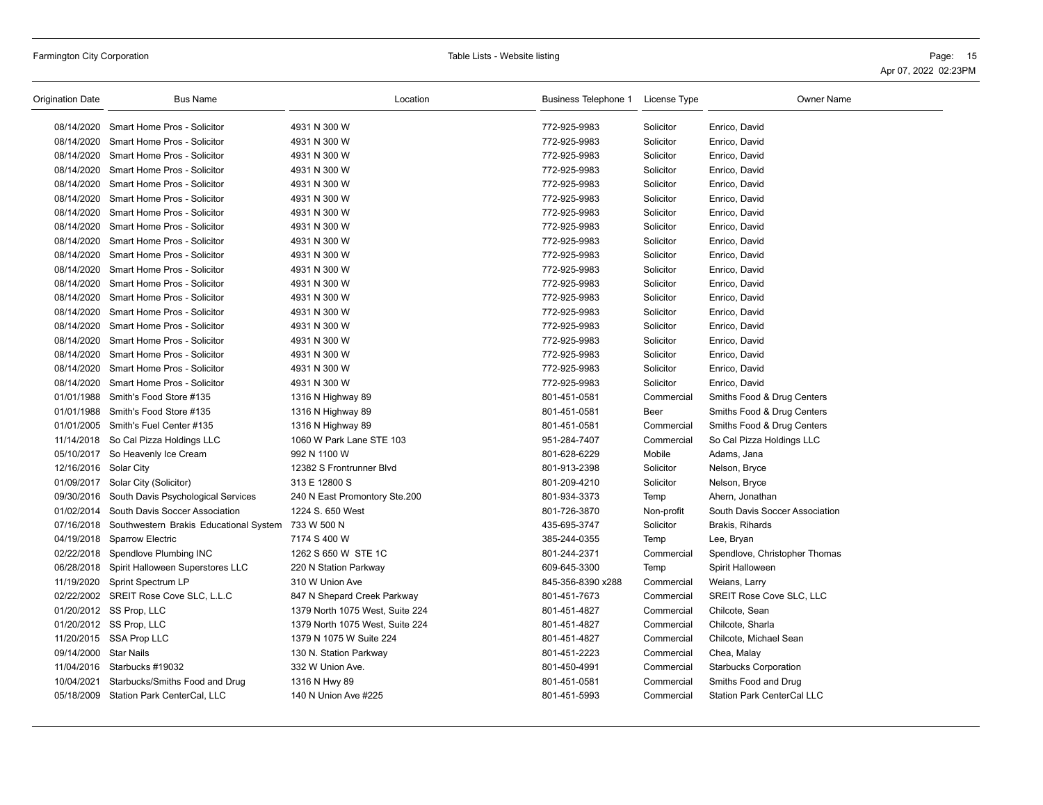| <b>Origination Date</b> | <b>Bus Name</b>                                   | Location                        | Business Telephone 1 License Type |            | Owner Name                        |
|-------------------------|---------------------------------------------------|---------------------------------|-----------------------------------|------------|-----------------------------------|
|                         | 08/14/2020 Smart Home Pros - Solicitor            | 4931 N 300 W                    | 772-925-9983                      | Solicitor  | Enrico, David                     |
|                         | 08/14/2020 Smart Home Pros - Solicitor            | 4931 N 300 W                    | 772-925-9983                      | Solicitor  | Enrico, David                     |
|                         | 08/14/2020 Smart Home Pros - Solicitor            | 4931 N 300 W                    | 772-925-9983                      | Solicitor  | Enrico, David                     |
|                         | 08/14/2020 Smart Home Pros - Solicitor            | 4931 N 300 W                    | 772-925-9983                      | Solicitor  | Enrico, David                     |
| 08/14/2020              | Smart Home Pros - Solicitor                       | 4931 N 300 W                    | 772-925-9983                      | Solicitor  | Enrico, David                     |
|                         | 08/14/2020 Smart Home Pros - Solicitor            | 4931 N 300 W                    | 772-925-9983                      | Solicitor  | Enrico, David                     |
| 08/14/2020              | Smart Home Pros - Solicitor                       | 4931 N 300 W                    | 772-925-9983                      | Solicitor  | Enrico, David                     |
|                         | 08/14/2020 Smart Home Pros - Solicitor            | 4931 N 300 W                    | 772-925-9983                      | Solicitor  | Enrico, David                     |
|                         | 08/14/2020 Smart Home Pros - Solicitor            | 4931 N 300 W                    | 772-925-9983                      | Solicitor  | Enrico, David                     |
|                         | 08/14/2020 Smart Home Pros - Solicitor            | 4931 N 300 W                    | 772-925-9983                      | Solicitor  | Enrico, David                     |
|                         | 08/14/2020 Smart Home Pros - Solicitor            | 4931 N 300 W                    | 772-925-9983                      | Solicitor  | Enrico, David                     |
|                         | 08/14/2020 Smart Home Pros - Solicitor            | 4931 N 300 W                    | 772-925-9983                      | Solicitor  | Enrico, David                     |
|                         | 08/14/2020 Smart Home Pros - Solicitor            | 4931 N 300 W                    | 772-925-9983                      | Solicitor  | Enrico, David                     |
|                         | 08/14/2020 Smart Home Pros - Solicitor            | 4931 N 300 W                    | 772-925-9983                      | Solicitor  | Enrico, David                     |
| 08/14/2020              | Smart Home Pros - Solicitor                       | 4931 N 300 W                    | 772-925-9983                      | Solicitor  | Enrico, David                     |
|                         | 08/14/2020 Smart Home Pros - Solicitor            | 4931 N 300 W                    | 772-925-9983                      | Solicitor  | Enrico, David                     |
|                         | 08/14/2020 Smart Home Pros - Solicitor            | 4931 N 300 W                    | 772-925-9983                      | Solicitor  | Enrico, David                     |
|                         | 08/14/2020 Smart Home Pros - Solicitor            | 4931 N 300 W                    | 772-925-9983                      | Solicitor  | Enrico, David                     |
| 08/14/2020              | Smart Home Pros - Solicitor                       | 4931 N 300 W                    | 772-925-9983                      | Solicitor  | Enrico, David                     |
|                         | 01/01/1988 Smith's Food Store #135                | 1316 N Highway 89               | 801-451-0581                      | Commercial | Smiths Food & Drug Centers        |
|                         | 01/01/1988 Smith's Food Store #135                | 1316 N Highway 89               | 801-451-0581                      | Beer       | Smiths Food & Drug Centers        |
|                         | 01/01/2005 Smith's Fuel Center #135               | 1316 N Highway 89               | 801-451-0581                      | Commercial | Smiths Food & Drug Centers        |
|                         | 11/14/2018 So Cal Pizza Holdings LLC              | 1060 W Park Lane STE 103        | 951-284-7407                      | Commercial | So Cal Pizza Holdings LLC         |
|                         | 05/10/2017 So Heavenly Ice Cream                  | 992 N 1100 W                    | 801-628-6229                      | Mobile     | Adams, Jana                       |
| 12/16/2016 Solar City   |                                                   | 12382 S Frontrunner Blvd        | 801-913-2398                      | Solicitor  | Nelson, Bryce                     |
|                         | 01/09/2017 Solar City (Solicitor)                 | 313 E 12800 S                   | 801-209-4210                      | Solicitor  | Nelson, Bryce                     |
|                         | 09/30/2016 South Davis Psychological Services     | 240 N East Promontory Ste.200   | 801-934-3373                      | Temp       | Ahern, Jonathan                   |
| 01/02/2014              | South Davis Soccer Association                    | 1224 S. 650 West                | 801-726-3870                      | Non-profit | South Davis Soccer Association    |
|                         | 07/16/2018 Southwestern Brakis Educational System | 733 W 500 N                     | 435-695-3747                      | Solicitor  | Brakis, Rihards                   |
|                         | 04/19/2018 Sparrow Electric                       | 7174 S 400 W                    | 385-244-0355                      | Temp       | Lee, Bryan                        |
|                         | 02/22/2018 Spendlove Plumbing INC                 | 1262 S 650 W STE 1C             | 801-244-2371                      | Commercial | Spendlove, Christopher Thomas     |
|                         | 06/28/2018 Spirit Halloween Superstores LLC       | 220 N Station Parkway           | 609-645-3300                      | Temp       | Spirit Halloween                  |
| 11/19/2020              | Sprint Spectrum LP                                | 310 W Union Ave                 | 845-356-8390 x288                 | Commercial | Weians, Larry                     |
|                         | 02/22/2002 SREIT Rose Cove SLC, L.L.C             | 847 N Shepard Creek Parkway     | 801-451-7673                      | Commercial | <b>SREIT Rose Cove SLC, LLC</b>   |
|                         | 01/20/2012 SS Prop, LLC                           | 1379 North 1075 West, Suite 224 | 801-451-4827                      | Commercial | Chilcote, Sean                    |
|                         | 01/20/2012 SS Prop, LLC                           | 1379 North 1075 West, Suite 224 | 801-451-4827                      | Commercial | Chilcote, Sharla                  |
|                         | 11/20/2015 SSA Prop LLC                           | 1379 N 1075 W Suite 224         | 801-451-4827                      | Commercial | Chilcote, Michael Sean            |
| 09/14/2000 Star Nails   |                                                   | 130 N. Station Parkway          | 801-451-2223                      | Commercial | Chea, Malay                       |
|                         | 11/04/2016 Starbucks #19032                       | 332 W Union Ave.                | 801-450-4991                      | Commercial | <b>Starbucks Corporation</b>      |
|                         | 10/04/2021 Starbucks/Smiths Food and Drug         | 1316 N Hwy 89                   | 801-451-0581                      | Commercial | Smiths Food and Drug              |
|                         | 05/18/2009 Station Park CenterCal, LLC            | 140 N Union Ave #225            | 801-451-5993                      | Commercial | <b>Station Park CenterCal LLC</b> |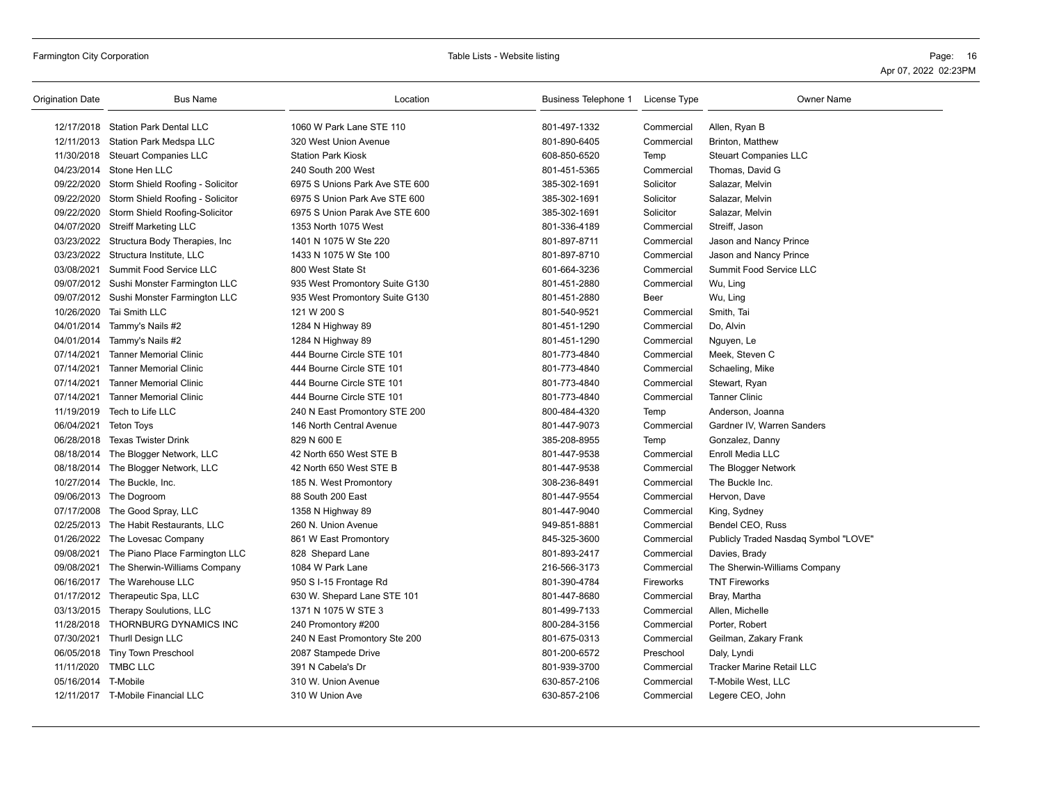| Origination Date    | <b>Bus Name</b>                             | Location                       | Business Telephone 1 | License Type | <b>Owner Name</b>                    |
|---------------------|---------------------------------------------|--------------------------------|----------------------|--------------|--------------------------------------|
|                     | 12/17/2018 Station Park Dental LLC          | 1060 W Park Lane STE 110       | 801-497-1332         | Commercial   | Allen, Ryan B                        |
|                     | 12/11/2013 Station Park Medspa LLC          | 320 West Union Avenue          | 801-890-6405         | Commercial   | Brinton, Matthew                     |
|                     | 11/30/2018 Steuart Companies LLC            | <b>Station Park Kiosk</b>      | 608-850-6520         | Temp         | <b>Steuart Companies LLC</b>         |
|                     | 04/23/2014 Stone Hen LLC                    | 240 South 200 West             | 801-451-5365         | Commercial   | Thomas, David G                      |
|                     | 09/22/2020 Storm Shield Roofing - Solicitor | 6975 S Unions Park Ave STE 600 | 385-302-1691         | Solicitor    | Salazar, Melvin                      |
| 09/22/2020          | Storm Shield Roofing - Solicitor            | 6975 S Union Park Ave STE 600  | 385-302-1691         | Solicitor    | Salazar, Melvin                      |
|                     | 09/22/2020 Storm Shield Roofing-Solicitor   | 6975 S Union Parak Ave STE 600 | 385-302-1691         | Solicitor    | Salazar, Melvin                      |
|                     | 04/07/2020 Streiff Marketing LLC            | 1353 North 1075 West           | 801-336-4189         | Commercial   | Streiff, Jason                       |
|                     | 03/23/2022 Structura Body Therapies, Inc    | 1401 N 1075 W Ste 220          | 801-897-8711         | Commercial   | Jason and Nancy Prince               |
|                     | 03/23/2022 Structura Institute, LLC         | 1433 N 1075 W Ste 100          | 801-897-8710         | Commercial   | Jason and Nancy Prince               |
| 03/08/2021          | Summit Food Service LLC                     | 800 West State St              | 601-664-3236         | Commercial   | Summit Food Service LLC              |
|                     | 09/07/2012 Sushi Monster Farmington LLC     | 935 West Promontory Suite G130 | 801-451-2880         | Commercial   | Wu, Ling                             |
|                     | 09/07/2012 Sushi Monster Farmington LLC     | 935 West Promontory Suite G130 | 801-451-2880         | Beer         | Wu, Ling                             |
|                     | 10/26/2020 Tai Smith LLC                    | 121 W 200 S                    | 801-540-9521         | Commercial   | Smith, Tai                           |
|                     | 04/01/2014 Tammy's Nails #2                 | 1284 N Highway 89              | 801-451-1290         | Commercial   | Do, Alvin                            |
|                     | 04/01/2014 Tammy's Nails #2                 | 1284 N Highway 89              | 801-451-1290         | Commercial   | Nguyen, Le                           |
| 07/14/2021          | <b>Tanner Memorial Clinic</b>               | 444 Bourne Circle STE 101      | 801-773-4840         | Commercial   | Meek, Steven C                       |
| 07/14/2021          | <b>Tanner Memorial Clinic</b>               | 444 Bourne Circle STE 101      | 801-773-4840         | Commercial   | Schaeling, Mike                      |
| 07/14/2021          | <b>Tanner Memorial Clinic</b>               | 444 Bourne Circle STE 101      | 801-773-4840         | Commercial   | Stewart, Ryan                        |
| 07/14/2021          | <b>Tanner Memorial Clinic</b>               | 444 Bourne Circle STE 101      | 801-773-4840         | Commercial   | <b>Tanner Clinic</b>                 |
|                     | 11/19/2019 Tech to Life LLC                 | 240 N East Promontory STE 200  | 800-484-4320         | Temp         | Anderson, Joanna                     |
| 06/04/2021          | <b>Teton Toys</b>                           | 146 North Central Avenue       | 801-447-9073         | Commercial   | Gardner IV, Warren Sanders           |
| 06/28/2018          | Texas Twister Drink                         | 829 N 600 E                    | 385-208-8955         | Temp         | Gonzalez, Danny                      |
|                     | 08/18/2014 The Blogger Network, LLC         | 42 North 650 West STE B        | 801-447-9538         | Commercial   | Enroll Media LLC                     |
|                     | 08/18/2014 The Blogger Network, LLC         | 42 North 650 West STE B        | 801-447-9538         | Commercial   | The Blogger Network                  |
|                     | 10/27/2014 The Buckle, Inc.                 | 185 N. West Promontory         | 308-236-8491         | Commercial   | The Buckle Inc.                      |
|                     | 09/06/2013 The Dogroom                      | 88 South 200 East              | 801-447-9554         | Commercial   | Hervon, Dave                         |
|                     | 07/17/2008 The Good Spray, LLC              | 1358 N Highway 89              | 801-447-9040         | Commercial   | King, Sydney                         |
|                     | 02/25/2013 The Habit Restaurants, LLC       | 260 N. Union Avenue            | 949-851-8881         | Commercial   | Bendel CEO, Russ                     |
|                     | 01/26/2022 The Lovesac Company              | 861 W East Promontory          | 845-325-3600         | Commercial   | Publicly Traded Nasdaq Symbol "LOVE" |
| 09/08/2021          | The Piano Place Farmington LLC              | 828 Shepard Lane               | 801-893-2417         | Commercial   | Davies, Brady                        |
| 09/08/2021          | The Sherwin-Williams Company                | 1084 W Park Lane               | 216-566-3173         | Commercial   | The Sherwin-Williams Company         |
|                     | 06/16/2017 The Warehouse LLC                | 950 S I-15 Frontage Rd         | 801-390-4784         | Fireworks    | <b>TNT Fireworks</b>                 |
|                     | 01/17/2012 Therapeutic Spa, LLC             | 630 W. Shepard Lane STE 101    | 801-447-8680         | Commercial   | Bray, Martha                         |
|                     | 03/13/2015 Therapy Soulutions, LLC          | 1371 N 1075 W STE 3            | 801-499-7133         | Commercial   | Allen, Michelle                      |
|                     | 11/28/2018 THORNBURG DYNAMICS INC           | 240 Promontory #200            | 800-284-3156         | Commercial   | Porter, Robert                       |
| 07/30/2021          | <b>Thurll Design LLC</b>                    | 240 N East Promontory Ste 200  | 801-675-0313         | Commercial   | Geilman, Zakary Frank                |
|                     | 06/05/2018 Tiny Town Preschool              | 2087 Stampede Drive            | 801-200-6572         | Preschool    | Daly, Lyndi                          |
| 11/11/2020          | TMBC LLC                                    | 391 N Cabela's Dr              | 801-939-3700         | Commercial   | Tracker Marine Retail LLC            |
| 05/16/2014 T-Mobile |                                             | 310 W. Union Avenue            | 630-857-2106         | Commercial   | T-Mobile West, LLC                   |
|                     | 12/11/2017 T-Mobile Financial LLC           | 310 W Union Ave                | 630-857-2106         | Commercial   | Legere CEO, John                     |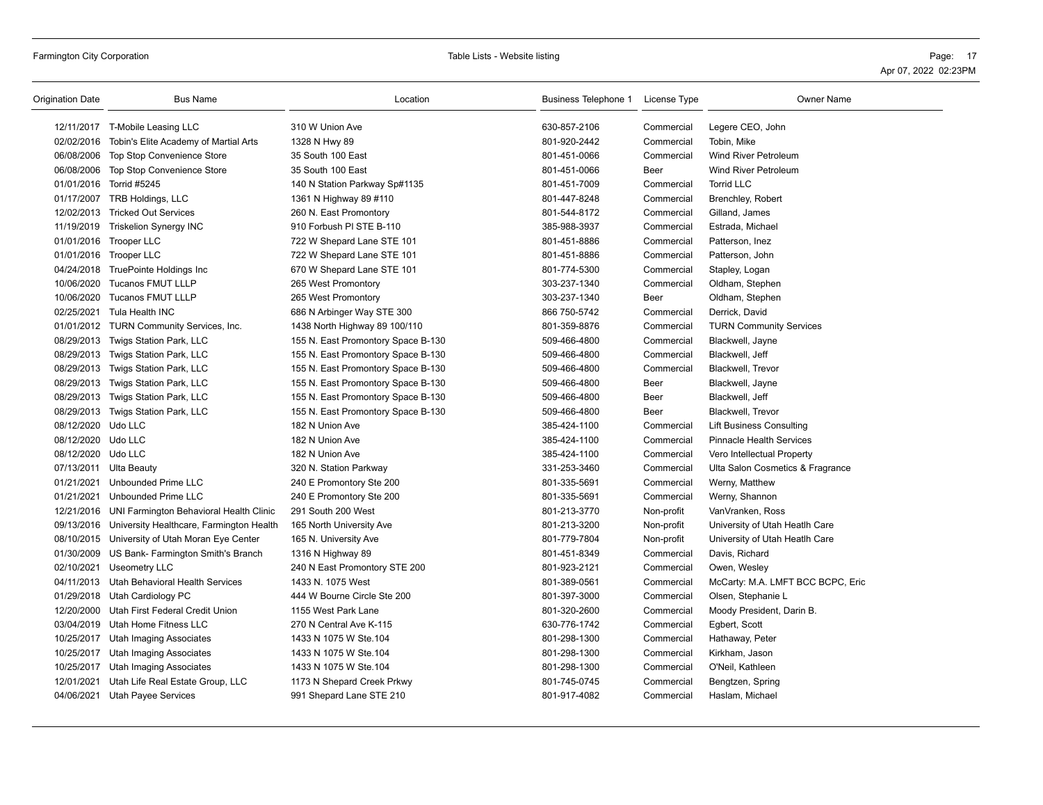Farmington City Corporation **Page:** 17 **Page: 17** Table Lists - Website listing **Page: 17** Page: 17 Apr 07, 2022 02:23PM

| 12/11/2017 T-Mobile Leasing LLC<br>310 W Union Ave<br>630-857-2106<br>Commercial<br>Legere CEO, John<br>02/02/2016<br>Tobin's Elite Academy of Martial Arts<br>1328 N Hwy 89<br>801-920-2442<br>Commercial<br>Tobin, Mike<br>06/08/2006 Top Stop Convenience Store<br>35 South 100 East<br>801-451-0066<br>Commercial<br><b>Wind River Petroleum</b><br>06/08/2006 Top Stop Convenience Store<br>35 South 100 East<br>801-451-0066<br>Beer<br>Wind River Petroleum<br>01/01/2016 Torrid #5245<br>140 N Station Parkway Sp#1135<br>801-451-7009<br>Commercial<br><b>Torrid LLC</b><br>01/17/2007 TRB Holdings, LLC<br>801-447-8248<br>1361 N Highway 89 #110<br>Commercial<br><b>Brenchley, Robert</b><br>801-544-8172<br>12/02/2013 Tricked Out Services<br>260 N. East Promontory<br>Commercial<br>Gilland, James<br>11/19/2019<br>Triskelion Synergy INC<br>910 Forbush PI STE B-110<br>385-988-3937<br>Commercial<br>Estrada, Michael<br>01/01/2016 Trooper LLC<br>722 W Shepard Lane STE 101<br>801-451-8886<br>Commercial<br>Patterson, Inez<br>01/01/2016 Trooper LLC<br>722 W Shepard Lane STE 101<br>801-451-8886<br>Commercial<br>Patterson, John<br>04/24/2018 TruePointe Holdings Inc<br>801-774-5300<br>670 W Shepard Lane STE 101<br>Commercial<br>Stapley, Logan<br>10/06/2020<br><b>Tucanos FMUT LLLP</b><br>265 West Promontory<br>303-237-1340<br>Commercial<br>Oldham, Stephen<br>10/06/2020 Tucanos FMUT LLLP<br>303-237-1340<br>265 West Promontory<br>Beer<br>Oldham, Stephen<br>02/25/2021 Tula Health INC<br>686 N Arbinger Way STE 300<br>866 750-5742<br>Commercial<br>Derrick, David<br>01/01/2012 TURN Community Services, Inc.<br>1438 North Highway 89 100/110<br>801-359-8876<br>Commercial<br><b>TURN Community Services</b><br>08/29/2013 Twigs Station Park, LLC<br>509-466-4800<br>155 N. East Promontory Space B-130<br>Commercial<br>Blackwell, Jayne<br>08/29/2013 Twigs Station Park, LLC<br>155 N. East Promontory Space B-130<br>509-466-4800<br>Commercial<br>Blackwell, Jeff<br>08/29/2013 Twigs Station Park, LLC<br>155 N. East Promontory Space B-130<br>509-466-4800<br>Commercial<br>Blackwell, Trevor<br>08/29/2013 Twigs Station Park, LLC<br>155 N. East Promontory Space B-130<br>509-466-4800<br>Beer<br>Blackwell, Jayne<br>08/29/2013 Twigs Station Park, LLC<br>155 N. East Promontory Space B-130<br>Beer<br>Blackwell, Jeff<br>509-466-4800<br>08/29/2013 Twigs Station Park, LLC<br>155 N. East Promontory Space B-130<br>509-466-4800<br><b>Blackwell, Trevor</b><br>Beer<br>08/12/2020 Udo LLC<br>182 N Union Ave<br>385-424-1100<br>Commercial<br>Lift Business Consulting<br>08/12/2020 Udo LLC<br>182 N Union Ave<br>385-424-1100<br>Commercial<br><b>Pinnacle Health Services</b><br>08/12/2020 Udo LLC<br>182 N Union Ave<br>385-424-1100<br>Commercial<br>Vero Intellectual Property<br>07/13/2011 Ulta Beauty<br>320 N. Station Parkway<br>331-253-3460<br>Commercial<br>Ulta Salon Cosmetics & Fragrance<br>01/21/2021<br>Unbounded Prime LLC<br>240 E Promontory Ste 200<br>801-335-5691<br>Commercial<br>Werny, Matthew<br>01/21/2021<br><b>Unbounded Prime LLC</b><br>240 E Promontory Ste 200<br>801-335-5691<br>Werny, Shannon<br>Commercial<br>12/21/2016 UNI Farmington Behavioral Health Clinic<br>291 South 200 West<br>801-213-3770<br>Non-profit<br>VanVranken, Ross<br>09/13/2016 University Healthcare, Farmington Health<br>801-213-3200<br>University of Utah Heatlh Care<br>165 North University Ave<br>Non-profit<br>08/10/2015 University of Utah Moran Eye Center<br>801-779-7804<br>165 N. University Ave<br>Non-profit<br>University of Utah Heatlh Care<br>01/30/2009<br>US Bank- Farmington Smith's Branch<br>801-451-8349<br>Commercial<br>Davis, Richard<br>1316 N Highway 89<br>02/10/2021 Useometry LLC<br>240 N East Promontory STE 200<br>801-923-2121<br>Commercial<br>Owen, Wesley<br>04/11/2013 Utah Behavioral Health Services<br>1433 N. 1075 West<br>801-389-0561<br>McCarty: M.A. LMFT BCC BCPC, Eric<br>Commercial<br>01/29/2018 Utah Cardiology PC<br>444 W Bourne Circle Ste 200<br>801-397-3000<br>Commercial<br>Olsen, Stephanie L<br>12/20/2000 Utah First Federal Credit Union<br>1155 West Park Lane<br>801-320-2600<br>Moody President, Darin B.<br>Commercial<br>03/04/2019 Utah Home Fitness LLC<br>270 N Central Ave K-115<br>630-776-1742<br>Commercial<br>Egbert, Scott<br>10/25/2017 Utah Imaging Associates<br>1433 N 1075 W Ste.104<br>801-298-1300<br>Commercial<br>Hathaway, Peter<br>10/25/2017<br><b>Utah Imaging Associates</b><br>1433 N 1075 W Ste.104<br>Kirkham, Jason<br>801-298-1300<br>Commercial<br>10/25/2017<br>1433 N 1075 W Ste.104<br>801-298-1300<br>Utah Imaging Associates<br>Commercial<br>O'Neil, Kathleen<br>801-745-0745<br>12/01/2021<br>Utah Life Real Estate Group, LLC<br>1173 N Shepard Creek Prkwy<br>Commercial<br>Bengtzen, Spring<br>04/06/2021 Utah Payee Services<br>Commercial | Origination Date | <b>Bus Name</b> | Location                 | Business Telephone 1 License Type | <b>Owner Name</b> |
|----------------------------------------------------------------------------------------------------------------------------------------------------------------------------------------------------------------------------------------------------------------------------------------------------------------------------------------------------------------------------------------------------------------------------------------------------------------------------------------------------------------------------------------------------------------------------------------------------------------------------------------------------------------------------------------------------------------------------------------------------------------------------------------------------------------------------------------------------------------------------------------------------------------------------------------------------------------------------------------------------------------------------------------------------------------------------------------------------------------------------------------------------------------------------------------------------------------------------------------------------------------------------------------------------------------------------------------------------------------------------------------------------------------------------------------------------------------------------------------------------------------------------------------------------------------------------------------------------------------------------------------------------------------------------------------------------------------------------------------------------------------------------------------------------------------------------------------------------------------------------------------------------------------------------------------------------------------------------------------------------------------------------------------------------------------------------------------------------------------------------------------------------------------------------------------------------------------------------------------------------------------------------------------------------------------------------------------------------------------------------------------------------------------------------------------------------------------------------------------------------------------------------------------------------------------------------------------------------------------------------------------------------------------------------------------------------------------------------------------------------------------------------------------------------------------------------------------------------------------------------------------------------------------------------------------------------------------------------------------------------------------------------------------------------------------------------------------------------------------------------------------------------------------------------------------------------------------------------------------------------------------------------------------------------------------------------------------------------------------------------------------------------------------------------------------------------------------------------------------------------------------------------------------------------------------------------------------------------------------------------------------------------------------------------------------------------------------------------------------------------------------------------------------------------------------------------------------------------------------------------------------------------------------------------------------------------------------------------------------------------------------------------------------------------------------------------------------------------------------------------------------------------------------------------------------------------------------------------------------------------------------------------------------------------------------------------------------------------------------------------------------------------------------------------------------------------------------------------------------------------------------------------------------------------------------------------------------------------------------------------------------------------------------------------------------------------------------------------------------------------------------------------------------------------------------------------------------------------------------------------------------------------------------------------------------------|------------------|-----------------|--------------------------|-----------------------------------|-------------------|
|                                                                                                                                                                                                                                                                                                                                                                                                                                                                                                                                                                                                                                                                                                                                                                                                                                                                                                                                                                                                                                                                                                                                                                                                                                                                                                                                                                                                                                                                                                                                                                                                                                                                                                                                                                                                                                                                                                                                                                                                                                                                                                                                                                                                                                                                                                                                                                                                                                                                                                                                                                                                                                                                                                                                                                                                                                                                                                                                                                                                                                                                                                                                                                                                                                                                                                                                                                                                                                                                                                                                                                                                                                                                                                                                                                                                                                                                                                                                                                                                                                                                                                                                                                                                                                                                                                                                                                                                                                                                                                                                                                                                                                                                                                                                                                                                                                                                                                                                              |                  |                 |                          |                                   |                   |
|                                                                                                                                                                                                                                                                                                                                                                                                                                                                                                                                                                                                                                                                                                                                                                                                                                                                                                                                                                                                                                                                                                                                                                                                                                                                                                                                                                                                                                                                                                                                                                                                                                                                                                                                                                                                                                                                                                                                                                                                                                                                                                                                                                                                                                                                                                                                                                                                                                                                                                                                                                                                                                                                                                                                                                                                                                                                                                                                                                                                                                                                                                                                                                                                                                                                                                                                                                                                                                                                                                                                                                                                                                                                                                                                                                                                                                                                                                                                                                                                                                                                                                                                                                                                                                                                                                                                                                                                                                                                                                                                                                                                                                                                                                                                                                                                                                                                                                                                              |                  |                 |                          |                                   |                   |
|                                                                                                                                                                                                                                                                                                                                                                                                                                                                                                                                                                                                                                                                                                                                                                                                                                                                                                                                                                                                                                                                                                                                                                                                                                                                                                                                                                                                                                                                                                                                                                                                                                                                                                                                                                                                                                                                                                                                                                                                                                                                                                                                                                                                                                                                                                                                                                                                                                                                                                                                                                                                                                                                                                                                                                                                                                                                                                                                                                                                                                                                                                                                                                                                                                                                                                                                                                                                                                                                                                                                                                                                                                                                                                                                                                                                                                                                                                                                                                                                                                                                                                                                                                                                                                                                                                                                                                                                                                                                                                                                                                                                                                                                                                                                                                                                                                                                                                                                              |                  |                 |                          |                                   |                   |
|                                                                                                                                                                                                                                                                                                                                                                                                                                                                                                                                                                                                                                                                                                                                                                                                                                                                                                                                                                                                                                                                                                                                                                                                                                                                                                                                                                                                                                                                                                                                                                                                                                                                                                                                                                                                                                                                                                                                                                                                                                                                                                                                                                                                                                                                                                                                                                                                                                                                                                                                                                                                                                                                                                                                                                                                                                                                                                                                                                                                                                                                                                                                                                                                                                                                                                                                                                                                                                                                                                                                                                                                                                                                                                                                                                                                                                                                                                                                                                                                                                                                                                                                                                                                                                                                                                                                                                                                                                                                                                                                                                                                                                                                                                                                                                                                                                                                                                                                              |                  |                 |                          |                                   |                   |
|                                                                                                                                                                                                                                                                                                                                                                                                                                                                                                                                                                                                                                                                                                                                                                                                                                                                                                                                                                                                                                                                                                                                                                                                                                                                                                                                                                                                                                                                                                                                                                                                                                                                                                                                                                                                                                                                                                                                                                                                                                                                                                                                                                                                                                                                                                                                                                                                                                                                                                                                                                                                                                                                                                                                                                                                                                                                                                                                                                                                                                                                                                                                                                                                                                                                                                                                                                                                                                                                                                                                                                                                                                                                                                                                                                                                                                                                                                                                                                                                                                                                                                                                                                                                                                                                                                                                                                                                                                                                                                                                                                                                                                                                                                                                                                                                                                                                                                                                              |                  |                 |                          |                                   |                   |
|                                                                                                                                                                                                                                                                                                                                                                                                                                                                                                                                                                                                                                                                                                                                                                                                                                                                                                                                                                                                                                                                                                                                                                                                                                                                                                                                                                                                                                                                                                                                                                                                                                                                                                                                                                                                                                                                                                                                                                                                                                                                                                                                                                                                                                                                                                                                                                                                                                                                                                                                                                                                                                                                                                                                                                                                                                                                                                                                                                                                                                                                                                                                                                                                                                                                                                                                                                                                                                                                                                                                                                                                                                                                                                                                                                                                                                                                                                                                                                                                                                                                                                                                                                                                                                                                                                                                                                                                                                                                                                                                                                                                                                                                                                                                                                                                                                                                                                                                              |                  |                 |                          |                                   |                   |
|                                                                                                                                                                                                                                                                                                                                                                                                                                                                                                                                                                                                                                                                                                                                                                                                                                                                                                                                                                                                                                                                                                                                                                                                                                                                                                                                                                                                                                                                                                                                                                                                                                                                                                                                                                                                                                                                                                                                                                                                                                                                                                                                                                                                                                                                                                                                                                                                                                                                                                                                                                                                                                                                                                                                                                                                                                                                                                                                                                                                                                                                                                                                                                                                                                                                                                                                                                                                                                                                                                                                                                                                                                                                                                                                                                                                                                                                                                                                                                                                                                                                                                                                                                                                                                                                                                                                                                                                                                                                                                                                                                                                                                                                                                                                                                                                                                                                                                                                              |                  |                 |                          |                                   |                   |
|                                                                                                                                                                                                                                                                                                                                                                                                                                                                                                                                                                                                                                                                                                                                                                                                                                                                                                                                                                                                                                                                                                                                                                                                                                                                                                                                                                                                                                                                                                                                                                                                                                                                                                                                                                                                                                                                                                                                                                                                                                                                                                                                                                                                                                                                                                                                                                                                                                                                                                                                                                                                                                                                                                                                                                                                                                                                                                                                                                                                                                                                                                                                                                                                                                                                                                                                                                                                                                                                                                                                                                                                                                                                                                                                                                                                                                                                                                                                                                                                                                                                                                                                                                                                                                                                                                                                                                                                                                                                                                                                                                                                                                                                                                                                                                                                                                                                                                                                              |                  |                 |                          |                                   |                   |
|                                                                                                                                                                                                                                                                                                                                                                                                                                                                                                                                                                                                                                                                                                                                                                                                                                                                                                                                                                                                                                                                                                                                                                                                                                                                                                                                                                                                                                                                                                                                                                                                                                                                                                                                                                                                                                                                                                                                                                                                                                                                                                                                                                                                                                                                                                                                                                                                                                                                                                                                                                                                                                                                                                                                                                                                                                                                                                                                                                                                                                                                                                                                                                                                                                                                                                                                                                                                                                                                                                                                                                                                                                                                                                                                                                                                                                                                                                                                                                                                                                                                                                                                                                                                                                                                                                                                                                                                                                                                                                                                                                                                                                                                                                                                                                                                                                                                                                                                              |                  |                 |                          |                                   |                   |
|                                                                                                                                                                                                                                                                                                                                                                                                                                                                                                                                                                                                                                                                                                                                                                                                                                                                                                                                                                                                                                                                                                                                                                                                                                                                                                                                                                                                                                                                                                                                                                                                                                                                                                                                                                                                                                                                                                                                                                                                                                                                                                                                                                                                                                                                                                                                                                                                                                                                                                                                                                                                                                                                                                                                                                                                                                                                                                                                                                                                                                                                                                                                                                                                                                                                                                                                                                                                                                                                                                                                                                                                                                                                                                                                                                                                                                                                                                                                                                                                                                                                                                                                                                                                                                                                                                                                                                                                                                                                                                                                                                                                                                                                                                                                                                                                                                                                                                                                              |                  |                 |                          |                                   |                   |
|                                                                                                                                                                                                                                                                                                                                                                                                                                                                                                                                                                                                                                                                                                                                                                                                                                                                                                                                                                                                                                                                                                                                                                                                                                                                                                                                                                                                                                                                                                                                                                                                                                                                                                                                                                                                                                                                                                                                                                                                                                                                                                                                                                                                                                                                                                                                                                                                                                                                                                                                                                                                                                                                                                                                                                                                                                                                                                                                                                                                                                                                                                                                                                                                                                                                                                                                                                                                                                                                                                                                                                                                                                                                                                                                                                                                                                                                                                                                                                                                                                                                                                                                                                                                                                                                                                                                                                                                                                                                                                                                                                                                                                                                                                                                                                                                                                                                                                                                              |                  |                 |                          |                                   |                   |
|                                                                                                                                                                                                                                                                                                                                                                                                                                                                                                                                                                                                                                                                                                                                                                                                                                                                                                                                                                                                                                                                                                                                                                                                                                                                                                                                                                                                                                                                                                                                                                                                                                                                                                                                                                                                                                                                                                                                                                                                                                                                                                                                                                                                                                                                                                                                                                                                                                                                                                                                                                                                                                                                                                                                                                                                                                                                                                                                                                                                                                                                                                                                                                                                                                                                                                                                                                                                                                                                                                                                                                                                                                                                                                                                                                                                                                                                                                                                                                                                                                                                                                                                                                                                                                                                                                                                                                                                                                                                                                                                                                                                                                                                                                                                                                                                                                                                                                                                              |                  |                 |                          |                                   |                   |
|                                                                                                                                                                                                                                                                                                                                                                                                                                                                                                                                                                                                                                                                                                                                                                                                                                                                                                                                                                                                                                                                                                                                                                                                                                                                                                                                                                                                                                                                                                                                                                                                                                                                                                                                                                                                                                                                                                                                                                                                                                                                                                                                                                                                                                                                                                                                                                                                                                                                                                                                                                                                                                                                                                                                                                                                                                                                                                                                                                                                                                                                                                                                                                                                                                                                                                                                                                                                                                                                                                                                                                                                                                                                                                                                                                                                                                                                                                                                                                                                                                                                                                                                                                                                                                                                                                                                                                                                                                                                                                                                                                                                                                                                                                                                                                                                                                                                                                                                              |                  |                 |                          |                                   |                   |
|                                                                                                                                                                                                                                                                                                                                                                                                                                                                                                                                                                                                                                                                                                                                                                                                                                                                                                                                                                                                                                                                                                                                                                                                                                                                                                                                                                                                                                                                                                                                                                                                                                                                                                                                                                                                                                                                                                                                                                                                                                                                                                                                                                                                                                                                                                                                                                                                                                                                                                                                                                                                                                                                                                                                                                                                                                                                                                                                                                                                                                                                                                                                                                                                                                                                                                                                                                                                                                                                                                                                                                                                                                                                                                                                                                                                                                                                                                                                                                                                                                                                                                                                                                                                                                                                                                                                                                                                                                                                                                                                                                                                                                                                                                                                                                                                                                                                                                                                              |                  |                 |                          |                                   |                   |
|                                                                                                                                                                                                                                                                                                                                                                                                                                                                                                                                                                                                                                                                                                                                                                                                                                                                                                                                                                                                                                                                                                                                                                                                                                                                                                                                                                                                                                                                                                                                                                                                                                                                                                                                                                                                                                                                                                                                                                                                                                                                                                                                                                                                                                                                                                                                                                                                                                                                                                                                                                                                                                                                                                                                                                                                                                                                                                                                                                                                                                                                                                                                                                                                                                                                                                                                                                                                                                                                                                                                                                                                                                                                                                                                                                                                                                                                                                                                                                                                                                                                                                                                                                                                                                                                                                                                                                                                                                                                                                                                                                                                                                                                                                                                                                                                                                                                                                                                              |                  |                 |                          |                                   |                   |
|                                                                                                                                                                                                                                                                                                                                                                                                                                                                                                                                                                                                                                                                                                                                                                                                                                                                                                                                                                                                                                                                                                                                                                                                                                                                                                                                                                                                                                                                                                                                                                                                                                                                                                                                                                                                                                                                                                                                                                                                                                                                                                                                                                                                                                                                                                                                                                                                                                                                                                                                                                                                                                                                                                                                                                                                                                                                                                                                                                                                                                                                                                                                                                                                                                                                                                                                                                                                                                                                                                                                                                                                                                                                                                                                                                                                                                                                                                                                                                                                                                                                                                                                                                                                                                                                                                                                                                                                                                                                                                                                                                                                                                                                                                                                                                                                                                                                                                                                              |                  |                 |                          |                                   |                   |
|                                                                                                                                                                                                                                                                                                                                                                                                                                                                                                                                                                                                                                                                                                                                                                                                                                                                                                                                                                                                                                                                                                                                                                                                                                                                                                                                                                                                                                                                                                                                                                                                                                                                                                                                                                                                                                                                                                                                                                                                                                                                                                                                                                                                                                                                                                                                                                                                                                                                                                                                                                                                                                                                                                                                                                                                                                                                                                                                                                                                                                                                                                                                                                                                                                                                                                                                                                                                                                                                                                                                                                                                                                                                                                                                                                                                                                                                                                                                                                                                                                                                                                                                                                                                                                                                                                                                                                                                                                                                                                                                                                                                                                                                                                                                                                                                                                                                                                                                              |                  |                 |                          |                                   |                   |
|                                                                                                                                                                                                                                                                                                                                                                                                                                                                                                                                                                                                                                                                                                                                                                                                                                                                                                                                                                                                                                                                                                                                                                                                                                                                                                                                                                                                                                                                                                                                                                                                                                                                                                                                                                                                                                                                                                                                                                                                                                                                                                                                                                                                                                                                                                                                                                                                                                                                                                                                                                                                                                                                                                                                                                                                                                                                                                                                                                                                                                                                                                                                                                                                                                                                                                                                                                                                                                                                                                                                                                                                                                                                                                                                                                                                                                                                                                                                                                                                                                                                                                                                                                                                                                                                                                                                                                                                                                                                                                                                                                                                                                                                                                                                                                                                                                                                                                                                              |                  |                 |                          |                                   |                   |
|                                                                                                                                                                                                                                                                                                                                                                                                                                                                                                                                                                                                                                                                                                                                                                                                                                                                                                                                                                                                                                                                                                                                                                                                                                                                                                                                                                                                                                                                                                                                                                                                                                                                                                                                                                                                                                                                                                                                                                                                                                                                                                                                                                                                                                                                                                                                                                                                                                                                                                                                                                                                                                                                                                                                                                                                                                                                                                                                                                                                                                                                                                                                                                                                                                                                                                                                                                                                                                                                                                                                                                                                                                                                                                                                                                                                                                                                                                                                                                                                                                                                                                                                                                                                                                                                                                                                                                                                                                                                                                                                                                                                                                                                                                                                                                                                                                                                                                                                              |                  |                 |                          |                                   |                   |
|                                                                                                                                                                                                                                                                                                                                                                                                                                                                                                                                                                                                                                                                                                                                                                                                                                                                                                                                                                                                                                                                                                                                                                                                                                                                                                                                                                                                                                                                                                                                                                                                                                                                                                                                                                                                                                                                                                                                                                                                                                                                                                                                                                                                                                                                                                                                                                                                                                                                                                                                                                                                                                                                                                                                                                                                                                                                                                                                                                                                                                                                                                                                                                                                                                                                                                                                                                                                                                                                                                                                                                                                                                                                                                                                                                                                                                                                                                                                                                                                                                                                                                                                                                                                                                                                                                                                                                                                                                                                                                                                                                                                                                                                                                                                                                                                                                                                                                                                              |                  |                 |                          |                                   |                   |
|                                                                                                                                                                                                                                                                                                                                                                                                                                                                                                                                                                                                                                                                                                                                                                                                                                                                                                                                                                                                                                                                                                                                                                                                                                                                                                                                                                                                                                                                                                                                                                                                                                                                                                                                                                                                                                                                                                                                                                                                                                                                                                                                                                                                                                                                                                                                                                                                                                                                                                                                                                                                                                                                                                                                                                                                                                                                                                                                                                                                                                                                                                                                                                                                                                                                                                                                                                                                                                                                                                                                                                                                                                                                                                                                                                                                                                                                                                                                                                                                                                                                                                                                                                                                                                                                                                                                                                                                                                                                                                                                                                                                                                                                                                                                                                                                                                                                                                                                              |                  |                 |                          |                                   |                   |
|                                                                                                                                                                                                                                                                                                                                                                                                                                                                                                                                                                                                                                                                                                                                                                                                                                                                                                                                                                                                                                                                                                                                                                                                                                                                                                                                                                                                                                                                                                                                                                                                                                                                                                                                                                                                                                                                                                                                                                                                                                                                                                                                                                                                                                                                                                                                                                                                                                                                                                                                                                                                                                                                                                                                                                                                                                                                                                                                                                                                                                                                                                                                                                                                                                                                                                                                                                                                                                                                                                                                                                                                                                                                                                                                                                                                                                                                                                                                                                                                                                                                                                                                                                                                                                                                                                                                                                                                                                                                                                                                                                                                                                                                                                                                                                                                                                                                                                                                              |                  |                 |                          |                                   |                   |
|                                                                                                                                                                                                                                                                                                                                                                                                                                                                                                                                                                                                                                                                                                                                                                                                                                                                                                                                                                                                                                                                                                                                                                                                                                                                                                                                                                                                                                                                                                                                                                                                                                                                                                                                                                                                                                                                                                                                                                                                                                                                                                                                                                                                                                                                                                                                                                                                                                                                                                                                                                                                                                                                                                                                                                                                                                                                                                                                                                                                                                                                                                                                                                                                                                                                                                                                                                                                                                                                                                                                                                                                                                                                                                                                                                                                                                                                                                                                                                                                                                                                                                                                                                                                                                                                                                                                                                                                                                                                                                                                                                                                                                                                                                                                                                                                                                                                                                                                              |                  |                 |                          |                                   |                   |
|                                                                                                                                                                                                                                                                                                                                                                                                                                                                                                                                                                                                                                                                                                                                                                                                                                                                                                                                                                                                                                                                                                                                                                                                                                                                                                                                                                                                                                                                                                                                                                                                                                                                                                                                                                                                                                                                                                                                                                                                                                                                                                                                                                                                                                                                                                                                                                                                                                                                                                                                                                                                                                                                                                                                                                                                                                                                                                                                                                                                                                                                                                                                                                                                                                                                                                                                                                                                                                                                                                                                                                                                                                                                                                                                                                                                                                                                                                                                                                                                                                                                                                                                                                                                                                                                                                                                                                                                                                                                                                                                                                                                                                                                                                                                                                                                                                                                                                                                              |                  |                 |                          |                                   |                   |
|                                                                                                                                                                                                                                                                                                                                                                                                                                                                                                                                                                                                                                                                                                                                                                                                                                                                                                                                                                                                                                                                                                                                                                                                                                                                                                                                                                                                                                                                                                                                                                                                                                                                                                                                                                                                                                                                                                                                                                                                                                                                                                                                                                                                                                                                                                                                                                                                                                                                                                                                                                                                                                                                                                                                                                                                                                                                                                                                                                                                                                                                                                                                                                                                                                                                                                                                                                                                                                                                                                                                                                                                                                                                                                                                                                                                                                                                                                                                                                                                                                                                                                                                                                                                                                                                                                                                                                                                                                                                                                                                                                                                                                                                                                                                                                                                                                                                                                                                              |                  |                 |                          |                                   |                   |
|                                                                                                                                                                                                                                                                                                                                                                                                                                                                                                                                                                                                                                                                                                                                                                                                                                                                                                                                                                                                                                                                                                                                                                                                                                                                                                                                                                                                                                                                                                                                                                                                                                                                                                                                                                                                                                                                                                                                                                                                                                                                                                                                                                                                                                                                                                                                                                                                                                                                                                                                                                                                                                                                                                                                                                                                                                                                                                                                                                                                                                                                                                                                                                                                                                                                                                                                                                                                                                                                                                                                                                                                                                                                                                                                                                                                                                                                                                                                                                                                                                                                                                                                                                                                                                                                                                                                                                                                                                                                                                                                                                                                                                                                                                                                                                                                                                                                                                                                              |                  |                 |                          |                                   |                   |
|                                                                                                                                                                                                                                                                                                                                                                                                                                                                                                                                                                                                                                                                                                                                                                                                                                                                                                                                                                                                                                                                                                                                                                                                                                                                                                                                                                                                                                                                                                                                                                                                                                                                                                                                                                                                                                                                                                                                                                                                                                                                                                                                                                                                                                                                                                                                                                                                                                                                                                                                                                                                                                                                                                                                                                                                                                                                                                                                                                                                                                                                                                                                                                                                                                                                                                                                                                                                                                                                                                                                                                                                                                                                                                                                                                                                                                                                                                                                                                                                                                                                                                                                                                                                                                                                                                                                                                                                                                                                                                                                                                                                                                                                                                                                                                                                                                                                                                                                              |                  |                 |                          |                                   |                   |
|                                                                                                                                                                                                                                                                                                                                                                                                                                                                                                                                                                                                                                                                                                                                                                                                                                                                                                                                                                                                                                                                                                                                                                                                                                                                                                                                                                                                                                                                                                                                                                                                                                                                                                                                                                                                                                                                                                                                                                                                                                                                                                                                                                                                                                                                                                                                                                                                                                                                                                                                                                                                                                                                                                                                                                                                                                                                                                                                                                                                                                                                                                                                                                                                                                                                                                                                                                                                                                                                                                                                                                                                                                                                                                                                                                                                                                                                                                                                                                                                                                                                                                                                                                                                                                                                                                                                                                                                                                                                                                                                                                                                                                                                                                                                                                                                                                                                                                                                              |                  |                 |                          |                                   |                   |
|                                                                                                                                                                                                                                                                                                                                                                                                                                                                                                                                                                                                                                                                                                                                                                                                                                                                                                                                                                                                                                                                                                                                                                                                                                                                                                                                                                                                                                                                                                                                                                                                                                                                                                                                                                                                                                                                                                                                                                                                                                                                                                                                                                                                                                                                                                                                                                                                                                                                                                                                                                                                                                                                                                                                                                                                                                                                                                                                                                                                                                                                                                                                                                                                                                                                                                                                                                                                                                                                                                                                                                                                                                                                                                                                                                                                                                                                                                                                                                                                                                                                                                                                                                                                                                                                                                                                                                                                                                                                                                                                                                                                                                                                                                                                                                                                                                                                                                                                              |                  |                 |                          |                                   |                   |
|                                                                                                                                                                                                                                                                                                                                                                                                                                                                                                                                                                                                                                                                                                                                                                                                                                                                                                                                                                                                                                                                                                                                                                                                                                                                                                                                                                                                                                                                                                                                                                                                                                                                                                                                                                                                                                                                                                                                                                                                                                                                                                                                                                                                                                                                                                                                                                                                                                                                                                                                                                                                                                                                                                                                                                                                                                                                                                                                                                                                                                                                                                                                                                                                                                                                                                                                                                                                                                                                                                                                                                                                                                                                                                                                                                                                                                                                                                                                                                                                                                                                                                                                                                                                                                                                                                                                                                                                                                                                                                                                                                                                                                                                                                                                                                                                                                                                                                                                              |                  |                 |                          |                                   |                   |
|                                                                                                                                                                                                                                                                                                                                                                                                                                                                                                                                                                                                                                                                                                                                                                                                                                                                                                                                                                                                                                                                                                                                                                                                                                                                                                                                                                                                                                                                                                                                                                                                                                                                                                                                                                                                                                                                                                                                                                                                                                                                                                                                                                                                                                                                                                                                                                                                                                                                                                                                                                                                                                                                                                                                                                                                                                                                                                                                                                                                                                                                                                                                                                                                                                                                                                                                                                                                                                                                                                                                                                                                                                                                                                                                                                                                                                                                                                                                                                                                                                                                                                                                                                                                                                                                                                                                                                                                                                                                                                                                                                                                                                                                                                                                                                                                                                                                                                                                              |                  |                 |                          |                                   |                   |
|                                                                                                                                                                                                                                                                                                                                                                                                                                                                                                                                                                                                                                                                                                                                                                                                                                                                                                                                                                                                                                                                                                                                                                                                                                                                                                                                                                                                                                                                                                                                                                                                                                                                                                                                                                                                                                                                                                                                                                                                                                                                                                                                                                                                                                                                                                                                                                                                                                                                                                                                                                                                                                                                                                                                                                                                                                                                                                                                                                                                                                                                                                                                                                                                                                                                                                                                                                                                                                                                                                                                                                                                                                                                                                                                                                                                                                                                                                                                                                                                                                                                                                                                                                                                                                                                                                                                                                                                                                                                                                                                                                                                                                                                                                                                                                                                                                                                                                                                              |                  |                 |                          |                                   |                   |
|                                                                                                                                                                                                                                                                                                                                                                                                                                                                                                                                                                                                                                                                                                                                                                                                                                                                                                                                                                                                                                                                                                                                                                                                                                                                                                                                                                                                                                                                                                                                                                                                                                                                                                                                                                                                                                                                                                                                                                                                                                                                                                                                                                                                                                                                                                                                                                                                                                                                                                                                                                                                                                                                                                                                                                                                                                                                                                                                                                                                                                                                                                                                                                                                                                                                                                                                                                                                                                                                                                                                                                                                                                                                                                                                                                                                                                                                                                                                                                                                                                                                                                                                                                                                                                                                                                                                                                                                                                                                                                                                                                                                                                                                                                                                                                                                                                                                                                                                              |                  |                 |                          |                                   |                   |
|                                                                                                                                                                                                                                                                                                                                                                                                                                                                                                                                                                                                                                                                                                                                                                                                                                                                                                                                                                                                                                                                                                                                                                                                                                                                                                                                                                                                                                                                                                                                                                                                                                                                                                                                                                                                                                                                                                                                                                                                                                                                                                                                                                                                                                                                                                                                                                                                                                                                                                                                                                                                                                                                                                                                                                                                                                                                                                                                                                                                                                                                                                                                                                                                                                                                                                                                                                                                                                                                                                                                                                                                                                                                                                                                                                                                                                                                                                                                                                                                                                                                                                                                                                                                                                                                                                                                                                                                                                                                                                                                                                                                                                                                                                                                                                                                                                                                                                                                              |                  |                 |                          |                                   |                   |
|                                                                                                                                                                                                                                                                                                                                                                                                                                                                                                                                                                                                                                                                                                                                                                                                                                                                                                                                                                                                                                                                                                                                                                                                                                                                                                                                                                                                                                                                                                                                                                                                                                                                                                                                                                                                                                                                                                                                                                                                                                                                                                                                                                                                                                                                                                                                                                                                                                                                                                                                                                                                                                                                                                                                                                                                                                                                                                                                                                                                                                                                                                                                                                                                                                                                                                                                                                                                                                                                                                                                                                                                                                                                                                                                                                                                                                                                                                                                                                                                                                                                                                                                                                                                                                                                                                                                                                                                                                                                                                                                                                                                                                                                                                                                                                                                                                                                                                                                              |                  |                 |                          |                                   |                   |
|                                                                                                                                                                                                                                                                                                                                                                                                                                                                                                                                                                                                                                                                                                                                                                                                                                                                                                                                                                                                                                                                                                                                                                                                                                                                                                                                                                                                                                                                                                                                                                                                                                                                                                                                                                                                                                                                                                                                                                                                                                                                                                                                                                                                                                                                                                                                                                                                                                                                                                                                                                                                                                                                                                                                                                                                                                                                                                                                                                                                                                                                                                                                                                                                                                                                                                                                                                                                                                                                                                                                                                                                                                                                                                                                                                                                                                                                                                                                                                                                                                                                                                                                                                                                                                                                                                                                                                                                                                                                                                                                                                                                                                                                                                                                                                                                                                                                                                                                              |                  |                 |                          |                                   |                   |
|                                                                                                                                                                                                                                                                                                                                                                                                                                                                                                                                                                                                                                                                                                                                                                                                                                                                                                                                                                                                                                                                                                                                                                                                                                                                                                                                                                                                                                                                                                                                                                                                                                                                                                                                                                                                                                                                                                                                                                                                                                                                                                                                                                                                                                                                                                                                                                                                                                                                                                                                                                                                                                                                                                                                                                                                                                                                                                                                                                                                                                                                                                                                                                                                                                                                                                                                                                                                                                                                                                                                                                                                                                                                                                                                                                                                                                                                                                                                                                                                                                                                                                                                                                                                                                                                                                                                                                                                                                                                                                                                                                                                                                                                                                                                                                                                                                                                                                                                              |                  |                 |                          |                                   |                   |
|                                                                                                                                                                                                                                                                                                                                                                                                                                                                                                                                                                                                                                                                                                                                                                                                                                                                                                                                                                                                                                                                                                                                                                                                                                                                                                                                                                                                                                                                                                                                                                                                                                                                                                                                                                                                                                                                                                                                                                                                                                                                                                                                                                                                                                                                                                                                                                                                                                                                                                                                                                                                                                                                                                                                                                                                                                                                                                                                                                                                                                                                                                                                                                                                                                                                                                                                                                                                                                                                                                                                                                                                                                                                                                                                                                                                                                                                                                                                                                                                                                                                                                                                                                                                                                                                                                                                                                                                                                                                                                                                                                                                                                                                                                                                                                                                                                                                                                                                              |                  |                 |                          |                                   |                   |
|                                                                                                                                                                                                                                                                                                                                                                                                                                                                                                                                                                                                                                                                                                                                                                                                                                                                                                                                                                                                                                                                                                                                                                                                                                                                                                                                                                                                                                                                                                                                                                                                                                                                                                                                                                                                                                                                                                                                                                                                                                                                                                                                                                                                                                                                                                                                                                                                                                                                                                                                                                                                                                                                                                                                                                                                                                                                                                                                                                                                                                                                                                                                                                                                                                                                                                                                                                                                                                                                                                                                                                                                                                                                                                                                                                                                                                                                                                                                                                                                                                                                                                                                                                                                                                                                                                                                                                                                                                                                                                                                                                                                                                                                                                                                                                                                                                                                                                                                              |                  |                 |                          |                                   |                   |
|                                                                                                                                                                                                                                                                                                                                                                                                                                                                                                                                                                                                                                                                                                                                                                                                                                                                                                                                                                                                                                                                                                                                                                                                                                                                                                                                                                                                                                                                                                                                                                                                                                                                                                                                                                                                                                                                                                                                                                                                                                                                                                                                                                                                                                                                                                                                                                                                                                                                                                                                                                                                                                                                                                                                                                                                                                                                                                                                                                                                                                                                                                                                                                                                                                                                                                                                                                                                                                                                                                                                                                                                                                                                                                                                                                                                                                                                                                                                                                                                                                                                                                                                                                                                                                                                                                                                                                                                                                                                                                                                                                                                                                                                                                                                                                                                                                                                                                                                              |                  |                 |                          |                                   |                   |
|                                                                                                                                                                                                                                                                                                                                                                                                                                                                                                                                                                                                                                                                                                                                                                                                                                                                                                                                                                                                                                                                                                                                                                                                                                                                                                                                                                                                                                                                                                                                                                                                                                                                                                                                                                                                                                                                                                                                                                                                                                                                                                                                                                                                                                                                                                                                                                                                                                                                                                                                                                                                                                                                                                                                                                                                                                                                                                                                                                                                                                                                                                                                                                                                                                                                                                                                                                                                                                                                                                                                                                                                                                                                                                                                                                                                                                                                                                                                                                                                                                                                                                                                                                                                                                                                                                                                                                                                                                                                                                                                                                                                                                                                                                                                                                                                                                                                                                                                              |                  |                 | 991 Shepard Lane STE 210 | 801-917-4082                      | Haslam, Michael   |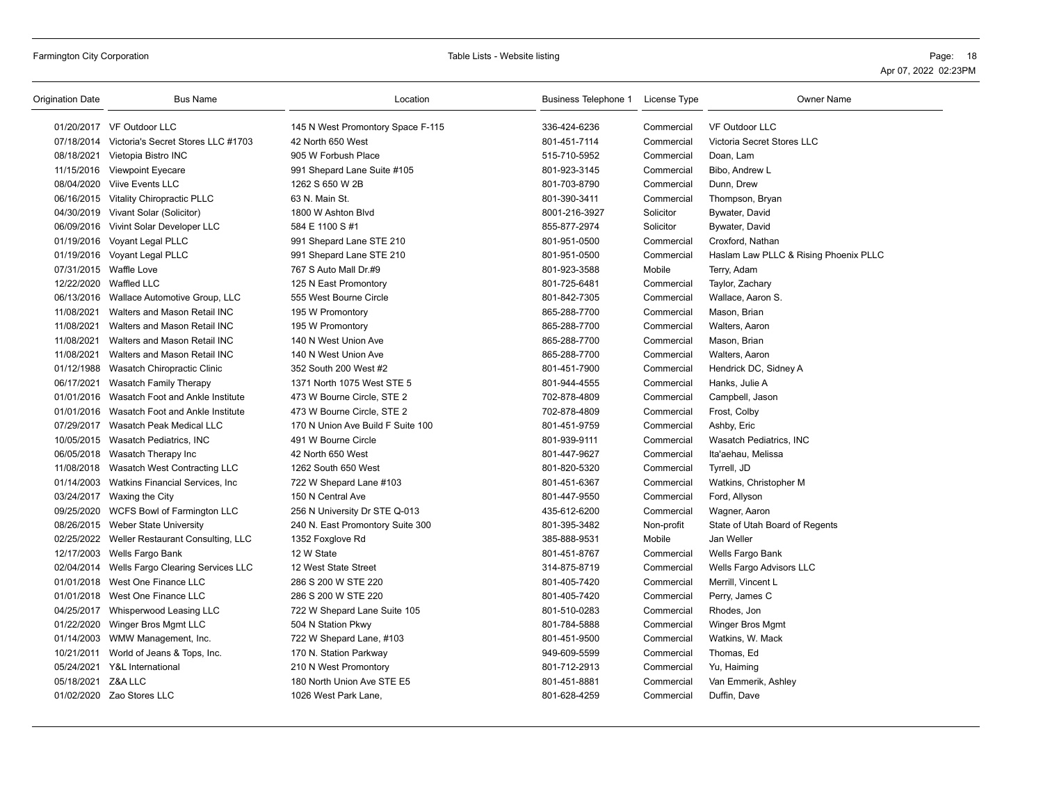| Origination Date | <b>Bus Name</b>                               | Location                          | Business Telephone 1 | License Type | <b>Owner Name</b>                     |
|------------------|-----------------------------------------------|-----------------------------------|----------------------|--------------|---------------------------------------|
|                  | 01/20/2017 VF Outdoor LLC                     | 145 N West Promontory Space F-115 | 336-424-6236         | Commercial   | <b>VF Outdoor LLC</b>                 |
|                  | 07/18/2014 Victoria's Secret Stores LLC #1703 | 42 North 650 West                 | 801-451-7114         | Commercial   | Victoria Secret Stores LLC            |
|                  | 08/18/2021 Vietopia Bistro INC                | 905 W Forbush Place               | 515-710-5952         | Commercial   | Doan, Lam                             |
|                  | 11/15/2016 Viewpoint Eyecare                  | 991 Shepard Lane Suite #105       | 801-923-3145         | Commercial   | Bibo, Andrew L                        |
|                  | 08/04/2020 Viive Events LLC                   | 1262 S 650 W 2B                   | 801-703-8790         | Commercial   | Dunn, Drew                            |
|                  | 06/16/2015 Vitality Chiropractic PLLC         | 63 N. Main St.                    | 801-390-3411         | Commercial   | Thompson, Bryan                       |
|                  | 04/30/2019 Vivant Solar (Solicitor)           | 1800 W Ashton Blvd                | 8001-216-3927        | Solicitor    | Bywater, David                        |
|                  | 06/09/2016 Vivint Solar Developer LLC         | 584 E 1100 S #1                   | 855-877-2974         | Solicitor    | Bywater, David                        |
|                  | 01/19/2016 Voyant Legal PLLC                  | 991 Shepard Lane STE 210          | 801-951-0500         | Commercial   | Croxford, Nathan                      |
|                  | 01/19/2016 Voyant Legal PLLC                  | 991 Shepard Lane STE 210          | 801-951-0500         | Commercial   | Haslam Law PLLC & Rising Phoenix PLLC |
|                  | 07/31/2015 Waffle Love                        | 767 S Auto Mall Dr.#9             | 801-923-3588         | Mobile       | Terry, Adam                           |
|                  | 12/22/2020 Waffled LLC                        | 125 N East Promontory             | 801-725-6481         | Commercial   | Taylor, Zachary                       |
|                  | 06/13/2016 Wallace Automotive Group, LLC      | 555 West Bourne Circle            | 801-842-7305         | Commercial   | Wallace, Aaron S.                     |
| 11/08/2021       | Walters and Mason Retail INC                  | 195 W Promontory                  | 865-288-7700         | Commercial   | Mason, Brian                          |
| 11/08/2021       | Walters and Mason Retail INC                  | 195 W Promontory                  | 865-288-7700         | Commercial   | Walters, Aaron                        |
| 11/08/2021       | Walters and Mason Retail INC                  | 140 N West Union Ave              | 865-288-7700         | Commercial   | Mason, Brian                          |
| 11/08/2021       | Walters and Mason Retail INC                  | 140 N West Union Ave              | 865-288-7700         | Commercial   | Walters, Aaron                        |
|                  | 01/12/1988 Wasatch Chiropractic Clinic        | 352 South 200 West #2             | 801-451-7900         | Commercial   | Hendrick DC, Sidney A                 |
| 06/17/2021       | Wasatch Family Therapy                        | 1371 North 1075 West STE 5        | 801-944-4555         | Commercial   | Hanks, Julie A                        |
|                  | 01/01/2016 Wasatch Foot and Ankle Institute   | 473 W Bourne Circle, STE 2        | 702-878-4809         | Commercial   | Campbell, Jason                       |
|                  | 01/01/2016 Wasatch Foot and Ankle Institute   | 473 W Bourne Circle, STE 2        | 702-878-4809         | Commercial   | Frost, Colby                          |
|                  | 07/29/2017 Wasatch Peak Medical LLC           | 170 N Union Ave Build F Suite 100 | 801-451-9759         | Commercial   | Ashby, Eric                           |
|                  | 10/05/2015 Wasatch Pediatrics, INC            | 491 W Bourne Circle               | 801-939-9111         | Commercial   | Wasatch Pediatrics, INC               |
|                  | 06/05/2018 Wasatch Therapy Inc                | 42 North 650 West                 | 801-447-9627         | Commercial   | Ita'aehau, Melissa                    |
|                  | 11/08/2018 Wasatch West Contracting LLC       | 1262 South 650 West               | 801-820-5320         | Commercial   | Tyrrell, JD                           |
|                  | 01/14/2003 Watkins Financial Services, Inc.   | 722 W Shepard Lane #103           | 801-451-6367         | Commercial   | Watkins, Christopher M                |
|                  | 03/24/2017 Waxing the City                    | 150 N Central Ave                 | 801-447-9550         | Commercial   | Ford, Allyson                         |
|                  | 09/25/2020 WCFS Bowl of Farmington LLC        | 256 N University Dr STE Q-013     | 435-612-6200         | Commercial   | Wagner, Aaron                         |
|                  | 08/26/2015 Weber State University             | 240 N. East Promontory Suite 300  | 801-395-3482         | Non-profit   | State of Utah Board of Regents        |
|                  | 02/25/2022 Weller Restaurant Consulting, LLC  | 1352 Foxglove Rd                  | 385-888-9531         | Mobile       | Jan Weller                            |
|                  | 12/17/2003 Wells Fargo Bank                   | 12 W State                        | 801-451-8767         | Commercial   | Wells Fargo Bank                      |
|                  | 02/04/2014 Wells Fargo Clearing Services LLC  | 12 West State Street              | 314-875-8719         | Commercial   | Wells Fargo Advisors LLC              |
|                  | 01/01/2018 West One Finance LLC               | 286 S 200 W STE 220               | 801-405-7420         | Commercial   | Merrill, Vincent L                    |
|                  | 01/01/2018 West One Finance LLC               | 286 S 200 W STE 220               | 801-405-7420         | Commercial   | Perry, James C                        |
|                  | 04/25/2017 Whisperwood Leasing LLC            | 722 W Shepard Lane Suite 105      | 801-510-0283         | Commercial   | Rhodes, Jon                           |
|                  | 01/22/2020 Winger Bros Mgmt LLC               | 504 N Station Pkwy                | 801-784-5888         | Commercial   | Winger Bros Mgmt                      |
|                  | 01/14/2003 WMW Management, Inc.               | 722 W Shepard Lane, #103          | 801-451-9500         | Commercial   | Watkins, W. Mack                      |
| 10/21/2011       | World of Jeans & Tops, Inc.                   | 170 N. Station Parkway            | 949-609-5599         | Commercial   | Thomas, Ed                            |
|                  | 05/24/2021 Y&L International                  | 210 N West Promontory             | 801-712-2913         | Commercial   | Yu, Haiming                           |
| 05/18/2021       | Z&A LLC                                       | 180 North Union Ave STE E5        | 801-451-8881         | Commercial   | Van Emmerik, Ashley                   |
|                  | 01/02/2020 Zao Stores LLC                     | 1026 West Park Lane,              | 801-628-4259         | Commercial   | Duffin, Dave                          |